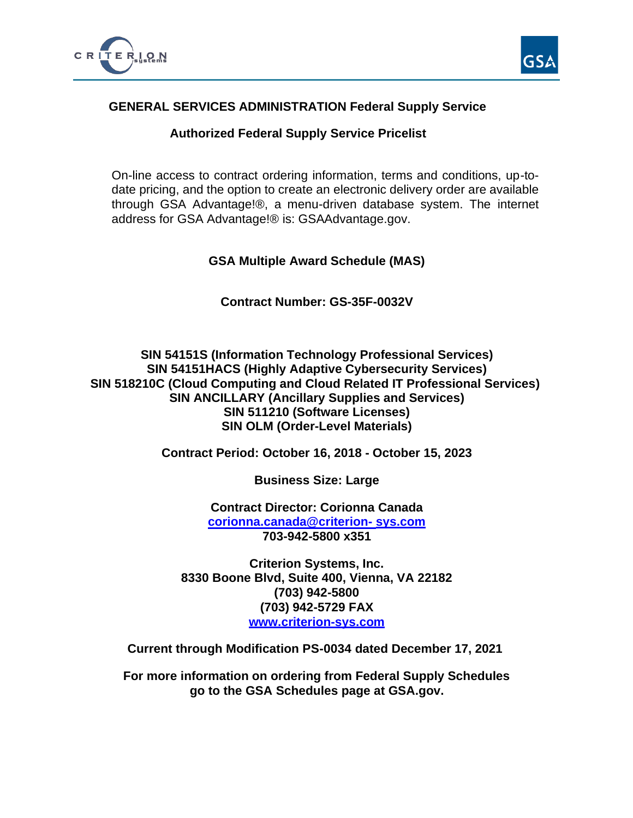



# **GENERAL SERVICES ADMINISTRATION Federal Supply Service**

## **Authorized Federal Supply Service Pricelist**

On-line access to contract ordering information, terms and conditions, up-todate pricing, and the option to create an electronic delivery order are available through GSA Advantage!®, a menu-driven database system. The internet address for GSA Advantage!® is: GSAAdvantage.gov.

## **GSA Multiple Award Schedule (MAS)**

## **Contract Number: GS-35F-0032V**

## **SIN 54151S (Information Technology Professional Services) SIN 54151HACS (Highly Adaptive Cybersecurity Services) SIN 518210C (Cloud Computing and Cloud Related IT Professional Services) SIN ANCILLARY (Ancillary Supplies and Services) SIN 511210 (Software Licenses) SIN OLM (Order-Level Materials)**

**Contract Period: October 16, 2018 - October 15, 2023**

**Business Size: Large**

**Contract Director: Corionna Canada [corionna.canada@criterion-](mailto:corionna.canada@criterion-) [sys.com](mailto:corianna.canada@criterion-sys.com) 703-942-5800 x351**

**Criterion Systems, Inc. 8330 Boone Blvd, Suite 400, Vienna, VA 22182 (703) 942-5800 (703) 942-5729 FAX [www.criterion-sys.com](http://www.criterion-sys.com/)**

**Current through Modification PS-0034 dated December 17, 2021**

**For more information on ordering from Federal Supply Schedules go to the GSA Schedules page at GSA.gov.**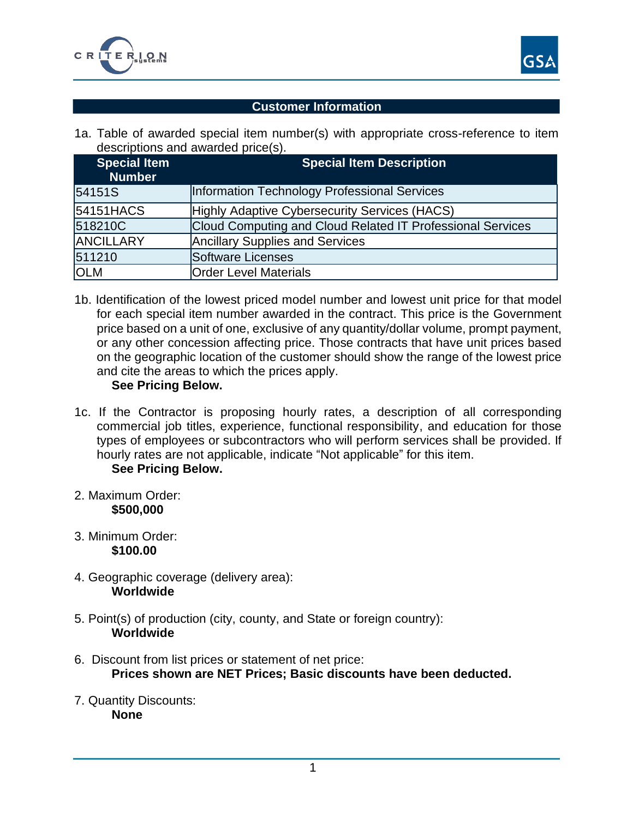



#### **Customer Information**

1a. Table of awarded special item number(s) with appropriate cross-reference to item descriptions and awarded price(s).

| <b>Special Item</b><br><b>Number</b> | <b>Special Item Description</b>                            |
|--------------------------------------|------------------------------------------------------------|
| 54151S                               | Information Technology Professional Services               |
| 54151HACS                            | <b>Highly Adaptive Cybersecurity Services (HACS)</b>       |
| 518210C                              | Cloud Computing and Cloud Related IT Professional Services |
| <b>ANCILLARY</b>                     | <b>Ancillary Supplies and Services</b>                     |
| 511210                               | <b>Software Licenses</b>                                   |
| <b>OLM</b>                           | <b>Order Level Materials</b>                               |

1b. Identification of the lowest priced model number and lowest unit price for that model for each special item number awarded in the contract. This price is the Government price based on a unit of one, exclusive of any quantity/dollar volume, prompt payment, or any other concession affecting price. Those contracts that have unit prices based on the geographic location of the customer should show the range of the lowest price and cite the areas to which the prices apply.

### **See Pricing Below.**

- 1c. If the Contractor is proposing hourly rates, a description of all corresponding commercial job titles, experience, functional responsibility, and education for those types of employees or subcontractors who will perform services shall be provided. If hourly rates are not applicable, indicate "Not applicable" for this item. **See Pricing Below.**
- 2. Maximum Order: **\$500,000**
- 3. Minimum Order: **\$100.00**
- 4. Geographic coverage (delivery area): **Worldwide**
- 5. Point(s) of production (city, county, and State or foreign country): **Worldwide**
- 6. Discount from list prices or statement of net price: **Prices shown are NET Prices; Basic discounts have been deducted.**
- 7. Quantity Discounts: **None**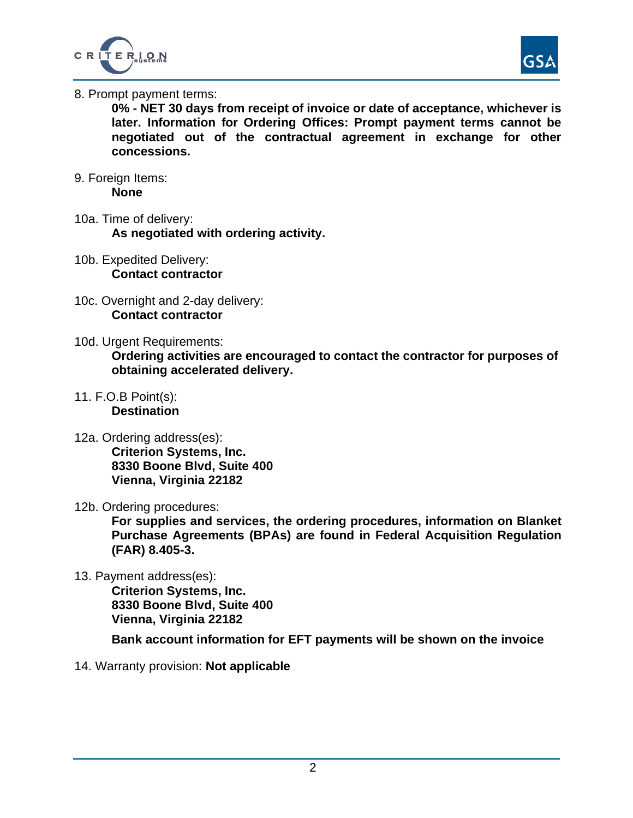



8. Prompt payment terms:

**0% - NET 30 days from receipt of invoice or date of acceptance, whichever is later. Information for Ordering Offices: Prompt payment terms cannot be negotiated out of the contractual agreement in exchange for other concessions.**

9. Foreign Items:

**None**

- 10a. Time of delivery: **As negotiated with ordering activity.**
- 10b. Expedited Delivery: **Contact contractor**
- 10c. Overnight and 2-day delivery: **Contact contractor**
- 10d. Urgent Requirements:

**Ordering activities are encouraged to contact the contractor for purposes of obtaining accelerated delivery.**

- 11. F.O.B Point(s): **Destination**
- 12a. Ordering address(es): **Criterion Systems, Inc. 8330 Boone Blvd, Suite 400 Vienna, Virginia 22182**
- 12b. Ordering procedures:

**For supplies and services, the ordering procedures, information on Blanket Purchase Agreements (BPAs) are found in Federal Acquisition Regulation (FAR) 8.405-3.**

13. Payment address(es):

**Criterion Systems, Inc. 8330 Boone Blvd, Suite 400 Vienna, Virginia 22182**

**Bank account information for EFT payments will be shown on the invoice**

14. Warranty provision: **Not applicable**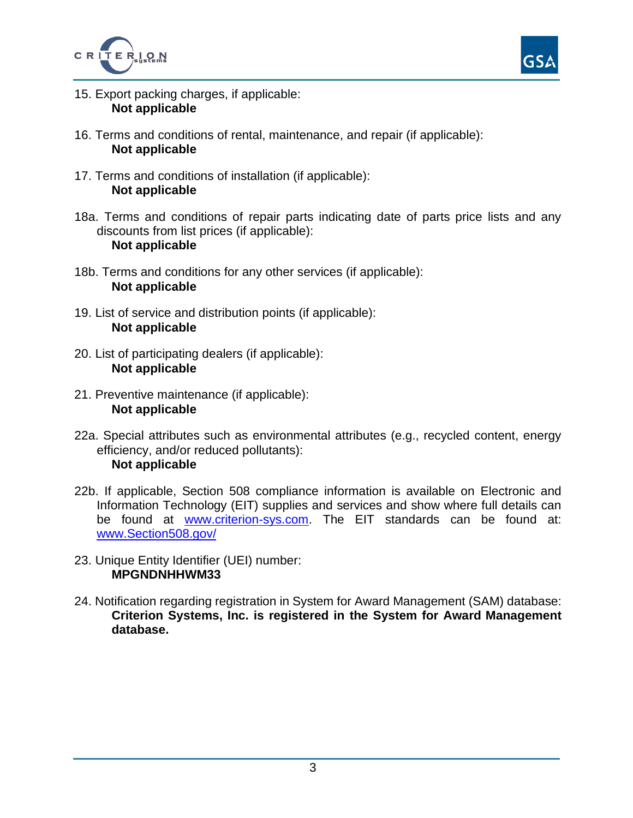



- 15. Export packing charges, if applicable: **Not applicable**
- 16. Terms and conditions of rental, maintenance, and repair (if applicable): **Not applicable**
- 17. Terms and conditions of installation (if applicable): **Not applicable**
- 18a. Terms and conditions of repair parts indicating date of parts price lists and any discounts from list prices (if applicable): **Not applicable**
- 18b. Terms and conditions for any other services (if applicable): **Not applicable**
- 19. List of service and distribution points (if applicable): **Not applicable**
- 20. List of participating dealers (if applicable): **Not applicable**
- 21. Preventive maintenance (if applicable): **Not applicable**
- 22a. Special attributes such as environmental attributes (e.g., recycled content, energy efficiency, and/or reduced pollutants): **Not applicable**
- 22b. If applicable, Section 508 compliance information is available on Electronic and Information Technology (EIT) supplies and services and show where full details can be found at [www.criterion-sys.com.](http://www.criterion-sys.com/) The EIT standards can be found at: [www.Section508.gov/](http://www.section508.gov/)
- 23. Unique Entity Identifier (UEI) number: **MPGNDNHHWM33**
- 24. Notification regarding registration in System for Award Management (SAM) database: **Criterion Systems, Inc. is registered in the System for Award Management database.**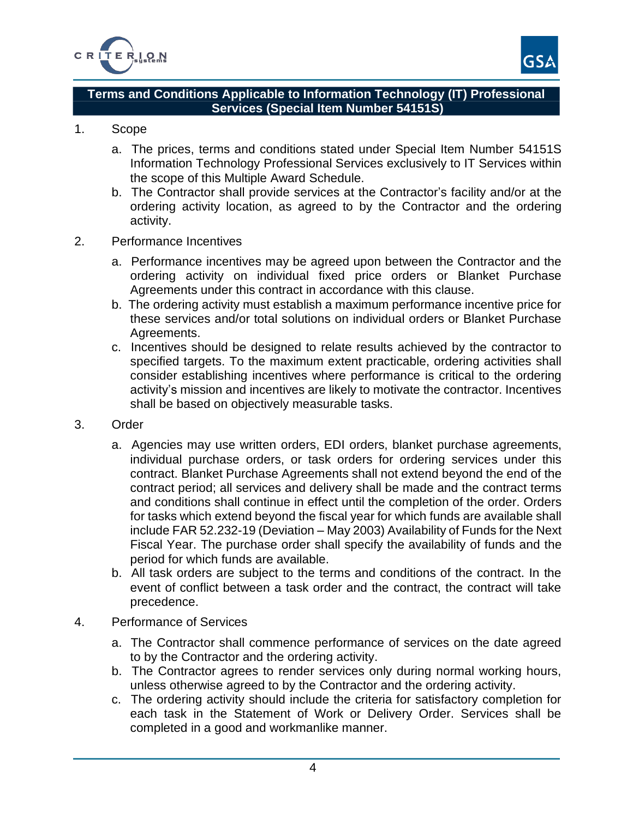



### **Terms and Conditions Applicable to Information Technology (IT) Professional Services (Special Item Number 54151S)**

## 1. Scope

- a. The prices, terms and conditions stated under Special Item Number 54151S Information Technology Professional Services exclusively to IT Services within the scope of this Multiple Award Schedule.
- b. The Contractor shall provide services at the Contractor's facility and/or at the ordering activity location, as agreed to by the Contractor and the ordering activity.
- 2. Performance Incentives
	- a. Performance incentives may be agreed upon between the Contractor and the ordering activity on individual fixed price orders or Blanket Purchase Agreements under this contract in accordance with this clause.
	- b. The ordering activity must establish a maximum performance incentive price for these services and/or total solutions on individual orders or Blanket Purchase Agreements.
	- c. Incentives should be designed to relate results achieved by the contractor to specified targets. To the maximum extent practicable, ordering activities shall consider establishing incentives where performance is critical to the ordering activity's mission and incentives are likely to motivate the contractor. Incentives shall be based on objectively measurable tasks.
- 3. Order
	- a. Agencies may use written orders, EDI orders, blanket purchase agreements, individual purchase orders, or task orders for ordering services under this contract. Blanket Purchase Agreements shall not extend beyond the end of the contract period; all services and delivery shall be made and the contract terms and conditions shall continue in effect until the completion of the order. Orders for tasks which extend beyond the fiscal year for which funds are available shall include FAR 52.232-19 (Deviation – May 2003) Availability of Funds for the Next Fiscal Year. The purchase order shall specify the availability of funds and the period for which funds are available.
	- b. All task orders are subject to the terms and conditions of the contract. In the event of conflict between a task order and the contract, the contract will take precedence.
- 4. Performance of Services
	- a. The Contractor shall commence performance of services on the date agreed to by the Contractor and the ordering activity.
	- b. The Contractor agrees to render services only during normal working hours, unless otherwise agreed to by the Contractor and the ordering activity.
	- c. The ordering activity should include the criteria for satisfactory completion for each task in the Statement of Work or Delivery Order. Services shall be completed in a good and workmanlike manner.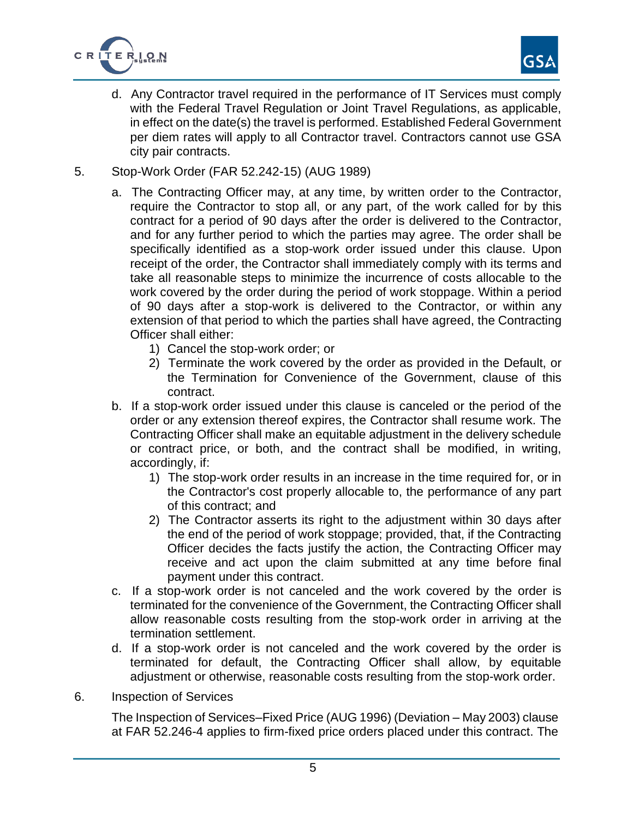



- d. Any Contractor travel required in the performance of IT Services must comply with the Federal Travel Regulation or Joint Travel Regulations, as applicable, in effect on the date(s) the travel is performed. Established Federal Government per diem rates will apply to all Contractor travel. Contractors cannot use GSA city pair contracts.
- 5. Stop-Work Order (FAR 52.242-15) (AUG 1989)
	- a. The Contracting Officer may, at any time, by written order to the Contractor, require the Contractor to stop all, or any part, of the work called for by this contract for a period of 90 days after the order is delivered to the Contractor, and for any further period to which the parties may agree. The order shall be specifically identified as a stop-work order issued under this clause. Upon receipt of the order, the Contractor shall immediately comply with its terms and take all reasonable steps to minimize the incurrence of costs allocable to the work covered by the order during the period of work stoppage. Within a period of 90 days after a stop-work is delivered to the Contractor, or within any extension of that period to which the parties shall have agreed, the Contracting Officer shall either:
		- 1) Cancel the stop-work order; or
		- 2) Terminate the work covered by the order as provided in the Default, or the Termination for Convenience of the Government, clause of this contract.
	- b. If a stop-work order issued under this clause is canceled or the period of the order or any extension thereof expires, the Contractor shall resume work. The Contracting Officer shall make an equitable adjustment in the delivery schedule or contract price, or both, and the contract shall be modified, in writing, accordingly, if:
		- 1) The stop-work order results in an increase in the time required for, or in the Contractor's cost properly allocable to, the performance of any part of this contract; and
		- 2) The Contractor asserts its right to the adjustment within 30 days after the end of the period of work stoppage; provided, that, if the Contracting Officer decides the facts justify the action, the Contracting Officer may receive and act upon the claim submitted at any time before final payment under this contract.
	- c. If a stop-work order is not canceled and the work covered by the order is terminated for the convenience of the Government, the Contracting Officer shall allow reasonable costs resulting from the stop-work order in arriving at the termination settlement.
	- d. If a stop-work order is not canceled and the work covered by the order is terminated for default, the Contracting Officer shall allow, by equitable adjustment or otherwise, reasonable costs resulting from the stop-work order.
- 6. Inspection of Services

The Inspection of Services–Fixed Price (AUG 1996) (Deviation – May 2003) clause at FAR 52.246-4 applies to firm-fixed price orders placed under this contract. The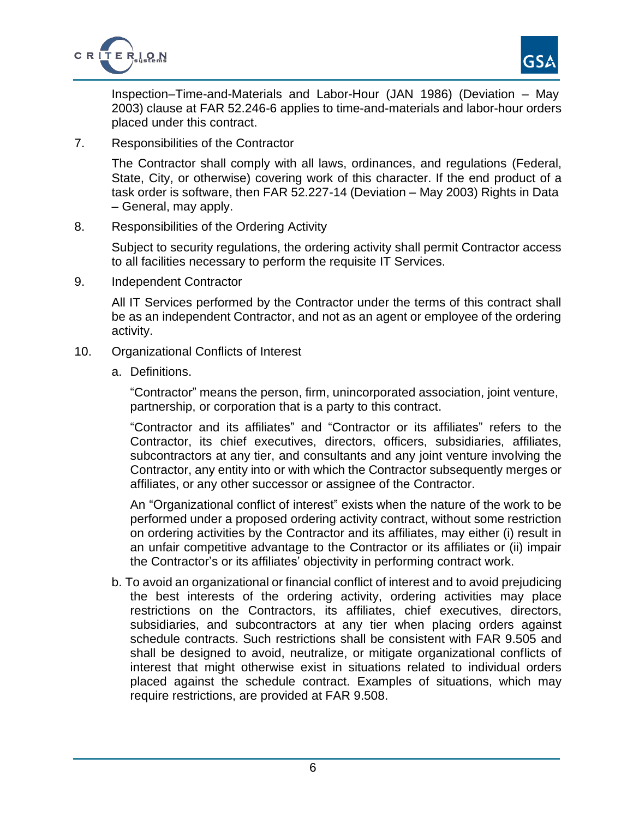



Inspection–Time-and-Materials and Labor-Hour (JAN 1986) (Deviation – May 2003) clause at FAR 52.246-6 applies to time-and-materials and labor-hour orders placed under this contract.

7. Responsibilities of the Contractor

The Contractor shall comply with all laws, ordinances, and regulations (Federal, State, City, or otherwise) covering work of this character. If the end product of a task order is software, then FAR 52.227-14 (Deviation – May 2003) Rights in Data – General, may apply.

8. Responsibilities of the Ordering Activity

Subject to security regulations, the ordering activity shall permit Contractor access to all facilities necessary to perform the requisite IT Services.

9. Independent Contractor

All IT Services performed by the Contractor under the terms of this contract shall be as an independent Contractor, and not as an agent or employee of the ordering activity.

- 10. Organizational Conflicts of Interest
	- a. Definitions.

"Contractor" means the person, firm, unincorporated association, joint venture, partnership, or corporation that is a party to this contract.

"Contractor and its affiliates" and "Contractor or its affiliates" refers to the Contractor, its chief executives, directors, officers, subsidiaries, affiliates, subcontractors at any tier, and consultants and any joint venture involving the Contractor, any entity into or with which the Contractor subsequently merges or affiliates, or any other successor or assignee of the Contractor.

An "Organizational conflict of interest" exists when the nature of the work to be performed under a proposed ordering activity contract, without some restriction on ordering activities by the Contractor and its affiliates, may either (i) result in an unfair competitive advantage to the Contractor or its affiliates or (ii) impair the Contractor's or its affiliates' objectivity in performing contract work.

b. To avoid an organizational or financial conflict of interest and to avoid prejudicing the best interests of the ordering activity, ordering activities may place restrictions on the Contractors, its affiliates, chief executives, directors, subsidiaries, and subcontractors at any tier when placing orders against schedule contracts. Such restrictions shall be consistent with FAR 9.505 and shall be designed to avoid, neutralize, or mitigate organizational conflicts of interest that might otherwise exist in situations related to individual orders placed against the schedule contract. Examples of situations, which may require restrictions, are provided at FAR 9.508.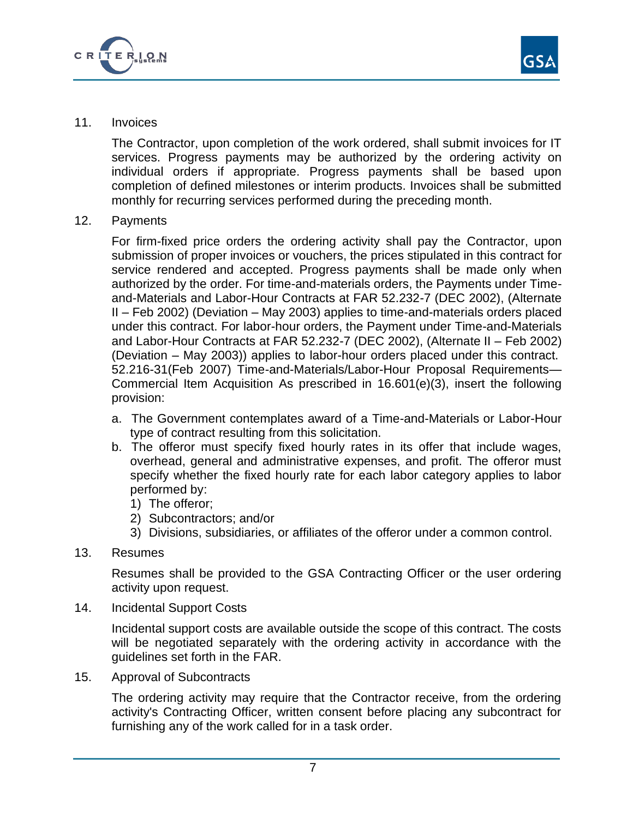



#### 11. Invoices

The Contractor, upon completion of the work ordered, shall submit invoices for IT services. Progress payments may be authorized by the ordering activity on individual orders if appropriate. Progress payments shall be based upon completion of defined milestones or interim products. Invoices shall be submitted monthly for recurring services performed during the preceding month.

#### 12. Payments

For firm-fixed price orders the ordering activity shall pay the Contractor, upon submission of proper invoices or vouchers, the prices stipulated in this contract for service rendered and accepted. Progress payments shall be made only when authorized by the order. For time-and-materials orders, the Payments under Timeand-Materials and Labor-Hour Contracts at FAR 52.232-7 (DEC 2002), (Alternate II – Feb 2002) (Deviation – May 2003) applies to time-and-materials orders placed under this contract. For labor-hour orders, the Payment under Time-and-Materials and Labor-Hour Contracts at FAR 52.232-7 (DEC 2002), (Alternate II – Feb 2002) (Deviation – May 2003)) applies to labor-hour orders placed under this contract. 52.216-31(Feb 2007) Time-and-Materials/Labor-Hour Proposal Requirements— Commercial Item Acquisition As prescribed in 16.601(e)(3), insert the following provision:

- a. The Government contemplates award of a Time-and-Materials or Labor-Hour type of contract resulting from this solicitation.
- b. The offeror must specify fixed hourly rates in its offer that include wages, overhead, general and administrative expenses, and profit. The offeror must specify whether the fixed hourly rate for each labor category applies to labor performed by:
	- 1) The offeror;
	- 2) Subcontractors; and/or
	- 3) Divisions, subsidiaries, or affiliates of the offeror under a common control.
- 13. Resumes

Resumes shall be provided to the GSA Contracting Officer or the user ordering activity upon request.

14. Incidental Support Costs

Incidental support costs are available outside the scope of this contract. The costs will be negotiated separately with the ordering activity in accordance with the guidelines set forth in the FAR.

15. Approval of Subcontracts

The ordering activity may require that the Contractor receive, from the ordering activity's Contracting Officer, written consent before placing any subcontract for furnishing any of the work called for in a task order.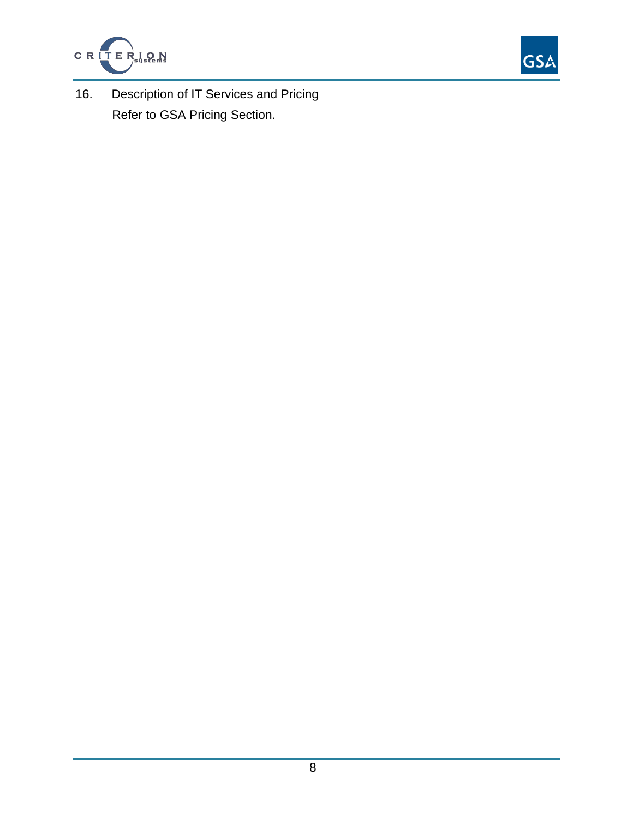



16. Description of IT Services and Pricing Refer to GSA Pricing Section.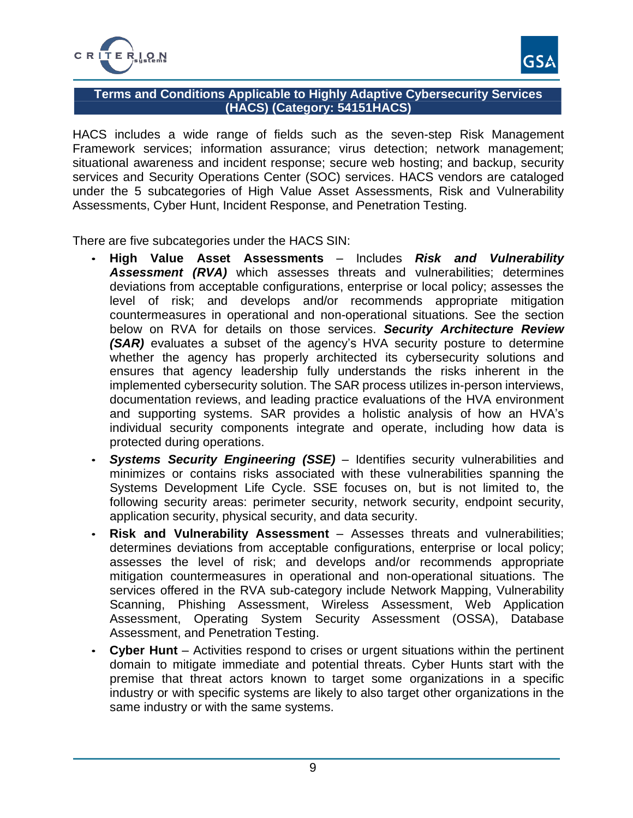



#### **Terms and Conditions Applicable to Highly Adaptive Cybersecurity Services (HACS) (Category: 54151HACS)**

HACS includes a wide range of fields such as the seven-step Risk Management Framework services; information assurance; virus detection; network management; situational awareness and incident response; secure web hosting; and backup, security services and Security Operations Center (SOC) services. HACS vendors are cataloged under the 5 subcategories of High Value Asset Assessments, Risk and Vulnerability Assessments, Cyber Hunt, Incident Response, and Penetration Testing.

There are five subcategories under the HACS SIN:

- **High Value Asset Assessments**  Includes *Risk and Vulnerability Assessment (RVA)* which assesses threats and vulnerabilities; determines deviations from acceptable configurations, enterprise or local policy; assesses the level of risk; and develops and/or recommends appropriate mitigation countermeasures in operational and non-operational situations. See the section below on RVA for details on those services. *Security Architecture Review (SAR)* evaluates a subset of the agency's HVA security posture to determine whether the agency has properly architected its cybersecurity solutions and ensures that agency leadership fully understands the risks inherent in the implemented cybersecurity solution. The SAR process utilizes in-person interviews, documentation reviews, and leading practice evaluations of the HVA environment and supporting systems. SAR provides a holistic analysis of how an HVA's individual security components integrate and operate, including how data is protected during operations.
- *Systems Security Engineering (SSE)* Identifies security vulnerabilities and minimizes or contains risks associated with these vulnerabilities spanning the Systems Development Life Cycle. SSE focuses on, but is not limited to, the following security areas: perimeter security, network security, endpoint security, application security, physical security, and data security.
- **Risk and Vulnerability Assessment**  Assesses threats and vulnerabilities; determines deviations from acceptable configurations, enterprise or local policy; assesses the level of risk; and develops and/or recommends appropriate mitigation countermeasures in operational and non-operational situations. The services offered in the RVA sub-category include Network Mapping, Vulnerability Scanning, Phishing Assessment, Wireless Assessment, Web Application Assessment, Operating System Security Assessment (OSSA), Database Assessment, and Penetration Testing.
- **Cyber Hunt** Activities respond to crises or urgent situations within the pertinent domain to mitigate immediate and potential threats. Cyber Hunts start with the premise that threat actors known to target some organizations in a specific industry or with specific systems are likely to also target other organizations in the same industry or with the same systems.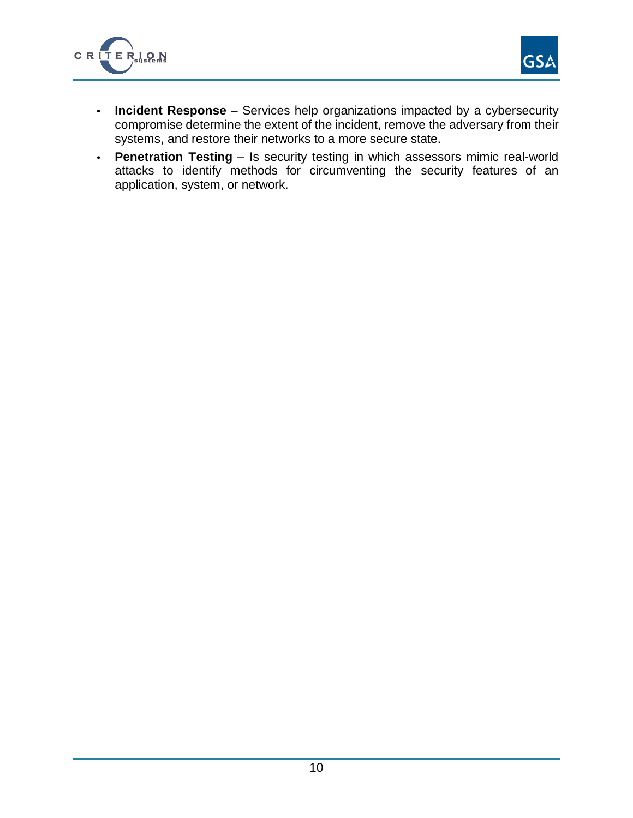



- **Incident Response** Services help organizations impacted by a cybersecurity compromise determine the extent of the incident, remove the adversary from their systems, and restore their networks to a more secure state.
- **Penetration Testing** Is security testing in which assessors mimic real-world attacks to identify methods for circumventing the security features of an application, system, or network.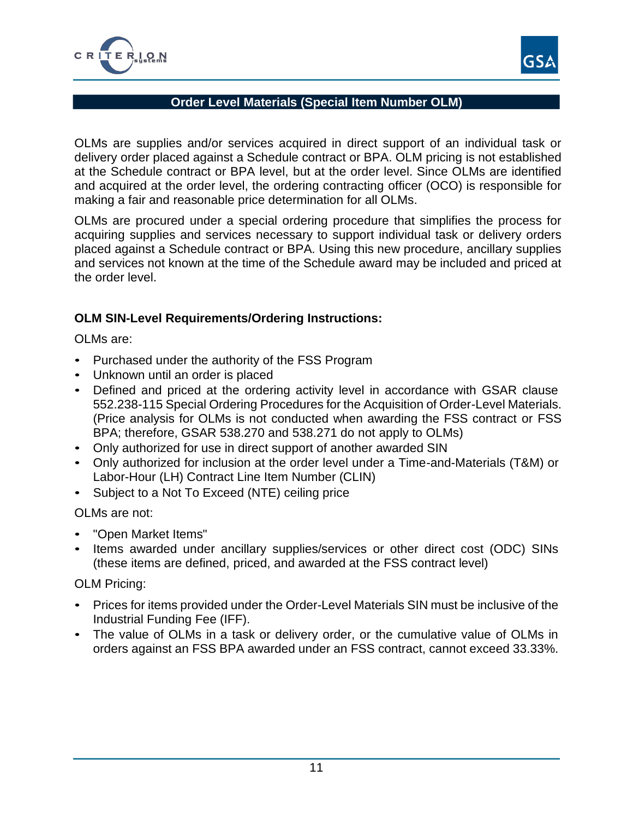



## **Order Level Materials (Special Item Number OLM)**

OLMs are supplies and/or services acquired in direct support of an individual task or delivery order placed against a Schedule contract or BPA. OLM pricing is not established at the Schedule contract or BPA level, but at the order level. Since OLMs are identified and acquired at the order level, the ordering contracting officer (OCO) is responsible for making a fair and reasonable price determination for all OLMs.

OLMs are procured under a special ordering procedure that simplifies the process for acquiring supplies and services necessary to support individual task or delivery orders placed against a Schedule contract or BPA. Using this new procedure, ancillary supplies and services not known at the time of the Schedule award may be included and priced at the order level.

## **OLM SIN-Level Requirements/Ordering Instructions:**

OLMs are:

- Purchased under the authority of the FSS Program
- Unknown until an order is placed
- Defined and priced at the ordering activity level in accordance with GSAR clause 552.238-115 Special Ordering Procedures for the Acquisition of Order-Level Materials. (Price analysis for OLMs is not conducted when awarding the FSS contract or FSS BPA; therefore, GSAR 538.270 and 538.271 do not apply to OLMs)
- Only authorized for use in direct support of another awarded SIN
- Only authorized for inclusion at the order level under a Time-and-Materials (T&M) or Labor-Hour (LH) Contract Line Item Number (CLIN)
- Subject to a Not To Exceed (NTE) ceiling price

OLMs are not:

- "Open Market Items"
- Items awarded under ancillary supplies/services or other direct cost (ODC) SINs (these items are defined, priced, and awarded at the FSS contract level)

OLM Pricing:

- Prices for items provided under the Order-Level Materials SIN must be inclusive of the Industrial Funding Fee (IFF).
- The value of OLMs in a task or delivery order, or the cumulative value of OLMs in orders against an FSS BPA awarded under an FSS contract, cannot exceed 33.33%.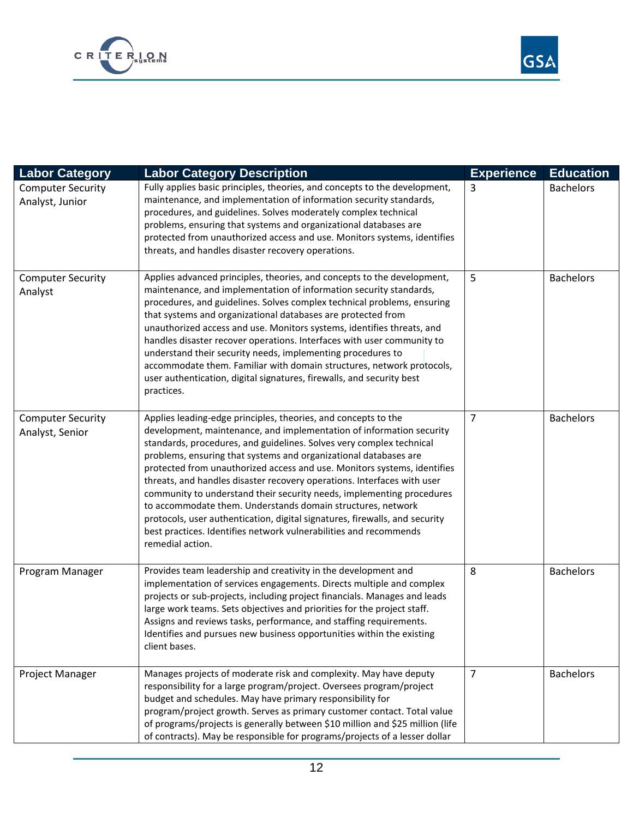



| <b>Labor Category</b>                       | <b>Labor Category Description</b>                                                                                                                                                                                                                                                                                                                                                                                                                                                                                                                                                                                                                                                                                                                         | <b>Experience</b> | <b>Education</b> |
|---------------------------------------------|-----------------------------------------------------------------------------------------------------------------------------------------------------------------------------------------------------------------------------------------------------------------------------------------------------------------------------------------------------------------------------------------------------------------------------------------------------------------------------------------------------------------------------------------------------------------------------------------------------------------------------------------------------------------------------------------------------------------------------------------------------------|-------------------|------------------|
| <b>Computer Security</b><br>Analyst, Junior | Fully applies basic principles, theories, and concepts to the development,<br>maintenance, and implementation of information security standards,<br>procedures, and guidelines. Solves moderately complex technical<br>problems, ensuring that systems and organizational databases are<br>protected from unauthorized access and use. Monitors systems, identifies<br>threats, and handles disaster recovery operations.                                                                                                                                                                                                                                                                                                                                 | 3                 | <b>Bachelors</b> |
| <b>Computer Security</b><br>Analyst         | Applies advanced principles, theories, and concepts to the development,<br>maintenance, and implementation of information security standards,<br>procedures, and guidelines. Solves complex technical problems, ensuring<br>that systems and organizational databases are protected from<br>unauthorized access and use. Monitors systems, identifies threats, and<br>handles disaster recover operations. Interfaces with user community to<br>understand their security needs, implementing procedures to<br>accommodate them. Familiar with domain structures, network protocols,<br>user authentication, digital signatures, firewalls, and security best<br>practices.                                                                               | 5                 | <b>Bachelors</b> |
| <b>Computer Security</b><br>Analyst, Senior | Applies leading-edge principles, theories, and concepts to the<br>development, maintenance, and implementation of information security<br>standards, procedures, and guidelines. Solves very complex technical<br>problems, ensuring that systems and organizational databases are<br>protected from unauthorized access and use. Monitors systems, identifies<br>threats, and handles disaster recovery operations. Interfaces with user<br>community to understand their security needs, implementing procedures<br>to accommodate them. Understands domain structures, network<br>protocols, user authentication, digital signatures, firewalls, and security<br>best practices. Identifies network vulnerabilities and recommends<br>remedial action. | $\overline{7}$    | <b>Bachelors</b> |
| Program Manager                             | Provides team leadership and creativity in the development and<br>implementation of services engagements. Directs multiple and complex<br>projects or sub-projects, including project financials. Manages and leads<br>large work teams. Sets objectives and priorities for the project staff.<br>Assigns and reviews tasks, performance, and staffing requirements.<br>Identifies and pursues new business opportunities within the existing<br>client bases.                                                                                                                                                                                                                                                                                            | 8                 | <b>Bachelors</b> |
| Project Manager                             | Manages projects of moderate risk and complexity. May have deputy<br>responsibility for a large program/project. Oversees program/project<br>budget and schedules. May have primary responsibility for<br>program/project growth. Serves as primary customer contact. Total value<br>of programs/projects is generally between \$10 million and \$25 million (life<br>of contracts). May be responsible for programs/projects of a lesser dollar                                                                                                                                                                                                                                                                                                          | $\overline{7}$    | <b>Bachelors</b> |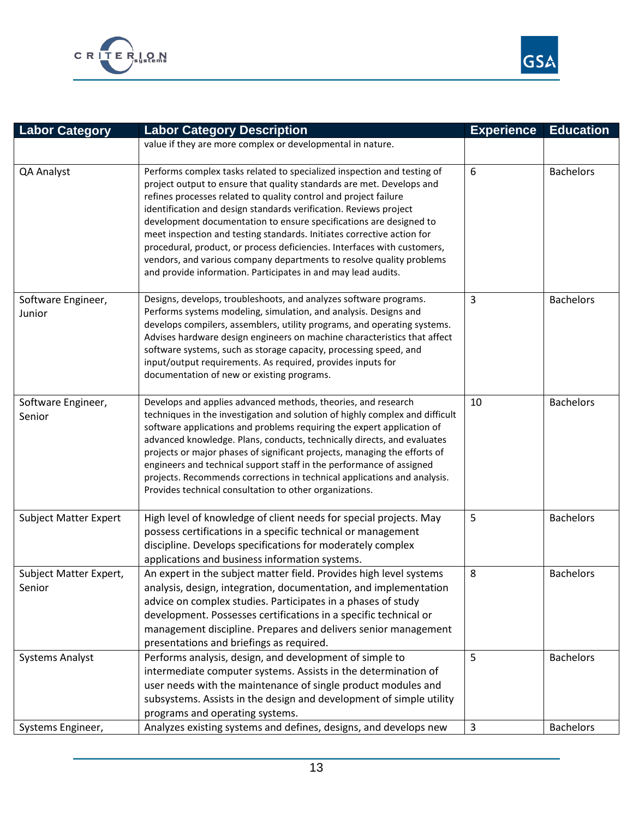



| <b>Labor Category</b>            | <b>Labor Category Description</b>                                                                                                                                                                                                                                                                                                                                                                                                                                                                                                                                                                                                                              | <b>Experience</b> | <b>Education</b> |
|----------------------------------|----------------------------------------------------------------------------------------------------------------------------------------------------------------------------------------------------------------------------------------------------------------------------------------------------------------------------------------------------------------------------------------------------------------------------------------------------------------------------------------------------------------------------------------------------------------------------------------------------------------------------------------------------------------|-------------------|------------------|
|                                  | value if they are more complex or developmental in nature.                                                                                                                                                                                                                                                                                                                                                                                                                                                                                                                                                                                                     |                   |                  |
| QA Analyst                       | Performs complex tasks related to specialized inspection and testing of<br>project output to ensure that quality standards are met. Develops and<br>refines processes related to quality control and project failure<br>identification and design standards verification. Reviews project<br>development documentation to ensure specifications are designed to<br>meet inspection and testing standards. Initiates corrective action for<br>procedural, product, or process deficiencies. Interfaces with customers,<br>vendors, and various company departments to resolve quality problems<br>and provide information. Participates in and may lead audits. | 6                 | <b>Bachelors</b> |
| Software Engineer,<br>Junior     | Designs, develops, troubleshoots, and analyzes software programs.<br>Performs systems modeling, simulation, and analysis. Designs and<br>develops compilers, assemblers, utility programs, and operating systems.<br>Advises hardware design engineers on machine characteristics that affect<br>software systems, such as storage capacity, processing speed, and<br>input/output requirements. As required, provides inputs for<br>documentation of new or existing programs.                                                                                                                                                                                | 3                 | <b>Bachelors</b> |
| Software Engineer,<br>Senior     | Develops and applies advanced methods, theories, and research<br>techniques in the investigation and solution of highly complex and difficult<br>software applications and problems requiring the expert application of<br>advanced knowledge. Plans, conducts, technically directs, and evaluates<br>projects or major phases of significant projects, managing the efforts of<br>engineers and technical support staff in the performance of assigned<br>projects. Recommends corrections in technical applications and analysis.<br>Provides technical consultation to other organizations.                                                                 | 10                | <b>Bachelors</b> |
| <b>Subject Matter Expert</b>     | High level of knowledge of client needs for special projects. May<br>possess certifications in a specific technical or management<br>discipline. Develops specifications for moderately complex<br>applications and business information systems.                                                                                                                                                                                                                                                                                                                                                                                                              | 5                 | <b>Bachelors</b> |
| Subject Matter Expert,<br>Senior | An expert in the subject matter field. Provides high level systems<br>analysis, design, integration, documentation, and implementation<br>advice on complex studies. Participates in a phases of study<br>development. Possesses certifications in a specific technical or<br>management discipline. Prepares and delivers senior management<br>presentations and briefings as required.                                                                                                                                                                                                                                                                       | 8                 | <b>Bachelors</b> |
| <b>Systems Analyst</b>           | Performs analysis, design, and development of simple to<br>intermediate computer systems. Assists in the determination of<br>user needs with the maintenance of single product modules and<br>subsystems. Assists in the design and development of simple utility<br>programs and operating systems.                                                                                                                                                                                                                                                                                                                                                           | 5                 | <b>Bachelors</b> |
| Systems Engineer,                | Analyzes existing systems and defines, designs, and develops new                                                                                                                                                                                                                                                                                                                                                                                                                                                                                                                                                                                               | $\mathbf{3}$      | <b>Bachelors</b> |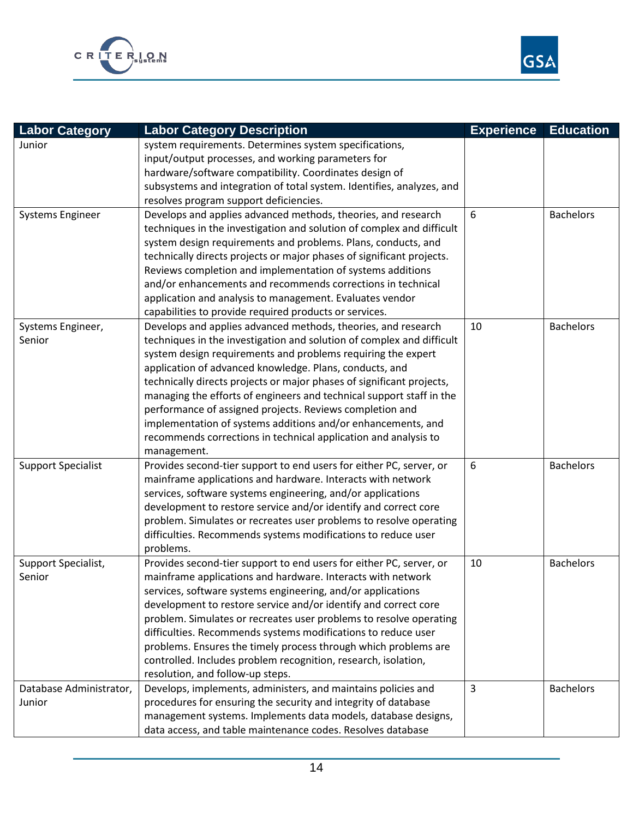



| <b>Labor Category</b>     | <b>Labor Category Description</b>                                     | <b>Experience</b> | <b>Education</b> |
|---------------------------|-----------------------------------------------------------------------|-------------------|------------------|
| Junior                    | system requirements. Determines system specifications,                |                   |                  |
|                           | input/output processes, and working parameters for                    |                   |                  |
|                           | hardware/software compatibility. Coordinates design of                |                   |                  |
|                           | subsystems and integration of total system. Identifies, analyzes, and |                   |                  |
|                           | resolves program support deficiencies.                                |                   |                  |
| <b>Systems Engineer</b>   | Develops and applies advanced methods, theories, and research         | 6                 | <b>Bachelors</b> |
|                           | techniques in the investigation and solution of complex and difficult |                   |                  |
|                           | system design requirements and problems. Plans, conducts, and         |                   |                  |
|                           | technically directs projects or major phases of significant projects. |                   |                  |
|                           | Reviews completion and implementation of systems additions            |                   |                  |
|                           | and/or enhancements and recommends corrections in technical           |                   |                  |
|                           | application and analysis to management. Evaluates vendor              |                   |                  |
|                           | capabilities to provide required products or services.                |                   |                  |
| Systems Engineer,         | Develops and applies advanced methods, theories, and research         | 10                | <b>Bachelors</b> |
| Senior                    | techniques in the investigation and solution of complex and difficult |                   |                  |
|                           | system design requirements and problems requiring the expert          |                   |                  |
|                           | application of advanced knowledge. Plans, conducts, and               |                   |                  |
|                           | technically directs projects or major phases of significant projects, |                   |                  |
|                           | managing the efforts of engineers and technical support staff in the  |                   |                  |
|                           | performance of assigned projects. Reviews completion and              |                   |                  |
|                           | implementation of systems additions and/or enhancements, and          |                   |                  |
|                           | recommends corrections in technical application and analysis to       |                   |                  |
|                           | management.                                                           |                   |                  |
| <b>Support Specialist</b> | Provides second-tier support to end users for either PC, server, or   | 6                 | <b>Bachelors</b> |
|                           | mainframe applications and hardware. Interacts with network           |                   |                  |
|                           | services, software systems engineering, and/or applications           |                   |                  |
|                           | development to restore service and/or identify and correct core       |                   |                  |
|                           | problem. Simulates or recreates user problems to resolve operating    |                   |                  |
|                           | difficulties. Recommends systems modifications to reduce user         |                   |                  |
|                           | problems.                                                             |                   |                  |
| Support Specialist,       | Provides second-tier support to end users for either PC, server, or   | 10                | <b>Bachelors</b> |
| Senior                    | mainframe applications and hardware. Interacts with network           |                   |                  |
|                           | services, software systems engineering, and/or applications           |                   |                  |
|                           | development to restore service and/or identify and correct core       |                   |                  |
|                           | problem. Simulates or recreates user problems to resolve operating    |                   |                  |
|                           | difficulties. Recommends systems modifications to reduce user         |                   |                  |
|                           | problems. Ensures the timely process through which problems are       |                   |                  |
|                           | controlled. Includes problem recognition, research, isolation,        |                   |                  |
|                           | resolution, and follow-up steps.                                      |                   |                  |
| Database Administrator,   | Develops, implements, administers, and maintains policies and         | $\overline{3}$    | <b>Bachelors</b> |
| Junior                    | procedures for ensuring the security and integrity of database        |                   |                  |
|                           | management systems. Implements data models, database designs,         |                   |                  |
|                           | data access, and table maintenance codes. Resolves database           |                   |                  |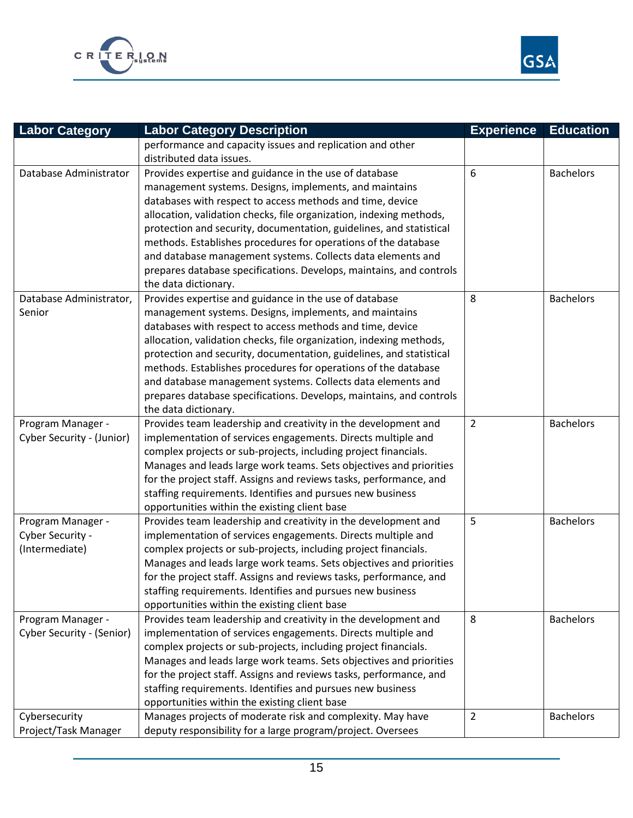



| <b>Labor Category</b>     | <b>Labor Category Description</b>                                   | <b>Experience</b> | <b>Education</b> |
|---------------------------|---------------------------------------------------------------------|-------------------|------------------|
|                           | performance and capacity issues and replication and other           |                   |                  |
|                           | distributed data issues.                                            |                   |                  |
| Database Administrator    | Provides expertise and guidance in the use of database              | 6                 | <b>Bachelors</b> |
|                           | management systems. Designs, implements, and maintains              |                   |                  |
|                           | databases with respect to access methods and time, device           |                   |                  |
|                           | allocation, validation checks, file organization, indexing methods, |                   |                  |
|                           | protection and security, documentation, guidelines, and statistical |                   |                  |
|                           | methods. Establishes procedures for operations of the database      |                   |                  |
|                           | and database management systems. Collects data elements and         |                   |                  |
|                           | prepares database specifications. Develops, maintains, and controls |                   |                  |
|                           | the data dictionary.                                                |                   |                  |
| Database Administrator,   | Provides expertise and guidance in the use of database              | 8                 | <b>Bachelors</b> |
| Senior                    | management systems. Designs, implements, and maintains              |                   |                  |
|                           | databases with respect to access methods and time, device           |                   |                  |
|                           | allocation, validation checks, file organization, indexing methods, |                   |                  |
|                           | protection and security, documentation, guidelines, and statistical |                   |                  |
|                           | methods. Establishes procedures for operations of the database      |                   |                  |
|                           | and database management systems. Collects data elements and         |                   |                  |
|                           | prepares database specifications. Develops, maintains, and controls |                   |                  |
|                           | the data dictionary.                                                |                   |                  |
| Program Manager -         | Provides team leadership and creativity in the development and      | $\overline{2}$    | <b>Bachelors</b> |
| Cyber Security - (Junior) | implementation of services engagements. Directs multiple and        |                   |                  |
|                           | complex projects or sub-projects, including project financials.     |                   |                  |
|                           | Manages and leads large work teams. Sets objectives and priorities  |                   |                  |
|                           | for the project staff. Assigns and reviews tasks, performance, and  |                   |                  |
|                           | staffing requirements. Identifies and pursues new business          |                   |                  |
|                           | opportunities within the existing client base                       |                   |                  |
| Program Manager -         | Provides team leadership and creativity in the development and      | 5                 | <b>Bachelors</b> |
| Cyber Security -          | implementation of services engagements. Directs multiple and        |                   |                  |
| (Intermediate)            | complex projects or sub-projects, including project financials.     |                   |                  |
|                           | Manages and leads large work teams. Sets objectives and priorities  |                   |                  |
|                           | for the project staff. Assigns and reviews tasks, performance, and  |                   |                  |
|                           | staffing requirements. Identifies and pursues new business          |                   |                  |
|                           | opportunities within the existing client base                       |                   |                  |
| Program Manager -         | Provides team leadership and creativity in the development and      | 8                 | <b>Bachelors</b> |
| Cyber Security - (Senior) | implementation of services engagements. Directs multiple and        |                   |                  |
|                           | complex projects or sub-projects, including project financials.     |                   |                  |
|                           | Manages and leads large work teams. Sets objectives and priorities  |                   |                  |
|                           | for the project staff. Assigns and reviews tasks, performance, and  |                   |                  |
|                           | staffing requirements. Identifies and pursues new business          |                   |                  |
|                           | opportunities within the existing client base                       |                   |                  |
| Cybersecurity             | Manages projects of moderate risk and complexity. May have          | $\overline{2}$    | <b>Bachelors</b> |
| Project/Task Manager      | deputy responsibility for a large program/project. Oversees         |                   |                  |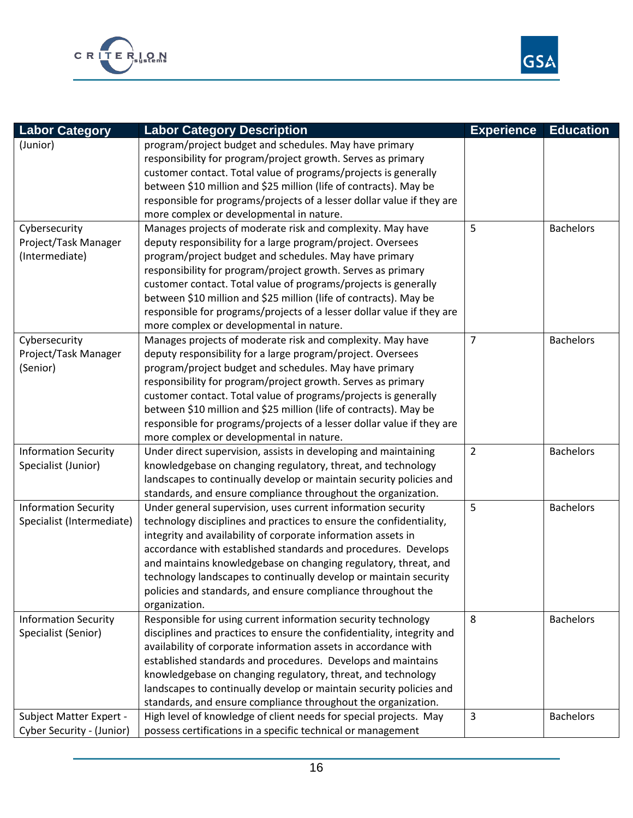



| <b>Labor Category</b>       | <b>Labor Category Description</b>                                      | <b>Experience</b> | <b>Education</b> |
|-----------------------------|------------------------------------------------------------------------|-------------------|------------------|
| (Junior)                    | program/project budget and schedules. May have primary                 |                   |                  |
|                             | responsibility for program/project growth. Serves as primary           |                   |                  |
|                             | customer contact. Total value of programs/projects is generally        |                   |                  |
|                             | between \$10 million and \$25 million (life of contracts). May be      |                   |                  |
|                             | responsible for programs/projects of a lesser dollar value if they are |                   |                  |
|                             | more complex or developmental in nature.                               |                   |                  |
| Cybersecurity               | Manages projects of moderate risk and complexity. May have             | 5                 | <b>Bachelors</b> |
| Project/Task Manager        | deputy responsibility for a large program/project. Oversees            |                   |                  |
| (Intermediate)              | program/project budget and schedules. May have primary                 |                   |                  |
|                             | responsibility for program/project growth. Serves as primary           |                   |                  |
|                             | customer contact. Total value of programs/projects is generally        |                   |                  |
|                             | between \$10 million and \$25 million (life of contracts). May be      |                   |                  |
|                             | responsible for programs/projects of a lesser dollar value if they are |                   |                  |
|                             | more complex or developmental in nature.                               |                   |                  |
| Cybersecurity               | Manages projects of moderate risk and complexity. May have             | $\overline{7}$    | <b>Bachelors</b> |
| Project/Task Manager        | deputy responsibility for a large program/project. Oversees            |                   |                  |
| (Senior)                    | program/project budget and schedules. May have primary                 |                   |                  |
|                             | responsibility for program/project growth. Serves as primary           |                   |                  |
|                             | customer contact. Total value of programs/projects is generally        |                   |                  |
|                             | between \$10 million and \$25 million (life of contracts). May be      |                   |                  |
|                             | responsible for programs/projects of a lesser dollar value if they are |                   |                  |
|                             | more complex or developmental in nature.                               |                   |                  |
| <b>Information Security</b> | Under direct supervision, assists in developing and maintaining        | $\overline{2}$    | <b>Bachelors</b> |
| Specialist (Junior)         | knowledgebase on changing regulatory, threat, and technology           |                   |                  |
|                             | landscapes to continually develop or maintain security policies and    |                   |                  |
|                             | standards, and ensure compliance throughout the organization.          |                   |                  |
| <b>Information Security</b> | Under general supervision, uses current information security           | 5                 | <b>Bachelors</b> |
| Specialist (Intermediate)   | technology disciplines and practices to ensure the confidentiality,    |                   |                  |
|                             | integrity and availability of corporate information assets in          |                   |                  |
|                             | accordance with established standards and procedures. Develops         |                   |                  |
|                             | and maintains knowledgebase on changing regulatory, threat, and        |                   |                  |
|                             | technology landscapes to continually develop or maintain security      |                   |                  |
|                             | policies and standards, and ensure compliance throughout the           |                   |                  |
|                             | organization.                                                          |                   |                  |
| <b>Information Security</b> | Responsible for using current information security technology          | 8                 | <b>Bachelors</b> |
| Specialist (Senior)         | disciplines and practices to ensure the confidentiality, integrity and |                   |                  |
|                             | availability of corporate information assets in accordance with        |                   |                  |
|                             | established standards and procedures. Develops and maintains           |                   |                  |
|                             | knowledgebase on changing regulatory, threat, and technology           |                   |                  |
|                             | landscapes to continually develop or maintain security policies and    |                   |                  |
|                             | standards, and ensure compliance throughout the organization.          |                   |                  |
| Subject Matter Expert -     | High level of knowledge of client needs for special projects. May      | $\overline{3}$    | <b>Bachelors</b> |
| Cyber Security - (Junior)   | possess certifications in a specific technical or management           |                   |                  |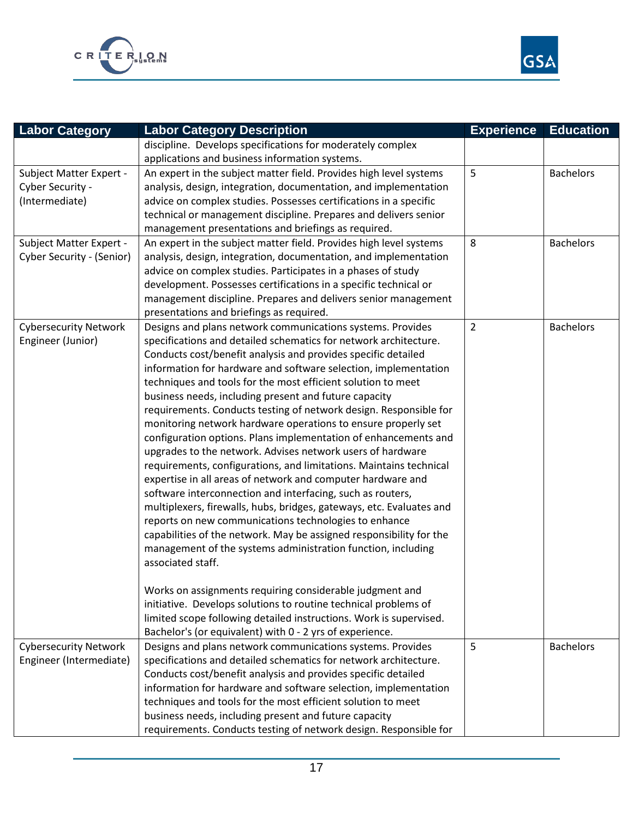



| <b>Labor Category</b>        | <b>Labor Category Description</b>                                    | <b>Experience</b> | <b>Education</b> |
|------------------------------|----------------------------------------------------------------------|-------------------|------------------|
|                              | discipline. Develops specifications for moderately complex           |                   |                  |
|                              | applications and business information systems.                       |                   |                  |
| Subject Matter Expert -      | An expert in the subject matter field. Provides high level systems   | 5                 | <b>Bachelors</b> |
| Cyber Security -             | analysis, design, integration, documentation, and implementation     |                   |                  |
| (Intermediate)               | advice on complex studies. Possesses certifications in a specific    |                   |                  |
|                              | technical or management discipline. Prepares and delivers senior     |                   |                  |
|                              | management presentations and briefings as required.                  |                   |                  |
| Subject Matter Expert -      | An expert in the subject matter field. Provides high level systems   | 8                 | <b>Bachelors</b> |
| Cyber Security - (Senior)    | analysis, design, integration, documentation, and implementation     |                   |                  |
|                              | advice on complex studies. Participates in a phases of study         |                   |                  |
|                              | development. Possesses certifications in a specific technical or     |                   |                  |
|                              | management discipline. Prepares and delivers senior management       |                   |                  |
|                              | presentations and briefings as required.                             |                   |                  |
| <b>Cybersecurity Network</b> | Designs and plans network communications systems. Provides           | $\overline{2}$    | <b>Bachelors</b> |
| Engineer (Junior)            | specifications and detailed schematics for network architecture.     |                   |                  |
|                              | Conducts cost/benefit analysis and provides specific detailed        |                   |                  |
|                              | information for hardware and software selection, implementation      |                   |                  |
|                              | techniques and tools for the most efficient solution to meet         |                   |                  |
|                              | business needs, including present and future capacity                |                   |                  |
|                              | requirements. Conducts testing of network design. Responsible for    |                   |                  |
|                              | monitoring network hardware operations to ensure properly set        |                   |                  |
|                              | configuration options. Plans implementation of enhancements and      |                   |                  |
|                              | upgrades to the network. Advises network users of hardware           |                   |                  |
|                              | requirements, configurations, and limitations. Maintains technical   |                   |                  |
|                              | expertise in all areas of network and computer hardware and          |                   |                  |
|                              | software interconnection and interfacing, such as routers,           |                   |                  |
|                              | multiplexers, firewalls, hubs, bridges, gateways, etc. Evaluates and |                   |                  |
|                              | reports on new communications technologies to enhance                |                   |                  |
|                              | capabilities of the network. May be assigned responsibility for the  |                   |                  |
|                              | management of the systems administration function, including         |                   |                  |
|                              | associated staff.                                                    |                   |                  |
|                              |                                                                      |                   |                  |
|                              | Works on assignments requiring considerable judgment and             |                   |                  |
|                              | initiative. Develops solutions to routine technical problems of      |                   |                  |
|                              | limited scope following detailed instructions. Work is supervised.   |                   |                  |
|                              | Bachelor's (or equivalent) with 0 - 2 yrs of experience.             |                   |                  |
| <b>Cybersecurity Network</b> | Designs and plans network communications systems. Provides           | 5                 | <b>Bachelors</b> |
| Engineer (Intermediate)      | specifications and detailed schematics for network architecture.     |                   |                  |
|                              | Conducts cost/benefit analysis and provides specific detailed        |                   |                  |
|                              | information for hardware and software selection, implementation      |                   |                  |
|                              | techniques and tools for the most efficient solution to meet         |                   |                  |
|                              | business needs, including present and future capacity                |                   |                  |
|                              | requirements. Conducts testing of network design. Responsible for    |                   |                  |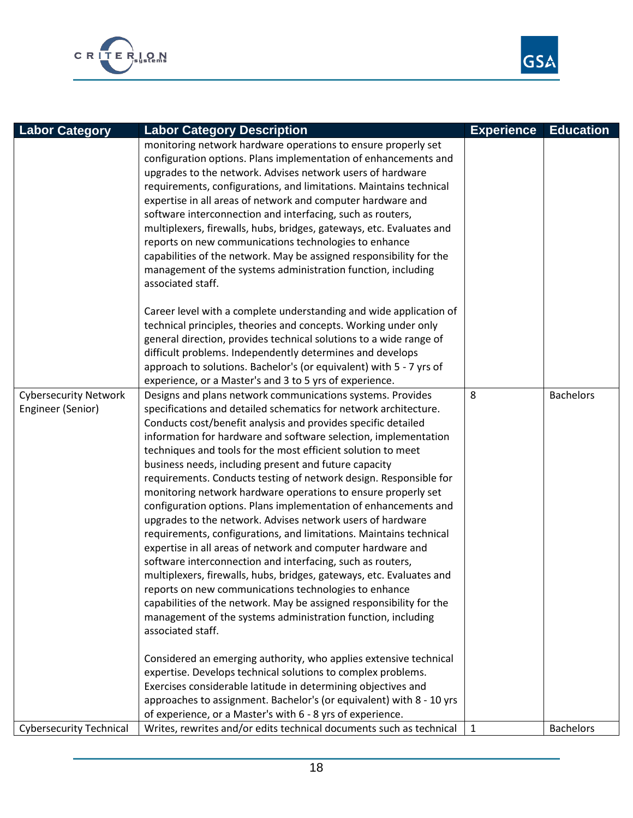



| <b>Labor Category</b>                             | <b>Labor Category Description</b>                                                                                                                                                                                                                                                                                                                                                                                                                                                                                                                                                                                                                                                                                                                                                                                                                                                                                                                                                                                                                                                                                                                                                                                                                                                                       | <b>Experience</b> | <b>Education</b> |
|---------------------------------------------------|---------------------------------------------------------------------------------------------------------------------------------------------------------------------------------------------------------------------------------------------------------------------------------------------------------------------------------------------------------------------------------------------------------------------------------------------------------------------------------------------------------------------------------------------------------------------------------------------------------------------------------------------------------------------------------------------------------------------------------------------------------------------------------------------------------------------------------------------------------------------------------------------------------------------------------------------------------------------------------------------------------------------------------------------------------------------------------------------------------------------------------------------------------------------------------------------------------------------------------------------------------------------------------------------------------|-------------------|------------------|
|                                                   | monitoring network hardware operations to ensure properly set<br>configuration options. Plans implementation of enhancements and<br>upgrades to the network. Advises network users of hardware<br>requirements, configurations, and limitations. Maintains technical<br>expertise in all areas of network and computer hardware and<br>software interconnection and interfacing, such as routers,<br>multiplexers, firewalls, hubs, bridges, gateways, etc. Evaluates and<br>reports on new communications technologies to enhance<br>capabilities of the network. May be assigned responsibility for the<br>management of the systems administration function, including<br>associated staff.                                                                                                                                                                                                                                                                                                                                                                                                                                                                                                                                                                                                          |                   |                  |
|                                                   | Career level with a complete understanding and wide application of<br>technical principles, theories and concepts. Working under only<br>general direction, provides technical solutions to a wide range of<br>difficult problems. Independently determines and develops<br>approach to solutions. Bachelor's (or equivalent) with 5 - 7 yrs of<br>experience, or a Master's and 3 to 5 yrs of experience.                                                                                                                                                                                                                                                                                                                                                                                                                                                                                                                                                                                                                                                                                                                                                                                                                                                                                              |                   |                  |
| <b>Cybersecurity Network</b><br>Engineer (Senior) | Designs and plans network communications systems. Provides<br>specifications and detailed schematics for network architecture.<br>Conducts cost/benefit analysis and provides specific detailed<br>information for hardware and software selection, implementation<br>techniques and tools for the most efficient solution to meet<br>business needs, including present and future capacity<br>requirements. Conducts testing of network design. Responsible for<br>monitoring network hardware operations to ensure properly set<br>configuration options. Plans implementation of enhancements and<br>upgrades to the network. Advises network users of hardware<br>requirements, configurations, and limitations. Maintains technical<br>expertise in all areas of network and computer hardware and<br>software interconnection and interfacing, such as routers,<br>multiplexers, firewalls, hubs, bridges, gateways, etc. Evaluates and<br>reports on new communications technologies to enhance<br>capabilities of the network. May be assigned responsibility for the<br>management of the systems administration function, including<br>associated staff.<br>Considered an emerging authority, who applies extensive technical<br>expertise. Develops technical solutions to complex problems. | 8                 | <b>Bachelors</b> |
|                                                   | Exercises considerable latitude in determining objectives and<br>approaches to assignment. Bachelor's (or equivalent) with 8 - 10 yrs<br>of experience, or a Master's with 6 - 8 yrs of experience.                                                                                                                                                                                                                                                                                                                                                                                                                                                                                                                                                                                                                                                                                                                                                                                                                                                                                                                                                                                                                                                                                                     |                   |                  |
| <b>Cybersecurity Technical</b>                    | Writes, rewrites and/or edits technical documents such as technical                                                                                                                                                                                                                                                                                                                                                                                                                                                                                                                                                                                                                                                                                                                                                                                                                                                                                                                                                                                                                                                                                                                                                                                                                                     | 1                 | <b>Bachelors</b> |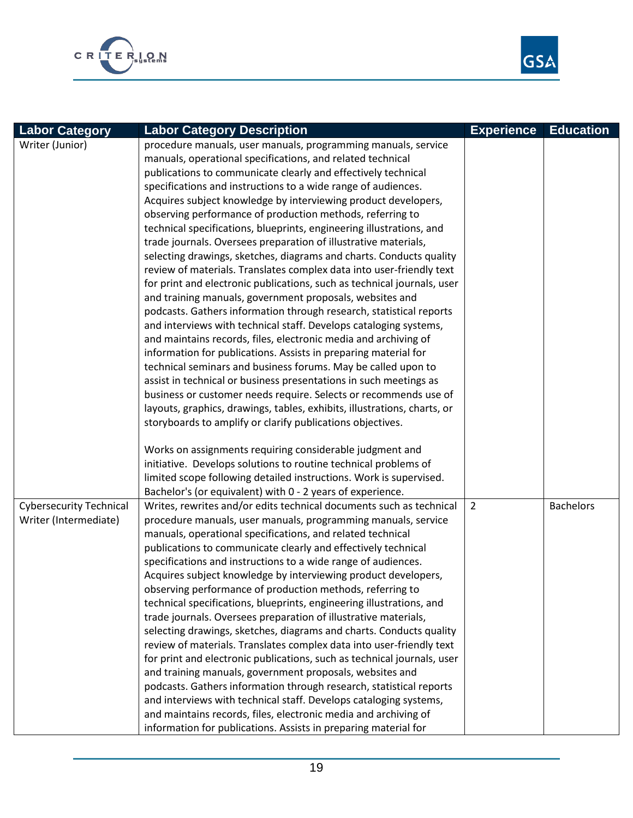



| <b>Labor Category</b>          | <b>Labor Category Description</b>                                        | <b>Experience</b> | <b>Education</b> |
|--------------------------------|--------------------------------------------------------------------------|-------------------|------------------|
| Writer (Junior)                | procedure manuals, user manuals, programming manuals, service            |                   |                  |
|                                | manuals, operational specifications, and related technical               |                   |                  |
|                                | publications to communicate clearly and effectively technical            |                   |                  |
|                                | specifications and instructions to a wide range of audiences.            |                   |                  |
|                                | Acquires subject knowledge by interviewing product developers,           |                   |                  |
|                                | observing performance of production methods, referring to                |                   |                  |
|                                | technical specifications, blueprints, engineering illustrations, and     |                   |                  |
|                                | trade journals. Oversees preparation of illustrative materials,          |                   |                  |
|                                | selecting drawings, sketches, diagrams and charts. Conducts quality      |                   |                  |
|                                | review of materials. Translates complex data into user-friendly text     |                   |                  |
|                                | for print and electronic publications, such as technical journals, user  |                   |                  |
|                                | and training manuals, government proposals, websites and                 |                   |                  |
|                                | podcasts. Gathers information through research, statistical reports      |                   |                  |
|                                | and interviews with technical staff. Develops cataloging systems,        |                   |                  |
|                                | and maintains records, files, electronic media and archiving of          |                   |                  |
|                                | information for publications. Assists in preparing material for          |                   |                  |
|                                | technical seminars and business forums. May be called upon to            |                   |                  |
|                                | assist in technical or business presentations in such meetings as        |                   |                  |
|                                | business or customer needs require. Selects or recommends use of         |                   |                  |
|                                | layouts, graphics, drawings, tables, exhibits, illustrations, charts, or |                   |                  |
|                                | storyboards to amplify or clarify publications objectives.               |                   |                  |
|                                |                                                                          |                   |                  |
|                                | Works on assignments requiring considerable judgment and                 |                   |                  |
|                                | initiative. Develops solutions to routine technical problems of          |                   |                  |
|                                | limited scope following detailed instructions. Work is supervised.       |                   |                  |
|                                | Bachelor's (or equivalent) with 0 - 2 years of experience.               |                   |                  |
| <b>Cybersecurity Technical</b> | Writes, rewrites and/or edits technical documents such as technical      | $\overline{2}$    | <b>Bachelors</b> |
| Writer (Intermediate)          | procedure manuals, user manuals, programming manuals, service            |                   |                  |
|                                | manuals, operational specifications, and related technical               |                   |                  |
|                                | publications to communicate clearly and effectively technical            |                   |                  |
|                                | specifications and instructions to a wide range of audiences.            |                   |                  |
|                                | Acquires subject knowledge by interviewing product developers,           |                   |                  |
|                                | observing performance of production methods, referring to                |                   |                  |
|                                | technical specifications, blueprints, engineering illustrations, and     |                   |                  |
|                                | trade journals. Oversees preparation of illustrative materials,          |                   |                  |
|                                | selecting drawings, sketches, diagrams and charts. Conducts quality      |                   |                  |
|                                | review of materials. Translates complex data into user-friendly text     |                   |                  |
|                                | for print and electronic publications, such as technical journals, user  |                   |                  |
|                                | and training manuals, government proposals, websites and                 |                   |                  |
|                                | podcasts. Gathers information through research, statistical reports      |                   |                  |
|                                | and interviews with technical staff. Develops cataloging systems,        |                   |                  |
|                                | and maintains records, files, electronic media and archiving of          |                   |                  |
|                                | information for publications. Assists in preparing material for          |                   |                  |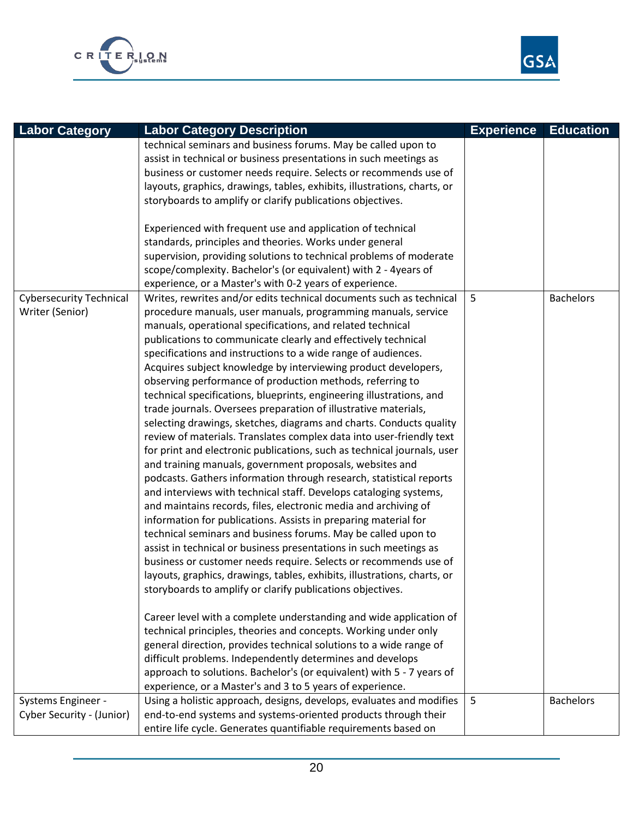



| <b>Labor Category</b>          | <b>Labor Category Description</b>                                                                                           | <b>Experience</b> | <b>Education</b> |
|--------------------------------|-----------------------------------------------------------------------------------------------------------------------------|-------------------|------------------|
|                                | technical seminars and business forums. May be called upon to                                                               |                   |                  |
|                                | assist in technical or business presentations in such meetings as                                                           |                   |                  |
|                                | business or customer needs require. Selects or recommends use of                                                            |                   |                  |
|                                | layouts, graphics, drawings, tables, exhibits, illustrations, charts, or                                                    |                   |                  |
|                                | storyboards to amplify or clarify publications objectives.                                                                  |                   |                  |
|                                | Experienced with frequent use and application of technical                                                                  |                   |                  |
|                                | standards, principles and theories. Works under general                                                                     |                   |                  |
|                                | supervision, providing solutions to technical problems of moderate                                                          |                   |                  |
|                                | scope/complexity. Bachelor's (or equivalent) with 2 - 4years of                                                             |                   |                  |
|                                | experience, or a Master's with 0-2 years of experience.                                                                     |                   |                  |
|                                | Writes, rewrites and/or edits technical documents such as technical                                                         | 5                 | <b>Bachelors</b> |
| <b>Cybersecurity Technical</b> |                                                                                                                             |                   |                  |
| Writer (Senior)                | procedure manuals, user manuals, programming manuals, service<br>manuals, operational specifications, and related technical |                   |                  |
|                                | publications to communicate clearly and effectively technical                                                               |                   |                  |
|                                | specifications and instructions to a wide range of audiences.                                                               |                   |                  |
|                                | Acquires subject knowledge by interviewing product developers,                                                              |                   |                  |
|                                | observing performance of production methods, referring to                                                                   |                   |                  |
|                                | technical specifications, blueprints, engineering illustrations, and                                                        |                   |                  |
|                                | trade journals. Oversees preparation of illustrative materials,                                                             |                   |                  |
|                                | selecting drawings, sketches, diagrams and charts. Conducts quality                                                         |                   |                  |
|                                | review of materials. Translates complex data into user-friendly text                                                        |                   |                  |
|                                | for print and electronic publications, such as technical journals, user                                                     |                   |                  |
|                                | and training manuals, government proposals, websites and                                                                    |                   |                  |
|                                | podcasts. Gathers information through research, statistical reports                                                         |                   |                  |
|                                | and interviews with technical staff. Develops cataloging systems,                                                           |                   |                  |
|                                | and maintains records, files, electronic media and archiving of                                                             |                   |                  |
|                                | information for publications. Assists in preparing material for                                                             |                   |                  |
|                                | technical seminars and business forums. May be called upon to                                                               |                   |                  |
|                                | assist in technical or business presentations in such meetings as                                                           |                   |                  |
|                                | business or customer needs require. Selects or recommends use of                                                            |                   |                  |
|                                | layouts, graphics, drawings, tables, exhibits, illustrations, charts, or                                                    |                   |                  |
|                                | storyboards to amplify or clarify publications objectives.                                                                  |                   |                  |
|                                |                                                                                                                             |                   |                  |
|                                | Career level with a complete understanding and wide application of                                                          |                   |                  |
|                                | technical principles, theories and concepts. Working under only                                                             |                   |                  |
|                                | general direction, provides technical solutions to a wide range of                                                          |                   |                  |
|                                | difficult problems. Independently determines and develops                                                                   |                   |                  |
|                                | approach to solutions. Bachelor's (or equivalent) with 5 - 7 years of                                                       |                   |                  |
|                                | experience, or a Master's and 3 to 5 years of experience.                                                                   |                   |                  |
| Systems Engineer -             | Using a holistic approach, designs, develops, evaluates and modifies                                                        | 5                 | <b>Bachelors</b> |
| Cyber Security - (Junior)      | end-to-end systems and systems-oriented products through their                                                              |                   |                  |
|                                | entire life cycle. Generates quantifiable requirements based on                                                             |                   |                  |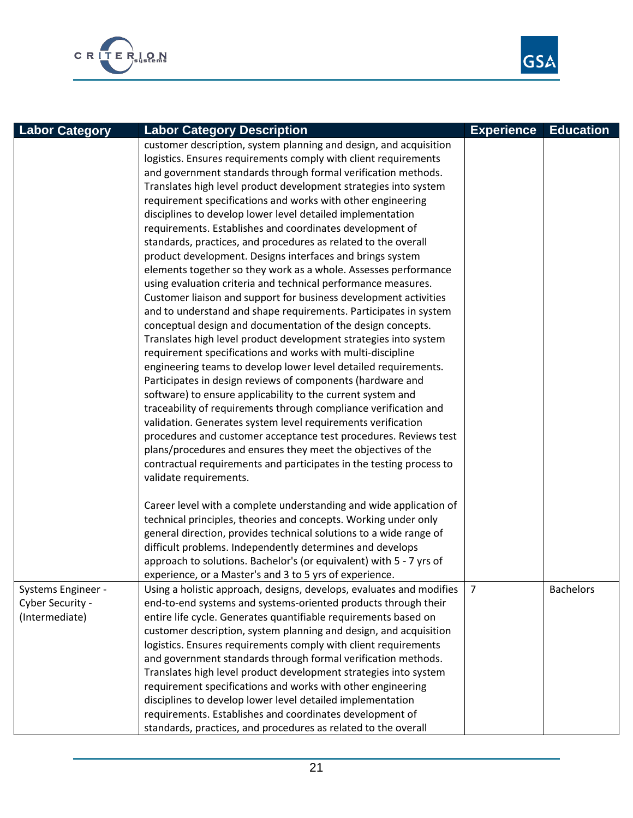



| <b>Labor Category</b> | <b>Labor Category Description</b>                                    | <b>Experience</b> | <b>Education</b> |
|-----------------------|----------------------------------------------------------------------|-------------------|------------------|
|                       | customer description, system planning and design, and acquisition    |                   |                  |
|                       | logistics. Ensures requirements comply with client requirements      |                   |                  |
|                       | and government standards through formal verification methods.        |                   |                  |
|                       | Translates high level product development strategies into system     |                   |                  |
|                       | requirement specifications and works with other engineering          |                   |                  |
|                       | disciplines to develop lower level detailed implementation           |                   |                  |
|                       | requirements. Establishes and coordinates development of             |                   |                  |
|                       | standards, practices, and procedures as related to the overall       |                   |                  |
|                       | product development. Designs interfaces and brings system            |                   |                  |
|                       | elements together so they work as a whole. Assesses performance      |                   |                  |
|                       | using evaluation criteria and technical performance measures.        |                   |                  |
|                       | Customer liaison and support for business development activities     |                   |                  |
|                       | and to understand and shape requirements. Participates in system     |                   |                  |
|                       | conceptual design and documentation of the design concepts.          |                   |                  |
|                       | Translates high level product development strategies into system     |                   |                  |
|                       | requirement specifications and works with multi-discipline           |                   |                  |
|                       | engineering teams to develop lower level detailed requirements.      |                   |                  |
|                       | Participates in design reviews of components (hardware and           |                   |                  |
|                       | software) to ensure applicability to the current system and          |                   |                  |
|                       | traceability of requirements through compliance verification and     |                   |                  |
|                       | validation. Generates system level requirements verification         |                   |                  |
|                       | procedures and customer acceptance test procedures. Reviews test     |                   |                  |
|                       | plans/procedures and ensures they meet the objectives of the         |                   |                  |
|                       | contractual requirements and participates in the testing process to  |                   |                  |
|                       | validate requirements.                                               |                   |                  |
|                       |                                                                      |                   |                  |
|                       | Career level with a complete understanding and wide application of   |                   |                  |
|                       | technical principles, theories and concepts. Working under only      |                   |                  |
|                       | general direction, provides technical solutions to a wide range of   |                   |                  |
|                       | difficult problems. Independently determines and develops            |                   |                  |
|                       | approach to solutions. Bachelor's (or equivalent) with 5 - 7 yrs of  |                   |                  |
|                       | experience, or a Master's and 3 to 5 yrs of experience.              |                   |                  |
| Systems Engineer -    | Using a holistic approach, designs, develops, evaluates and modifies | 7                 | <b>Bachelors</b> |
| Cyber Security -      | end-to-end systems and systems-oriented products through their       |                   |                  |
| (Intermediate)        | entire life cycle. Generates quantifiable requirements based on      |                   |                  |
|                       | customer description, system planning and design, and acquisition    |                   |                  |
|                       | logistics. Ensures requirements comply with client requirements      |                   |                  |
|                       | and government standards through formal verification methods.        |                   |                  |
|                       | Translates high level product development strategies into system     |                   |                  |
|                       | requirement specifications and works with other engineering          |                   |                  |
|                       | disciplines to develop lower level detailed implementation           |                   |                  |
|                       | requirements. Establishes and coordinates development of             |                   |                  |
|                       | standards, practices, and procedures as related to the overall       |                   |                  |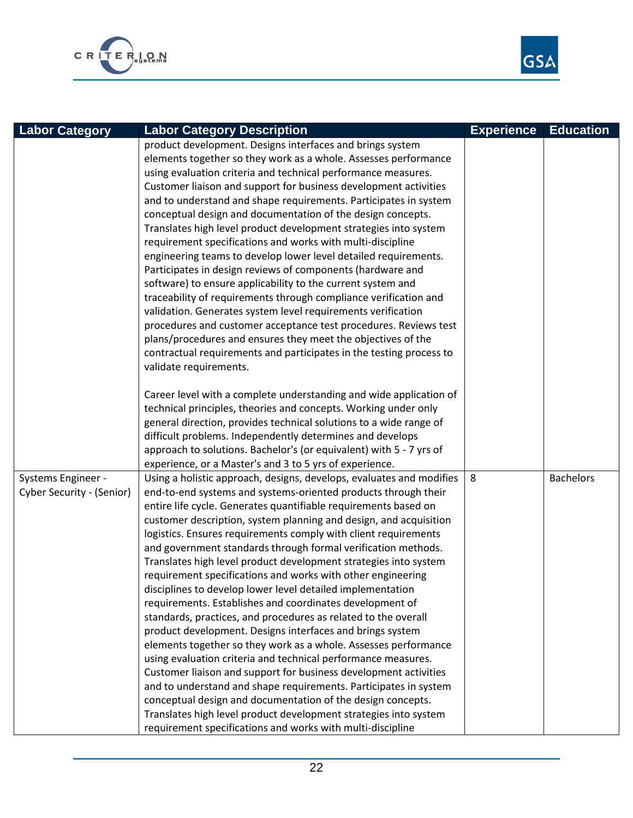



| <b>Labor Category</b>     | <b>Labor Category Description</b>                                    | <b>Experience</b> | <b>Education</b> |
|---------------------------|----------------------------------------------------------------------|-------------------|------------------|
|                           | product development. Designs interfaces and brings system            |                   |                  |
|                           | elements together so they work as a whole. Assesses performance      |                   |                  |
|                           | using evaluation criteria and technical performance measures.        |                   |                  |
|                           | Customer liaison and support for business development activities     |                   |                  |
|                           | and to understand and shape requirements. Participates in system     |                   |                  |
|                           | conceptual design and documentation of the design concepts.          |                   |                  |
|                           | Translates high level product development strategies into system     |                   |                  |
|                           | requirement specifications and works with multi-discipline           |                   |                  |
|                           | engineering teams to develop lower level detailed requirements.      |                   |                  |
|                           | Participates in design reviews of components (hardware and           |                   |                  |
|                           | software) to ensure applicability to the current system and          |                   |                  |
|                           | traceability of requirements through compliance verification and     |                   |                  |
|                           | validation. Generates system level requirements verification         |                   |                  |
|                           | procedures and customer acceptance test procedures. Reviews test     |                   |                  |
|                           | plans/procedures and ensures they meet the objectives of the         |                   |                  |
|                           | contractual requirements and participates in the testing process to  |                   |                  |
|                           | validate requirements.                                               |                   |                  |
|                           |                                                                      |                   |                  |
|                           | Career level with a complete understanding and wide application of   |                   |                  |
|                           | technical principles, theories and concepts. Working under only      |                   |                  |
|                           | general direction, provides technical solutions to a wide range of   |                   |                  |
|                           | difficult problems. Independently determines and develops            |                   |                  |
|                           | approach to solutions. Bachelor's (or equivalent) with 5 - 7 yrs of  |                   |                  |
|                           | experience, or a Master's and 3 to 5 yrs of experience.              |                   |                  |
| Systems Engineer -        | Using a holistic approach, designs, develops, evaluates and modifies | 8                 | <b>Bachelors</b> |
| Cyber Security - (Senior) | end-to-end systems and systems-oriented products through their       |                   |                  |
|                           | entire life cycle. Generates quantifiable requirements based on      |                   |                  |
|                           | customer description, system planning and design, and acquisition    |                   |                  |
|                           | logistics. Ensures requirements comply with client requirements      |                   |                  |
|                           | and government standards through formal verification methods.        |                   |                  |
|                           | Translates high level product development strategies into system     |                   |                  |
|                           | requirement specifications and works with other engineering          |                   |                  |
|                           | disciplines to develop lower level detailed implementation           |                   |                  |
|                           | requirements. Establishes and coordinates development of             |                   |                  |
|                           | standards, practices, and procedures as related to the overall       |                   |                  |
|                           | product development. Designs interfaces and brings system            |                   |                  |
|                           | elements together so they work as a whole. Assesses performance      |                   |                  |
|                           | using evaluation criteria and technical performance measures.        |                   |                  |
|                           | Customer liaison and support for business development activities     |                   |                  |
|                           | and to understand and shape requirements. Participates in system     |                   |                  |
|                           | conceptual design and documentation of the design concepts.          |                   |                  |
|                           | Translates high level product development strategies into system     |                   |                  |
|                           | requirement specifications and works with multi-discipline           |                   |                  |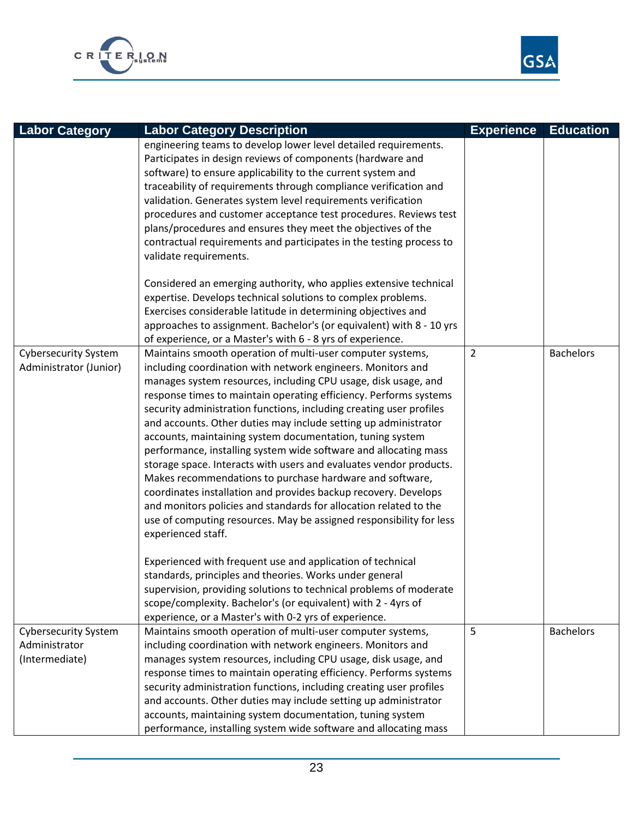



| <b>Labor Category</b>       | <b>Labor Category Description</b>                                                                                                   | <b>Experience</b> | <b>Education</b> |
|-----------------------------|-------------------------------------------------------------------------------------------------------------------------------------|-------------------|------------------|
|                             | engineering teams to develop lower level detailed requirements.                                                                     |                   |                  |
|                             | Participates in design reviews of components (hardware and                                                                          |                   |                  |
|                             | software) to ensure applicability to the current system and                                                                         |                   |                  |
|                             | traceability of requirements through compliance verification and                                                                    |                   |                  |
|                             | validation. Generates system level requirements verification                                                                        |                   |                  |
|                             | procedures and customer acceptance test procedures. Reviews test                                                                    |                   |                  |
|                             | plans/procedures and ensures they meet the objectives of the                                                                        |                   |                  |
|                             | contractual requirements and participates in the testing process to                                                                 |                   |                  |
|                             | validate requirements.                                                                                                              |                   |                  |
|                             | Considered an emerging authority, who applies extensive technical                                                                   |                   |                  |
|                             | expertise. Develops technical solutions to complex problems.                                                                        |                   |                  |
|                             | Exercises considerable latitude in determining objectives and                                                                       |                   |                  |
|                             | approaches to assignment. Bachelor's (or equivalent) with 8 - 10 yrs                                                                |                   |                  |
|                             | of experience, or a Master's with 6 - 8 yrs of experience.                                                                          |                   |                  |
| <b>Cybersecurity System</b> | Maintains smooth operation of multi-user computer systems,                                                                          | $\overline{2}$    | <b>Bachelors</b> |
| Administrator (Junior)      | including coordination with network engineers. Monitors and                                                                         |                   |                  |
|                             | manages system resources, including CPU usage, disk usage, and                                                                      |                   |                  |
|                             | response times to maintain operating efficiency. Performs systems                                                                   |                   |                  |
|                             | security administration functions, including creating user profiles                                                                 |                   |                  |
|                             | and accounts. Other duties may include setting up administrator                                                                     |                   |                  |
|                             | accounts, maintaining system documentation, tuning system                                                                           |                   |                  |
|                             | performance, installing system wide software and allocating mass                                                                    |                   |                  |
|                             | storage space. Interacts with users and evaluates vendor products.                                                                  |                   |                  |
|                             | Makes recommendations to purchase hardware and software,                                                                            |                   |                  |
|                             | coordinates installation and provides backup recovery. Develops                                                                     |                   |                  |
|                             | and monitors policies and standards for allocation related to the                                                                   |                   |                  |
|                             | use of computing resources. May be assigned responsibility for less                                                                 |                   |                  |
|                             | experienced staff.                                                                                                                  |                   |                  |
|                             |                                                                                                                                     |                   |                  |
|                             | Experienced with frequent use and application of technical                                                                          |                   |                  |
|                             | standards, principles and theories. Works under general                                                                             |                   |                  |
|                             | supervision, providing solutions to technical problems of moderate<br>scope/complexity. Bachelor's (or equivalent) with 2 - 4yrs of |                   |                  |
|                             |                                                                                                                                     |                   |                  |
| <b>Cybersecurity System</b> | experience, or a Master's with 0-2 yrs of experience.<br>Maintains smooth operation of multi-user computer systems,                 | 5                 | <b>Bachelors</b> |
| Administrator               | including coordination with network engineers. Monitors and                                                                         |                   |                  |
| (Intermediate)              | manages system resources, including CPU usage, disk usage, and                                                                      |                   |                  |
|                             | response times to maintain operating efficiency. Performs systems                                                                   |                   |                  |
|                             | security administration functions, including creating user profiles                                                                 |                   |                  |
|                             | and accounts. Other duties may include setting up administrator                                                                     |                   |                  |
|                             | accounts, maintaining system documentation, tuning system                                                                           |                   |                  |
|                             | performance, installing system wide software and allocating mass                                                                    |                   |                  |
|                             |                                                                                                                                     |                   |                  |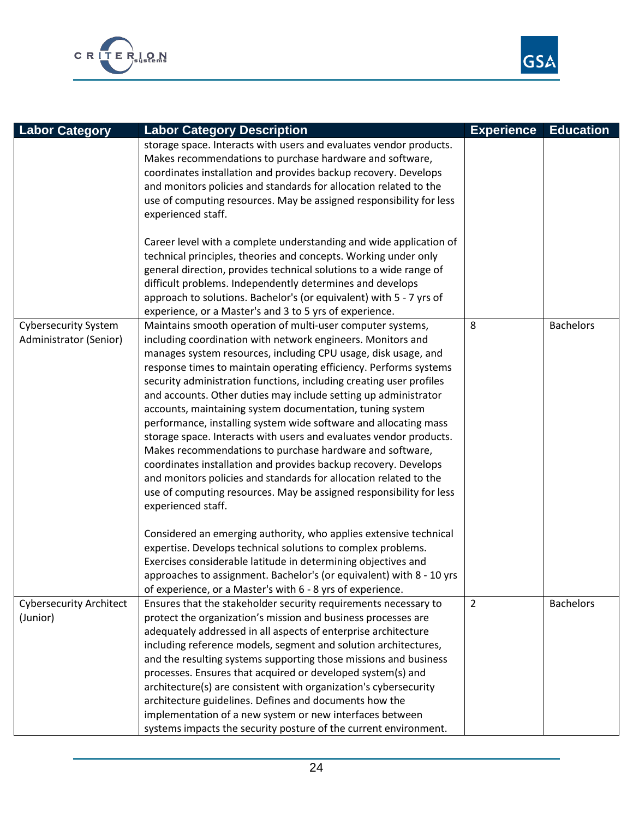



| <b>Labor Category</b>                                 | <b>Labor Category Description</b>                                                                                                                                                                                                                                                                                                                                                                                                                                                                                                                                                                                                                                                                                                                                                                                                                                                                                                                                                       | <b>Experience</b> | <b>Education</b> |
|-------------------------------------------------------|-----------------------------------------------------------------------------------------------------------------------------------------------------------------------------------------------------------------------------------------------------------------------------------------------------------------------------------------------------------------------------------------------------------------------------------------------------------------------------------------------------------------------------------------------------------------------------------------------------------------------------------------------------------------------------------------------------------------------------------------------------------------------------------------------------------------------------------------------------------------------------------------------------------------------------------------------------------------------------------------|-------------------|------------------|
|                                                       | storage space. Interacts with users and evaluates vendor products.<br>Makes recommendations to purchase hardware and software,<br>coordinates installation and provides backup recovery. Develops<br>and monitors policies and standards for allocation related to the<br>use of computing resources. May be assigned responsibility for less<br>experienced staff.                                                                                                                                                                                                                                                                                                                                                                                                                                                                                                                                                                                                                     |                   |                  |
|                                                       | Career level with a complete understanding and wide application of<br>technical principles, theories and concepts. Working under only<br>general direction, provides technical solutions to a wide range of<br>difficult problems. Independently determines and develops<br>approach to solutions. Bachelor's (or equivalent) with 5 - 7 yrs of<br>experience, or a Master's and 3 to 5 yrs of experience.                                                                                                                                                                                                                                                                                                                                                                                                                                                                                                                                                                              |                   |                  |
| <b>Cybersecurity System</b><br>Administrator (Senior) | Maintains smooth operation of multi-user computer systems,<br>including coordination with network engineers. Monitors and<br>manages system resources, including CPU usage, disk usage, and<br>response times to maintain operating efficiency. Performs systems<br>security administration functions, including creating user profiles<br>and accounts. Other duties may include setting up administrator<br>accounts, maintaining system documentation, tuning system<br>performance, installing system wide software and allocating mass<br>storage space. Interacts with users and evaluates vendor products.<br>Makes recommendations to purchase hardware and software,<br>coordinates installation and provides backup recovery. Develops<br>and monitors policies and standards for allocation related to the<br>use of computing resources. May be assigned responsibility for less<br>experienced staff.<br>Considered an emerging authority, who applies extensive technical | 8                 | <b>Bachelors</b> |
|                                                       | expertise. Develops technical solutions to complex problems.<br>Exercises considerable latitude in determining objectives and<br>approaches to assignment. Bachelor's (or equivalent) with 8 - 10 yrs<br>of experience, or a Master's with 6 - 8 yrs of experience.                                                                                                                                                                                                                                                                                                                                                                                                                                                                                                                                                                                                                                                                                                                     |                   |                  |
| <b>Cybersecurity Architect</b><br>(Junior)            | Ensures that the stakeholder security requirements necessary to<br>protect the organization's mission and business processes are<br>adequately addressed in all aspects of enterprise architecture<br>including reference models, segment and solution architectures,                                                                                                                                                                                                                                                                                                                                                                                                                                                                                                                                                                                                                                                                                                                   | $\overline{2}$    | <b>Bachelors</b> |
|                                                       | and the resulting systems supporting those missions and business<br>processes. Ensures that acquired or developed system(s) and<br>architecture(s) are consistent with organization's cybersecurity<br>architecture guidelines. Defines and documents how the<br>implementation of a new system or new interfaces between<br>systems impacts the security posture of the current environment.                                                                                                                                                                                                                                                                                                                                                                                                                                                                                                                                                                                           |                   |                  |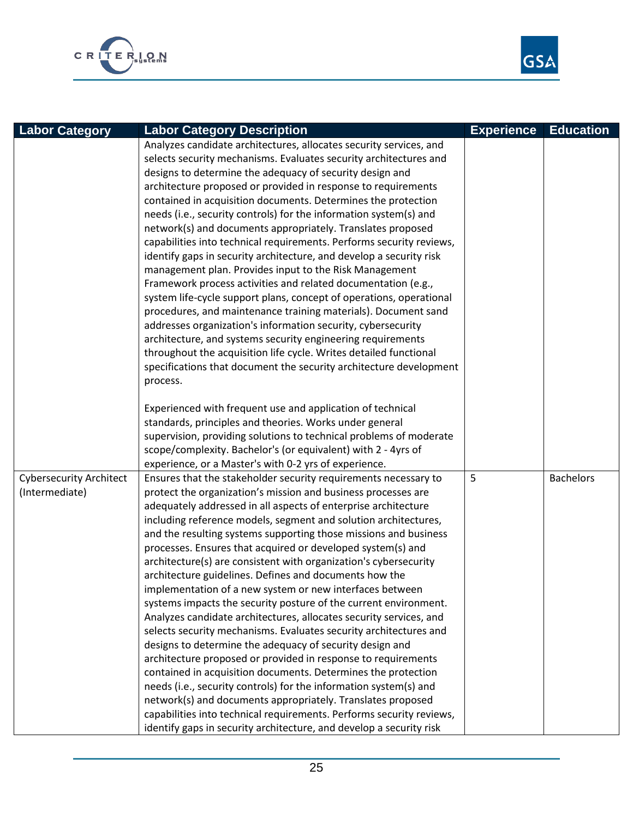



| <b>Labor Category</b>                            | <b>Labor Category Description</b>                                                                                                                                                                                                                                                                                                                                                                                                                                                                                                                                                                                                                                                                                                                                                                                                                                                                                                                                                                                                                                                                                                                                                                                                                                                                  | <b>Experience</b> | <b>Education</b> |
|--------------------------------------------------|----------------------------------------------------------------------------------------------------------------------------------------------------------------------------------------------------------------------------------------------------------------------------------------------------------------------------------------------------------------------------------------------------------------------------------------------------------------------------------------------------------------------------------------------------------------------------------------------------------------------------------------------------------------------------------------------------------------------------------------------------------------------------------------------------------------------------------------------------------------------------------------------------------------------------------------------------------------------------------------------------------------------------------------------------------------------------------------------------------------------------------------------------------------------------------------------------------------------------------------------------------------------------------------------------|-------------------|------------------|
|                                                  | Analyzes candidate architectures, allocates security services, and<br>selects security mechanisms. Evaluates security architectures and<br>designs to determine the adequacy of security design and<br>architecture proposed or provided in response to requirements<br>contained in acquisition documents. Determines the protection<br>needs (i.e., security controls) for the information system(s) and<br>network(s) and documents appropriately. Translates proposed<br>capabilities into technical requirements. Performs security reviews,<br>identify gaps in security architecture, and develop a security risk<br>management plan. Provides input to the Risk Management<br>Framework process activities and related documentation (e.g.,<br>system life-cycle support plans, concept of operations, operational<br>procedures, and maintenance training materials). Document sand<br>addresses organization's information security, cybersecurity<br>architecture, and systems security engineering requirements<br>throughout the acquisition life cycle. Writes detailed functional<br>specifications that document the security architecture development<br>process.                                                                                                                 |                   |                  |
|                                                  | Experienced with frequent use and application of technical<br>standards, principles and theories. Works under general<br>supervision, providing solutions to technical problems of moderate<br>scope/complexity. Bachelor's (or equivalent) with 2 - 4yrs of<br>experience, or a Master's with 0-2 yrs of experience.                                                                                                                                                                                                                                                                                                                                                                                                                                                                                                                                                                                                                                                                                                                                                                                                                                                                                                                                                                              |                   |                  |
| <b>Cybersecurity Architect</b><br>(Intermediate) | Ensures that the stakeholder security requirements necessary to<br>protect the organization's mission and business processes are<br>adequately addressed in all aspects of enterprise architecture<br>including reference models, segment and solution architectures,<br>and the resulting systems supporting those missions and business<br>processes. Ensures that acquired or developed system(s) and<br>architecture(s) are consistent with organization's cybersecurity<br>architecture guidelines. Defines and documents how the<br>implementation of a new system or new interfaces between<br>systems impacts the security posture of the current environment.<br>Analyzes candidate architectures, allocates security services, and<br>selects security mechanisms. Evaluates security architectures and<br>designs to determine the adequacy of security design and<br>architecture proposed or provided in response to requirements<br>contained in acquisition documents. Determines the protection<br>needs (i.e., security controls) for the information system(s) and<br>network(s) and documents appropriately. Translates proposed<br>capabilities into technical requirements. Performs security reviews,<br>identify gaps in security architecture, and develop a security risk | 5                 | <b>Bachelors</b> |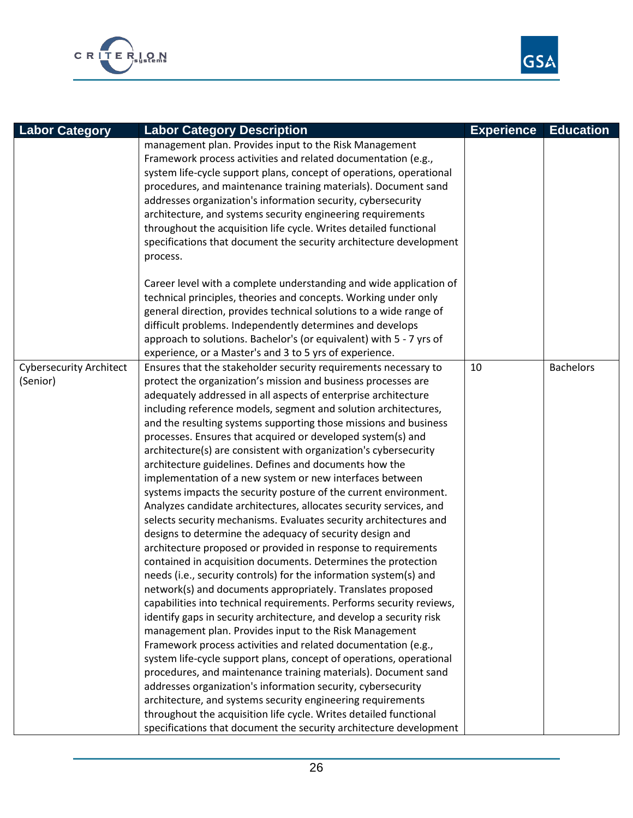



| <b>Labor Category</b>          | <b>Labor Category Description</b>                                    | <b>Experience</b> | <b>Education</b> |
|--------------------------------|----------------------------------------------------------------------|-------------------|------------------|
|                                | management plan. Provides input to the Risk Management               |                   |                  |
|                                | Framework process activities and related documentation (e.g.,        |                   |                  |
|                                | system life-cycle support plans, concept of operations, operational  |                   |                  |
|                                | procedures, and maintenance training materials). Document sand       |                   |                  |
|                                | addresses organization's information security, cybersecurity         |                   |                  |
|                                | architecture, and systems security engineering requirements          |                   |                  |
|                                | throughout the acquisition life cycle. Writes detailed functional    |                   |                  |
|                                | specifications that document the security architecture development   |                   |                  |
|                                | process.                                                             |                   |                  |
|                                |                                                                      |                   |                  |
|                                | Career level with a complete understanding and wide application of   |                   |                  |
|                                | technical principles, theories and concepts. Working under only      |                   |                  |
|                                | general direction, provides technical solutions to a wide range of   |                   |                  |
|                                | difficult problems. Independently determines and develops            |                   |                  |
|                                | approach to solutions. Bachelor's (or equivalent) with 5 - 7 yrs of  |                   |                  |
|                                | experience, or a Master's and 3 to 5 yrs of experience.              |                   |                  |
| <b>Cybersecurity Architect</b> | Ensures that the stakeholder security requirements necessary to      | 10                | <b>Bachelors</b> |
| (Senior)                       | protect the organization's mission and business processes are        |                   |                  |
|                                | adequately addressed in all aspects of enterprise architecture       |                   |                  |
|                                | including reference models, segment and solution architectures,      |                   |                  |
|                                | and the resulting systems supporting those missions and business     |                   |                  |
|                                | processes. Ensures that acquired or developed system(s) and          |                   |                  |
|                                | architecture(s) are consistent with organization's cybersecurity     |                   |                  |
|                                | architecture guidelines. Defines and documents how the               |                   |                  |
|                                | implementation of a new system or new interfaces between             |                   |                  |
|                                | systems impacts the security posture of the current environment.     |                   |                  |
|                                | Analyzes candidate architectures, allocates security services, and   |                   |                  |
|                                | selects security mechanisms. Evaluates security architectures and    |                   |                  |
|                                | designs to determine the adequacy of security design and             |                   |                  |
|                                | architecture proposed or provided in response to requirements        |                   |                  |
|                                | contained in acquisition documents. Determines the protection        |                   |                  |
|                                | needs (i.e., security controls) for the information system(s) and    |                   |                  |
|                                | network(s) and documents appropriately. Translates proposed          |                   |                  |
|                                | capabilities into technical requirements. Performs security reviews, |                   |                  |
|                                | identify gaps in security architecture, and develop a security risk  |                   |                  |
|                                | management plan. Provides input to the Risk Management               |                   |                  |
|                                | Framework process activities and related documentation (e.g.,        |                   |                  |
|                                | system life-cycle support plans, concept of operations, operational  |                   |                  |
|                                | procedures, and maintenance training materials). Document sand       |                   |                  |
|                                | addresses organization's information security, cybersecurity         |                   |                  |
|                                | architecture, and systems security engineering requirements          |                   |                  |
|                                | throughout the acquisition life cycle. Writes detailed functional    |                   |                  |
|                                | specifications that document the security architecture development   |                   |                  |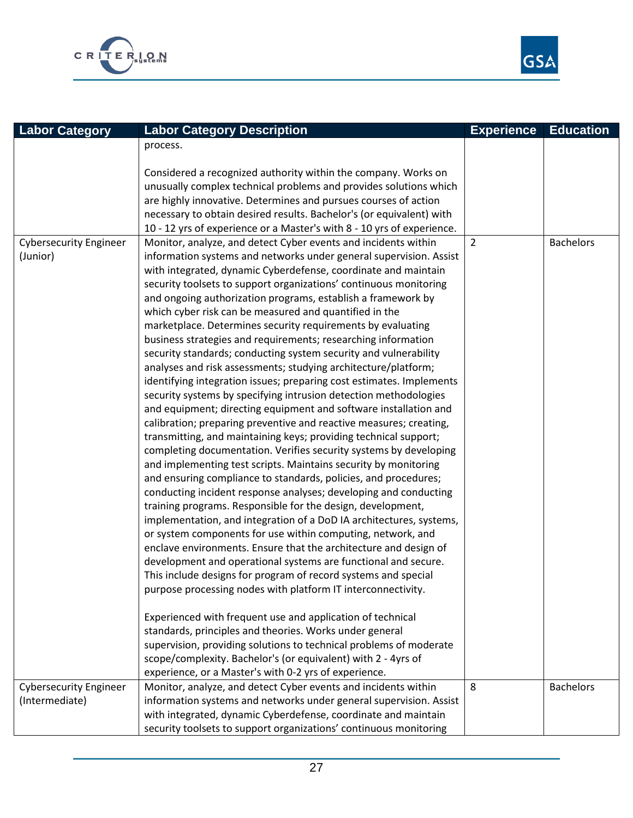



| <b>Labor Category</b>         | <b>Labor Category Description</b>                                      | <b>Experience</b> | <b>Education</b> |
|-------------------------------|------------------------------------------------------------------------|-------------------|------------------|
|                               | process.                                                               |                   |                  |
|                               |                                                                        |                   |                  |
|                               | Considered a recognized authority within the company. Works on         |                   |                  |
|                               | unusually complex technical problems and provides solutions which      |                   |                  |
|                               | are highly innovative. Determines and pursues courses of action        |                   |                  |
|                               | necessary to obtain desired results. Bachelor's (or equivalent) with   |                   |                  |
|                               | 10 - 12 yrs of experience or a Master's with 8 - 10 yrs of experience. |                   |                  |
| <b>Cybersecurity Engineer</b> | Monitor, analyze, and detect Cyber events and incidents within         | $\overline{2}$    | <b>Bachelors</b> |
| (Junior)                      | information systems and networks under general supervision. Assist     |                   |                  |
|                               | with integrated, dynamic Cyberdefense, coordinate and maintain         |                   |                  |
|                               | security toolsets to support organizations' continuous monitoring      |                   |                  |
|                               | and ongoing authorization programs, establish a framework by           |                   |                  |
|                               | which cyber risk can be measured and quantified in the                 |                   |                  |
|                               | marketplace. Determines security requirements by evaluating            |                   |                  |
|                               | business strategies and requirements; researching information          |                   |                  |
|                               | security standards; conducting system security and vulnerability       |                   |                  |
|                               | analyses and risk assessments; studying architecture/platform;         |                   |                  |
|                               | identifying integration issues; preparing cost estimates. Implements   |                   |                  |
|                               | security systems by specifying intrusion detection methodologies       |                   |                  |
|                               | and equipment; directing equipment and software installation and       |                   |                  |
|                               | calibration; preparing preventive and reactive measures; creating,     |                   |                  |
|                               | transmitting, and maintaining keys; providing technical support;       |                   |                  |
|                               | completing documentation. Verifies security systems by developing      |                   |                  |
|                               | and implementing test scripts. Maintains security by monitoring        |                   |                  |
|                               | and ensuring compliance to standards, policies, and procedures;        |                   |                  |
|                               | conducting incident response analyses; developing and conducting       |                   |                  |
|                               | training programs. Responsible for the design, development,            |                   |                  |
|                               | implementation, and integration of a DoD IA architectures, systems,    |                   |                  |
|                               | or system components for use within computing, network, and            |                   |                  |
|                               | enclave environments. Ensure that the architecture and design of       |                   |                  |
|                               | development and operational systems are functional and secure.         |                   |                  |
|                               | This include designs for program of record systems and special         |                   |                  |
|                               | purpose processing nodes with platform IT interconnectivity.           |                   |                  |
|                               |                                                                        |                   |                  |
|                               | Experienced with frequent use and application of technical             |                   |                  |
|                               | standards, principles and theories. Works under general                |                   |                  |
|                               | supervision, providing solutions to technical problems of moderate     |                   |                  |
|                               | scope/complexity. Bachelor's (or equivalent) with 2 - 4yrs of          |                   |                  |
|                               | experience, or a Master's with 0-2 yrs of experience.                  |                   |                  |
| <b>Cybersecurity Engineer</b> | Monitor, analyze, and detect Cyber events and incidents within         | 8                 | <b>Bachelors</b> |
| (Intermediate)                | information systems and networks under general supervision. Assist     |                   |                  |
|                               | with integrated, dynamic Cyberdefense, coordinate and maintain         |                   |                  |
|                               | security toolsets to support organizations' continuous monitoring      |                   |                  |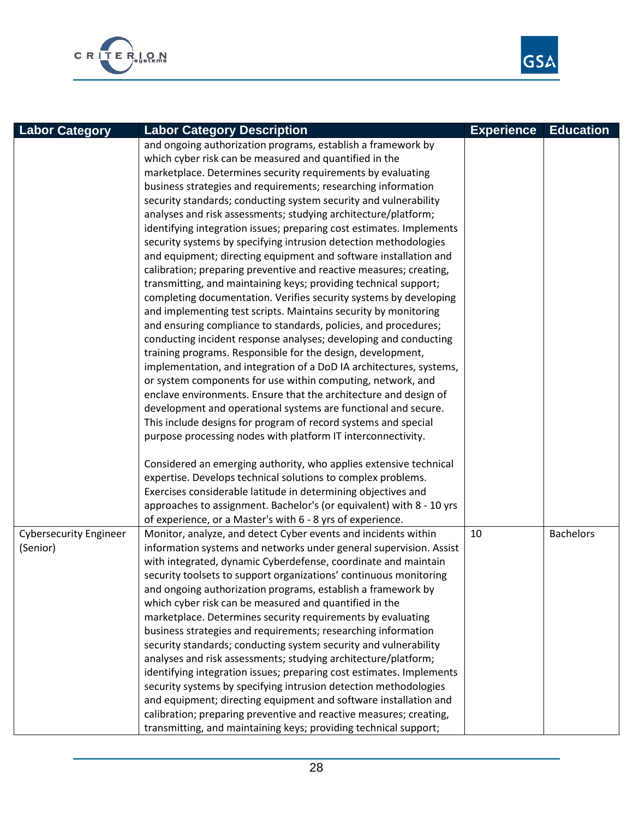



| <b>Labor Category</b>         | <b>Labor Category Description</b>                                                                                                | <b>Experience</b> | <b>Education</b> |
|-------------------------------|----------------------------------------------------------------------------------------------------------------------------------|-------------------|------------------|
|                               | and ongoing authorization programs, establish a framework by                                                                     |                   |                  |
|                               | which cyber risk can be measured and quantified in the                                                                           |                   |                  |
|                               | marketplace. Determines security requirements by evaluating                                                                      |                   |                  |
|                               | business strategies and requirements; researching information                                                                    |                   |                  |
|                               | security standards; conducting system security and vulnerability                                                                 |                   |                  |
|                               | analyses and risk assessments; studying architecture/platform;                                                                   |                   |                  |
|                               | identifying integration issues; preparing cost estimates. Implements                                                             |                   |                  |
|                               | security systems by specifying intrusion detection methodologies                                                                 |                   |                  |
|                               | and equipment; directing equipment and software installation and                                                                 |                   |                  |
|                               | calibration; preparing preventive and reactive measures; creating,                                                               |                   |                  |
|                               | transmitting, and maintaining keys; providing technical support;                                                                 |                   |                  |
|                               | completing documentation. Verifies security systems by developing                                                                |                   |                  |
|                               | and implementing test scripts. Maintains security by monitoring                                                                  |                   |                  |
|                               | and ensuring compliance to standards, policies, and procedures;                                                                  |                   |                  |
|                               | conducting incident response analyses; developing and conducting                                                                 |                   |                  |
|                               | training programs. Responsible for the design, development,                                                                      |                   |                  |
|                               | implementation, and integration of a DoD IA architectures, systems,                                                              |                   |                  |
|                               | or system components for use within computing, network, and                                                                      |                   |                  |
|                               | enclave environments. Ensure that the architecture and design of                                                                 |                   |                  |
|                               | development and operational systems are functional and secure.<br>This include designs for program of record systems and special |                   |                  |
|                               | purpose processing nodes with platform IT interconnectivity.                                                                     |                   |                  |
|                               |                                                                                                                                  |                   |                  |
|                               | Considered an emerging authority, who applies extensive technical                                                                |                   |                  |
|                               | expertise. Develops technical solutions to complex problems.                                                                     |                   |                  |
|                               | Exercises considerable latitude in determining objectives and                                                                    |                   |                  |
|                               | approaches to assignment. Bachelor's (or equivalent) with 8 - 10 yrs                                                             |                   |                  |
|                               | of experience, or a Master's with 6 - 8 yrs of experience.                                                                       |                   |                  |
| <b>Cybersecurity Engineer</b> | Monitor, analyze, and detect Cyber events and incidents within                                                                   | 10                | <b>Bachelors</b> |
| (Senior)                      | information systems and networks under general supervision. Assist                                                               |                   |                  |
|                               | with integrated, dynamic Cyberdefense, coordinate and maintain                                                                   |                   |                  |
|                               | security toolsets to support organizations' continuous monitoring                                                                |                   |                  |
|                               | and ongoing authorization programs, establish a framework by                                                                     |                   |                  |
|                               | which cyber risk can be measured and quantified in the                                                                           |                   |                  |
|                               | marketplace. Determines security requirements by evaluating                                                                      |                   |                  |
|                               | business strategies and requirements; researching information                                                                    |                   |                  |
|                               | security standards; conducting system security and vulnerability                                                                 |                   |                  |
|                               | analyses and risk assessments; studying architecture/platform;                                                                   |                   |                  |
|                               | identifying integration issues; preparing cost estimates. Implements                                                             |                   |                  |
|                               | security systems by specifying intrusion detection methodologies                                                                 |                   |                  |
|                               | and equipment; directing equipment and software installation and                                                                 |                   |                  |
|                               | calibration; preparing preventive and reactive measures; creating,                                                               |                   |                  |
|                               | transmitting, and maintaining keys; providing technical support;                                                                 |                   |                  |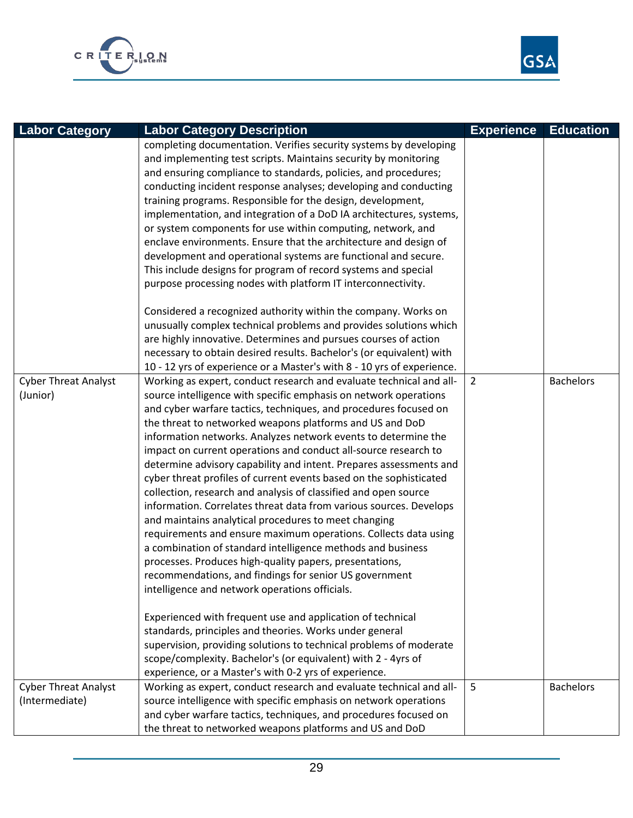



| <b>Labor Category</b><br><b>Labor Category Description</b>                                         | <b>Experience</b> | <b>Education</b> |
|----------------------------------------------------------------------------------------------------|-------------------|------------------|
| completing documentation. Verifies security systems by developing                                  |                   |                  |
| and implementing test scripts. Maintains security by monitoring                                    |                   |                  |
| and ensuring compliance to standards, policies, and procedures;                                    |                   |                  |
| conducting incident response analyses; developing and conducting                                   |                   |                  |
| training programs. Responsible for the design, development,                                        |                   |                  |
| implementation, and integration of a DoD IA architectures, systems,                                |                   |                  |
| or system components for use within computing, network, and                                        |                   |                  |
| enclave environments. Ensure that the architecture and design of                                   |                   |                  |
| development and operational systems are functional and secure.                                     |                   |                  |
| This include designs for program of record systems and special                                     |                   |                  |
| purpose processing nodes with platform IT interconnectivity.                                       |                   |                  |
| Considered a recognized authority within the company. Works on                                     |                   |                  |
| unusually complex technical problems and provides solutions which                                  |                   |                  |
| are highly innovative. Determines and pursues courses of action                                    |                   |                  |
| necessary to obtain desired results. Bachelor's (or equivalent) with                               |                   |                  |
| 10 - 12 yrs of experience or a Master's with 8 - 10 yrs of experience.                             |                   |                  |
| Working as expert, conduct research and evaluate technical and all-<br><b>Cyber Threat Analyst</b> | $\overline{2}$    | <b>Bachelors</b> |
| source intelligence with specific emphasis on network operations<br>(Junior)                       |                   |                  |
| and cyber warfare tactics, techniques, and procedures focused on                                   |                   |                  |
| the threat to networked weapons platforms and US and DoD                                           |                   |                  |
| information networks. Analyzes network events to determine the                                     |                   |                  |
| impact on current operations and conduct all-source research to                                    |                   |                  |
| determine advisory capability and intent. Prepares assessments and                                 |                   |                  |
| cyber threat profiles of current events based on the sophisticated                                 |                   |                  |
| collection, research and analysis of classified and open source                                    |                   |                  |
| information. Correlates threat data from various sources. Develops                                 |                   |                  |
| and maintains analytical procedures to meet changing                                               |                   |                  |
| requirements and ensure maximum operations. Collects data using                                    |                   |                  |
| a combination of standard intelligence methods and business                                        |                   |                  |
| processes. Produces high-quality papers, presentations,                                            |                   |                  |
| recommendations, and findings for senior US government                                             |                   |                  |
| intelligence and network operations officials.                                                     |                   |                  |
| Experienced with frequent use and application of technical                                         |                   |                  |
| standards, principles and theories. Works under general                                            |                   |                  |
| supervision, providing solutions to technical problems of moderate                                 |                   |                  |
| scope/complexity. Bachelor's (or equivalent) with 2 - 4yrs of                                      |                   |                  |
| experience, or a Master's with 0-2 yrs of experience.                                              |                   |                  |
| <b>Cyber Threat Analyst</b><br>Working as expert, conduct research and evaluate technical and all- | 5                 | <b>Bachelors</b> |
| (Intermediate)<br>source intelligence with specific emphasis on network operations                 |                   |                  |
| and cyber warfare tactics, techniques, and procedures focused on                                   |                   |                  |
| the threat to networked weapons platforms and US and DoD                                           |                   |                  |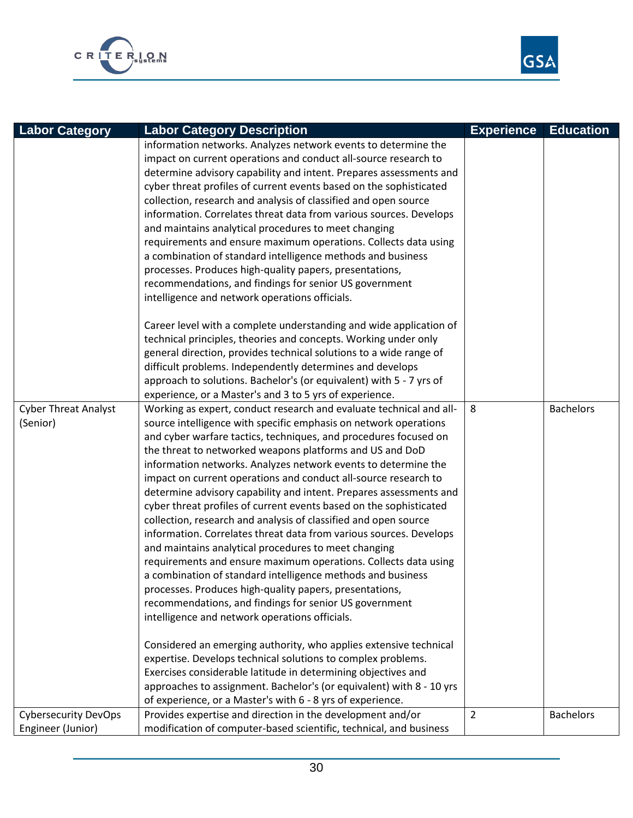



| <b>Labor Category</b>                            | <b>Labor Category Description</b>                                                                                                                                                                                                                                                                                                                                                                                                                                                                                                                                                                                                                                                                                                                                                                                                                                                                                                                                                                                                                                                                                                       | <b>Experience</b> | <b>Education</b> |
|--------------------------------------------------|-----------------------------------------------------------------------------------------------------------------------------------------------------------------------------------------------------------------------------------------------------------------------------------------------------------------------------------------------------------------------------------------------------------------------------------------------------------------------------------------------------------------------------------------------------------------------------------------------------------------------------------------------------------------------------------------------------------------------------------------------------------------------------------------------------------------------------------------------------------------------------------------------------------------------------------------------------------------------------------------------------------------------------------------------------------------------------------------------------------------------------------------|-------------------|------------------|
|                                                  | information networks. Analyzes network events to determine the<br>impact on current operations and conduct all-source research to<br>determine advisory capability and intent. Prepares assessments and<br>cyber threat profiles of current events based on the sophisticated<br>collection, research and analysis of classified and open source<br>information. Correlates threat data from various sources. Develops<br>and maintains analytical procedures to meet changing<br>requirements and ensure maximum operations. Collects data using<br>a combination of standard intelligence methods and business<br>processes. Produces high-quality papers, presentations,<br>recommendations, and findings for senior US government<br>intelligence and network operations officials.                                                                                                                                                                                                                                                                                                                                                 |                   |                  |
|                                                  | Career level with a complete understanding and wide application of<br>technical principles, theories and concepts. Working under only<br>general direction, provides technical solutions to a wide range of<br>difficult problems. Independently determines and develops<br>approach to solutions. Bachelor's (or equivalent) with 5 - 7 yrs of<br>experience, or a Master's and 3 to 5 yrs of experience.                                                                                                                                                                                                                                                                                                                                                                                                                                                                                                                                                                                                                                                                                                                              |                   |                  |
| <b>Cyber Threat Analyst</b><br>(Senior)          | Working as expert, conduct research and evaluate technical and all-<br>source intelligence with specific emphasis on network operations<br>and cyber warfare tactics, techniques, and procedures focused on<br>the threat to networked weapons platforms and US and DoD<br>information networks. Analyzes network events to determine the<br>impact on current operations and conduct all-source research to<br>determine advisory capability and intent. Prepares assessments and<br>cyber threat profiles of current events based on the sophisticated<br>collection, research and analysis of classified and open source<br>information. Correlates threat data from various sources. Develops<br>and maintains analytical procedures to meet changing<br>requirements and ensure maximum operations. Collects data using<br>a combination of standard intelligence methods and business<br>processes. Produces high-quality papers, presentations,<br>recommendations, and findings for senior US government<br>intelligence and network operations officials.<br>Considered an emerging authority, who applies extensive technical | 8                 | <b>Bachelors</b> |
|                                                  | expertise. Develops technical solutions to complex problems.<br>Exercises considerable latitude in determining objectives and<br>approaches to assignment. Bachelor's (or equivalent) with 8 - 10 yrs<br>of experience, or a Master's with 6 - 8 yrs of experience.                                                                                                                                                                                                                                                                                                                                                                                                                                                                                                                                                                                                                                                                                                                                                                                                                                                                     |                   |                  |
| <b>Cybersecurity DevOps</b><br>Engineer (Junior) | Provides expertise and direction in the development and/or<br>modification of computer-based scientific, technical, and business                                                                                                                                                                                                                                                                                                                                                                                                                                                                                                                                                                                                                                                                                                                                                                                                                                                                                                                                                                                                        | $\overline{2}$    | <b>Bachelors</b> |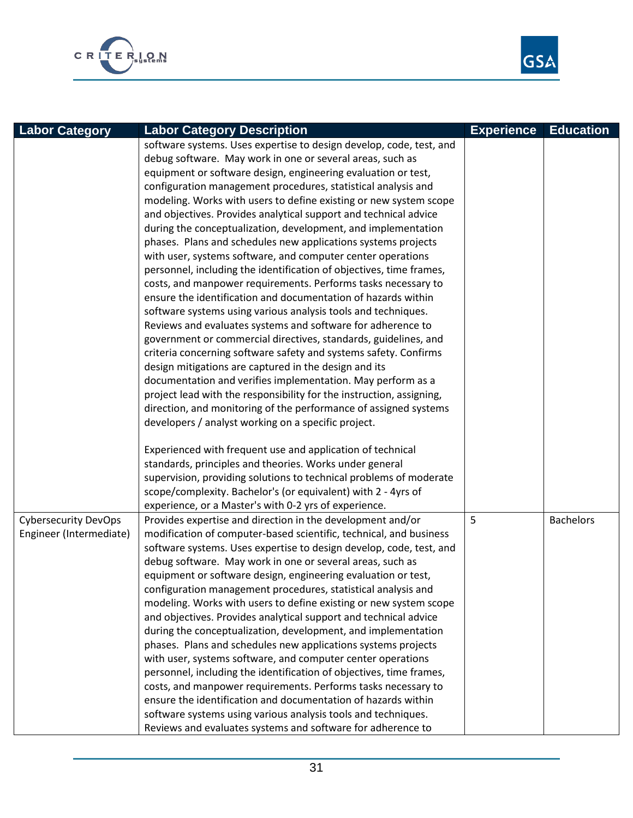



| <b>Labor Category</b>       | <b>Labor Category Description</b>                                    | <b>Experience</b> | <b>Education</b> |
|-----------------------------|----------------------------------------------------------------------|-------------------|------------------|
|                             | software systems. Uses expertise to design develop, code, test, and  |                   |                  |
|                             | debug software. May work in one or several areas, such as            |                   |                  |
|                             | equipment or software design, engineering evaluation or test,        |                   |                  |
|                             | configuration management procedures, statistical analysis and        |                   |                  |
|                             | modeling. Works with users to define existing or new system scope    |                   |                  |
|                             | and objectives. Provides analytical support and technical advice     |                   |                  |
|                             | during the conceptualization, development, and implementation        |                   |                  |
|                             | phases. Plans and schedules new applications systems projects        |                   |                  |
|                             | with user, systems software, and computer center operations          |                   |                  |
|                             | personnel, including the identification of objectives, time frames,  |                   |                  |
|                             | costs, and manpower requirements. Performs tasks necessary to        |                   |                  |
|                             | ensure the identification and documentation of hazards within        |                   |                  |
|                             | software systems using various analysis tools and techniques.        |                   |                  |
|                             | Reviews and evaluates systems and software for adherence to          |                   |                  |
|                             | government or commercial directives, standards, guidelines, and      |                   |                  |
|                             | criteria concerning software safety and systems safety. Confirms     |                   |                  |
|                             | design mitigations are captured in the design and its                |                   |                  |
|                             | documentation and verifies implementation. May perform as a          |                   |                  |
|                             | project lead with the responsibility for the instruction, assigning, |                   |                  |
|                             | direction, and monitoring of the performance of assigned systems     |                   |                  |
|                             | developers / analyst working on a specific project.                  |                   |                  |
|                             | Experienced with frequent use and application of technical           |                   |                  |
|                             | standards, principles and theories. Works under general              |                   |                  |
|                             | supervision, providing solutions to technical problems of moderate   |                   |                  |
|                             | scope/complexity. Bachelor's (or equivalent) with 2 - 4yrs of        |                   |                  |
|                             | experience, or a Master's with 0-2 yrs of experience.                |                   |                  |
| <b>Cybersecurity DevOps</b> | Provides expertise and direction in the development and/or           | 5                 | <b>Bachelors</b> |
| Engineer (Intermediate)     | modification of computer-based scientific, technical, and business   |                   |                  |
|                             | software systems. Uses expertise to design develop, code, test, and  |                   |                  |
|                             | debug software. May work in one or several areas, such as            |                   |                  |
|                             | equipment or software design, engineering evaluation or test,        |                   |                  |
|                             | configuration management procedures, statistical analysis and        |                   |                  |
|                             | modeling. Works with users to define existing or new system scope    |                   |                  |
|                             | and objectives. Provides analytical support and technical advice     |                   |                  |
|                             | during the conceptualization, development, and implementation        |                   |                  |
|                             | phases. Plans and schedules new applications systems projects        |                   |                  |
|                             | with user, systems software, and computer center operations          |                   |                  |
|                             | personnel, including the identification of objectives, time frames,  |                   |                  |
|                             | costs, and manpower requirements. Performs tasks necessary to        |                   |                  |
|                             | ensure the identification and documentation of hazards within        |                   |                  |
|                             | software systems using various analysis tools and techniques.        |                   |                  |
|                             | Reviews and evaluates systems and software for adherence to          |                   |                  |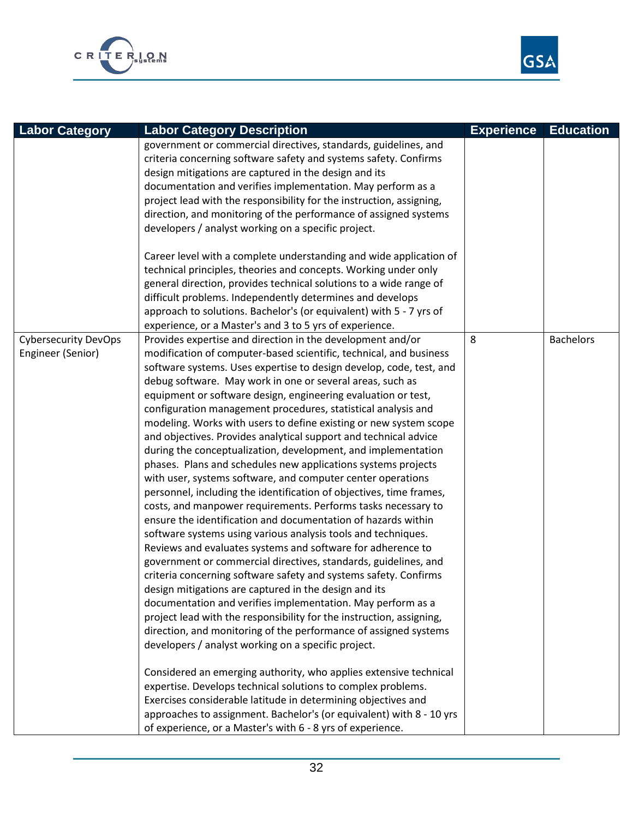



| <b>Labor Category</b>       | <b>Labor Category Description</b>                                    | <b>Experience</b> | <b>Education</b> |
|-----------------------------|----------------------------------------------------------------------|-------------------|------------------|
|                             | government or commercial directives, standards, guidelines, and      |                   |                  |
|                             | criteria concerning software safety and systems safety. Confirms     |                   |                  |
|                             | design mitigations are captured in the design and its                |                   |                  |
|                             | documentation and verifies implementation. May perform as a          |                   |                  |
|                             | project lead with the responsibility for the instruction, assigning, |                   |                  |
|                             | direction, and monitoring of the performance of assigned systems     |                   |                  |
|                             | developers / analyst working on a specific project.                  |                   |                  |
|                             | Career level with a complete understanding and wide application of   |                   |                  |
|                             | technical principles, theories and concepts. Working under only      |                   |                  |
|                             | general direction, provides technical solutions to a wide range of   |                   |                  |
|                             | difficult problems. Independently determines and develops            |                   |                  |
|                             | approach to solutions. Bachelor's (or equivalent) with 5 - 7 yrs of  |                   |                  |
|                             | experience, or a Master's and 3 to 5 yrs of experience.              |                   |                  |
| <b>Cybersecurity DevOps</b> | Provides expertise and direction in the development and/or           | 8                 | <b>Bachelors</b> |
| Engineer (Senior)           | modification of computer-based scientific, technical, and business   |                   |                  |
|                             | software systems. Uses expertise to design develop, code, test, and  |                   |                  |
|                             | debug software. May work in one or several areas, such as            |                   |                  |
|                             | equipment or software design, engineering evaluation or test,        |                   |                  |
|                             | configuration management procedures, statistical analysis and        |                   |                  |
|                             | modeling. Works with users to define existing or new system scope    |                   |                  |
|                             | and objectives. Provides analytical support and technical advice     |                   |                  |
|                             | during the conceptualization, development, and implementation        |                   |                  |
|                             | phases. Plans and schedules new applications systems projects        |                   |                  |
|                             | with user, systems software, and computer center operations          |                   |                  |
|                             | personnel, including the identification of objectives, time frames,  |                   |                  |
|                             | costs, and manpower requirements. Performs tasks necessary to        |                   |                  |
|                             | ensure the identification and documentation of hazards within        |                   |                  |
|                             | software systems using various analysis tools and techniques.        |                   |                  |
|                             | Reviews and evaluates systems and software for adherence to          |                   |                  |
|                             | government or commercial directives, standards, guidelines, and      |                   |                  |
|                             | criteria concerning software safety and systems safety. Confirms     |                   |                  |
|                             | design mitigations are captured in the design and its                |                   |                  |
|                             | documentation and verifies implementation. May perform as a          |                   |                  |
|                             | project lead with the responsibility for the instruction, assigning, |                   |                  |
|                             | direction, and monitoring of the performance of assigned systems     |                   |                  |
|                             | developers / analyst working on a specific project.                  |                   |                  |
|                             |                                                                      |                   |                  |
|                             | Considered an emerging authority, who applies extensive technical    |                   |                  |
|                             | expertise. Develops technical solutions to complex problems.         |                   |                  |
|                             | Exercises considerable latitude in determining objectives and        |                   |                  |
|                             | approaches to assignment. Bachelor's (or equivalent) with 8 - 10 yrs |                   |                  |
|                             | of experience, or a Master's with 6 - 8 yrs of experience.           |                   |                  |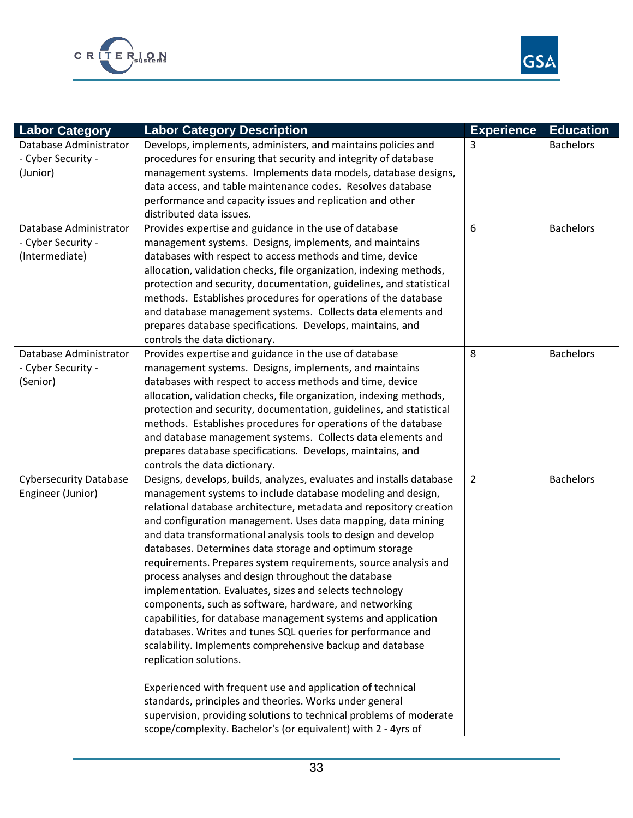



| <b>Labor Category</b>                                          | <b>Labor Category Description</b>                                                                                                                                                                                                                                                                                                                                                                                                                                                                                                                                                                                                                                                                                                                                                                                                                                                                                                                                                                                                                                                                                                           | <b>Experience</b> | <b>Education</b> |
|----------------------------------------------------------------|---------------------------------------------------------------------------------------------------------------------------------------------------------------------------------------------------------------------------------------------------------------------------------------------------------------------------------------------------------------------------------------------------------------------------------------------------------------------------------------------------------------------------------------------------------------------------------------------------------------------------------------------------------------------------------------------------------------------------------------------------------------------------------------------------------------------------------------------------------------------------------------------------------------------------------------------------------------------------------------------------------------------------------------------------------------------------------------------------------------------------------------------|-------------------|------------------|
| Database Administrator<br>- Cyber Security -<br>(Junior)       | Develops, implements, administers, and maintains policies and<br>procedures for ensuring that security and integrity of database<br>management systems. Implements data models, database designs,<br>data access, and table maintenance codes. Resolves database<br>performance and capacity issues and replication and other<br>distributed data issues.                                                                                                                                                                                                                                                                                                                                                                                                                                                                                                                                                                                                                                                                                                                                                                                   | 3                 | <b>Bachelors</b> |
| Database Administrator<br>- Cyber Security -<br>(Intermediate) | Provides expertise and guidance in the use of database<br>management systems. Designs, implements, and maintains<br>databases with respect to access methods and time, device<br>allocation, validation checks, file organization, indexing methods,<br>protection and security, documentation, guidelines, and statistical<br>methods. Establishes procedures for operations of the database<br>and database management systems. Collects data elements and<br>prepares database specifications. Develops, maintains, and<br>controls the data dictionary.                                                                                                                                                                                                                                                                                                                                                                                                                                                                                                                                                                                 | 6                 | <b>Bachelors</b> |
| Database Administrator<br>- Cyber Security -<br>(Senior)       | Provides expertise and guidance in the use of database<br>management systems. Designs, implements, and maintains<br>databases with respect to access methods and time, device<br>allocation, validation checks, file organization, indexing methods,<br>protection and security, documentation, guidelines, and statistical<br>methods. Establishes procedures for operations of the database<br>and database management systems. Collects data elements and<br>prepares database specifications. Develops, maintains, and<br>controls the data dictionary.                                                                                                                                                                                                                                                                                                                                                                                                                                                                                                                                                                                 | 8                 | <b>Bachelors</b> |
| <b>Cybersecurity Database</b><br>Engineer (Junior)             | Designs, develops, builds, analyzes, evaluates and installs database<br>management systems to include database modeling and design,<br>relational database architecture, metadata and repository creation<br>and configuration management. Uses data mapping, data mining<br>and data transformational analysis tools to design and develop<br>databases. Determines data storage and optimum storage<br>requirements. Prepares system requirements, source analysis and<br>process analyses and design throughout the database<br>implementation. Evaluates, sizes and selects technology<br>components, such as software, hardware, and networking<br>capabilities, for database management systems and application<br>databases. Writes and tunes SQL queries for performance and<br>scalability. Implements comprehensive backup and database<br>replication solutions.<br>Experienced with frequent use and application of technical<br>standards, principles and theories. Works under general<br>supervision, providing solutions to technical problems of moderate<br>scope/complexity. Bachelor's (or equivalent) with 2 - 4yrs of | $\overline{2}$    | <b>Bachelors</b> |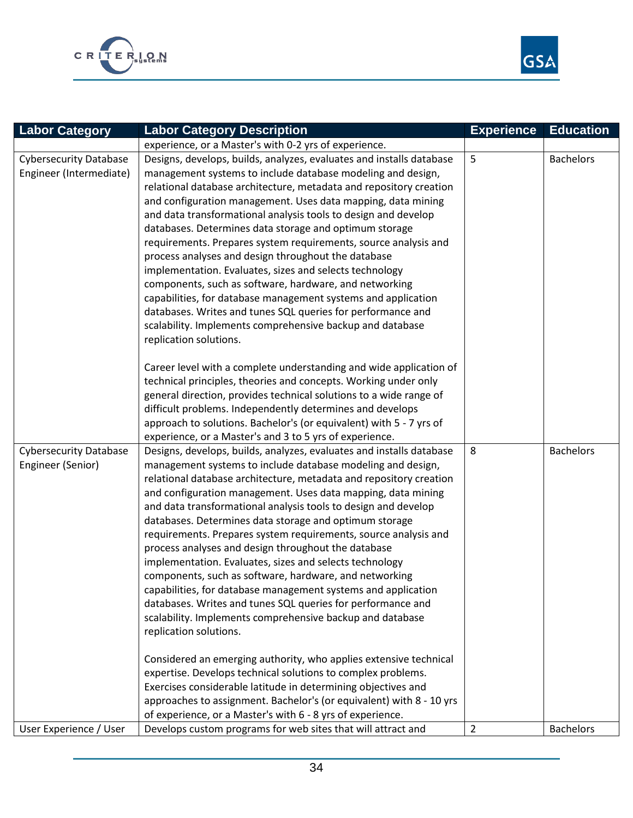



| <b>Labor Category</b>                                    | <b>Labor Category Description</b>                                                                                                                                                                                                                                                                                                                                                                                                                                                                                                                                                                                                                                                                                                                                                                                                                                           | <b>Experience</b> | <b>Education</b> |
|----------------------------------------------------------|-----------------------------------------------------------------------------------------------------------------------------------------------------------------------------------------------------------------------------------------------------------------------------------------------------------------------------------------------------------------------------------------------------------------------------------------------------------------------------------------------------------------------------------------------------------------------------------------------------------------------------------------------------------------------------------------------------------------------------------------------------------------------------------------------------------------------------------------------------------------------------|-------------------|------------------|
|                                                          | experience, or a Master's with 0-2 yrs of experience.                                                                                                                                                                                                                                                                                                                                                                                                                                                                                                                                                                                                                                                                                                                                                                                                                       |                   |                  |
| <b>Cybersecurity Database</b><br>Engineer (Intermediate) | Designs, develops, builds, analyzes, evaluates and installs database<br>management systems to include database modeling and design,<br>relational database architecture, metadata and repository creation<br>and configuration management. Uses data mapping, data mining<br>and data transformational analysis tools to design and develop<br>databases. Determines data storage and optimum storage<br>requirements. Prepares system requirements, source analysis and<br>process analyses and design throughout the database<br>implementation. Evaluates, sizes and selects technology<br>components, such as software, hardware, and networking<br>capabilities, for database management systems and application<br>databases. Writes and tunes SQL queries for performance and<br>scalability. Implements comprehensive backup and database<br>replication solutions. | 5                 | <b>Bachelors</b> |
|                                                          | Career level with a complete understanding and wide application of<br>technical principles, theories and concepts. Working under only<br>general direction, provides technical solutions to a wide range of<br>difficult problems. Independently determines and develops<br>approach to solutions. Bachelor's (or equivalent) with 5 - 7 yrs of<br>experience, or a Master's and 3 to 5 yrs of experience.                                                                                                                                                                                                                                                                                                                                                                                                                                                                  |                   |                  |
| <b>Cybersecurity Database</b><br>Engineer (Senior)       | Designs, develops, builds, analyzes, evaluates and installs database<br>management systems to include database modeling and design,<br>relational database architecture, metadata and repository creation<br>and configuration management. Uses data mapping, data mining<br>and data transformational analysis tools to design and develop<br>databases. Determines data storage and optimum storage<br>requirements. Prepares system requirements, source analysis and<br>process analyses and design throughout the database<br>implementation. Evaluates, sizes and selects technology<br>components, such as software, hardware, and networking<br>capabilities, for database management systems and application<br>databases. Writes and tunes SQL queries for performance and<br>scalability. Implements comprehensive backup and database<br>replication solutions. | 8                 | <b>Bachelors</b> |
| User Experience / User                                   | Considered an emerging authority, who applies extensive technical<br>expertise. Develops technical solutions to complex problems.<br>Exercises considerable latitude in determining objectives and<br>approaches to assignment. Bachelor's (or equivalent) with 8 - 10 yrs<br>of experience, or a Master's with 6 - 8 yrs of experience.<br>Develops custom programs for web sites that will attract and                                                                                                                                                                                                                                                                                                                                                                                                                                                                    | $\overline{2}$    | <b>Bachelors</b> |
|                                                          |                                                                                                                                                                                                                                                                                                                                                                                                                                                                                                                                                                                                                                                                                                                                                                                                                                                                             |                   |                  |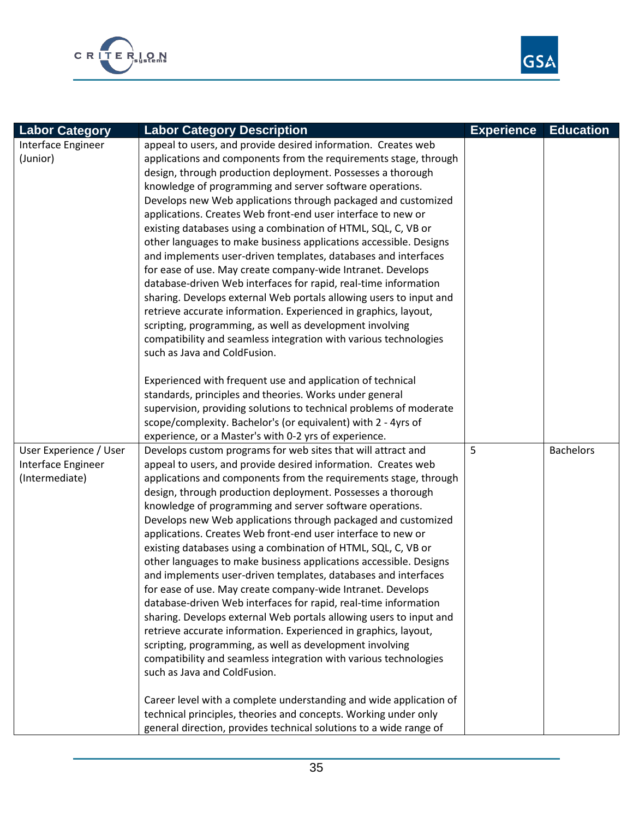



| <b>Labor Category</b>                                          | <b>Labor Category Description</b>                                                                                                                                                                                                                                                                                                                                                                                                                                                                                                                                                                                                                                                                                                                                                                                                                                                                                                                                                                                                                                                                                                                                                      | <b>Experience</b> | <b>Education</b> |
|----------------------------------------------------------------|----------------------------------------------------------------------------------------------------------------------------------------------------------------------------------------------------------------------------------------------------------------------------------------------------------------------------------------------------------------------------------------------------------------------------------------------------------------------------------------------------------------------------------------------------------------------------------------------------------------------------------------------------------------------------------------------------------------------------------------------------------------------------------------------------------------------------------------------------------------------------------------------------------------------------------------------------------------------------------------------------------------------------------------------------------------------------------------------------------------------------------------------------------------------------------------|-------------------|------------------|
| Interface Engineer<br>(Junior)                                 | appeal to users, and provide desired information. Creates web<br>applications and components from the requirements stage, through<br>design, through production deployment. Possesses a thorough<br>knowledge of programming and server software operations.<br>Develops new Web applications through packaged and customized<br>applications. Creates Web front-end user interface to new or<br>existing databases using a combination of HTML, SQL, C, VB or<br>other languages to make business applications accessible. Designs<br>and implements user-driven templates, databases and interfaces<br>for ease of use. May create company-wide Intranet. Develops<br>database-driven Web interfaces for rapid, real-time information<br>sharing. Develops external Web portals allowing users to input and<br>retrieve accurate information. Experienced in graphics, layout,<br>scripting, programming, as well as development involving<br>compatibility and seamless integration with various technologies<br>such as Java and ColdFusion.                                                                                                                                       |                   |                  |
|                                                                | Experienced with frequent use and application of technical<br>standards, principles and theories. Works under general<br>supervision, providing solutions to technical problems of moderate<br>scope/complexity. Bachelor's (or equivalent) with 2 - 4yrs of<br>experience, or a Master's with 0-2 yrs of experience.                                                                                                                                                                                                                                                                                                                                                                                                                                                                                                                                                                                                                                                                                                                                                                                                                                                                  |                   |                  |
| User Experience / User<br>Interface Engineer<br>(Intermediate) | Develops custom programs for web sites that will attract and<br>appeal to users, and provide desired information. Creates web<br>applications and components from the requirements stage, through<br>design, through production deployment. Possesses a thorough<br>knowledge of programming and server software operations.<br>Develops new Web applications through packaged and customized<br>applications. Creates Web front-end user interface to new or<br>existing databases using a combination of HTML, SQL, C, VB or<br>other languages to make business applications accessible. Designs<br>and implements user-driven templates, databases and interfaces<br>for ease of use. May create company-wide Intranet. Develops<br>database-driven Web interfaces for rapid, real-time information<br>sharing. Develops external Web portals allowing users to input and<br>retrieve accurate information. Experienced in graphics, layout,<br>scripting, programming, as well as development involving<br>compatibility and seamless integration with various technologies<br>such as Java and ColdFusion.<br>Career level with a complete understanding and wide application of | 5                 | <b>Bachelors</b> |
|                                                                | technical principles, theories and concepts. Working under only<br>general direction, provides technical solutions to a wide range of                                                                                                                                                                                                                                                                                                                                                                                                                                                                                                                                                                                                                                                                                                                                                                                                                                                                                                                                                                                                                                                  |                   |                  |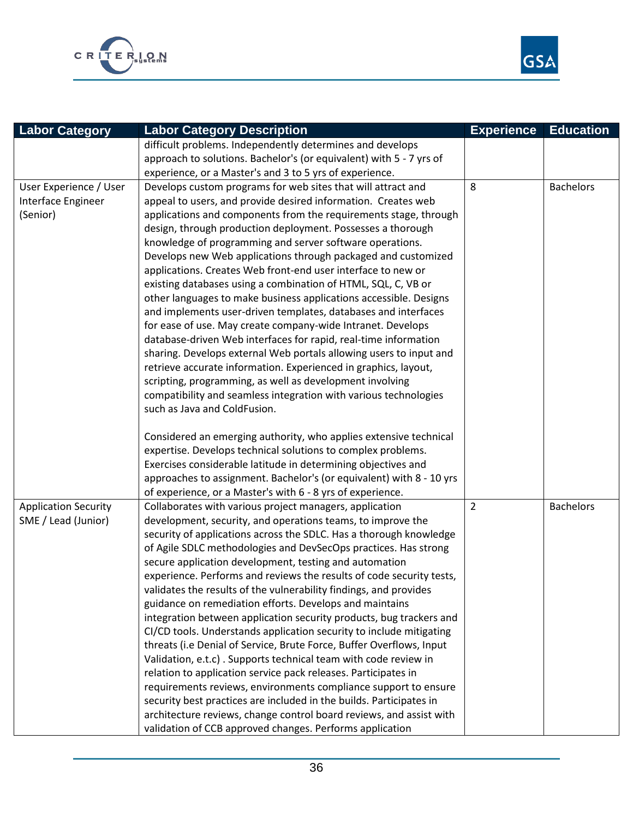



| <b>Labor Category</b>       | <b>Labor Category Description</b>                                    | <b>Experience</b> | <b>Education</b> |
|-----------------------------|----------------------------------------------------------------------|-------------------|------------------|
|                             | difficult problems. Independently determines and develops            |                   |                  |
|                             | approach to solutions. Bachelor's (or equivalent) with 5 - 7 yrs of  |                   |                  |
|                             | experience, or a Master's and 3 to 5 yrs of experience.              |                   |                  |
| User Experience / User      | Develops custom programs for web sites that will attract and         | 8                 | <b>Bachelors</b> |
| Interface Engineer          | appeal to users, and provide desired information. Creates web        |                   |                  |
| (Senior)                    | applications and components from the requirements stage, through     |                   |                  |
|                             | design, through production deployment. Possesses a thorough          |                   |                  |
|                             | knowledge of programming and server software operations.             |                   |                  |
|                             | Develops new Web applications through packaged and customized        |                   |                  |
|                             | applications. Creates Web front-end user interface to new or         |                   |                  |
|                             | existing databases using a combination of HTML, SQL, C, VB or        |                   |                  |
|                             | other languages to make business applications accessible. Designs    |                   |                  |
|                             | and implements user-driven templates, databases and interfaces       |                   |                  |
|                             | for ease of use. May create company-wide Intranet. Develops          |                   |                  |
|                             | database-driven Web interfaces for rapid, real-time information      |                   |                  |
|                             | sharing. Develops external Web portals allowing users to input and   |                   |                  |
|                             | retrieve accurate information. Experienced in graphics, layout,      |                   |                  |
|                             | scripting, programming, as well as development involving             |                   |                  |
|                             | compatibility and seamless integration with various technologies     |                   |                  |
|                             | such as Java and ColdFusion.                                         |                   |                  |
|                             | Considered an emerging authority, who applies extensive technical    |                   |                  |
|                             | expertise. Develops technical solutions to complex problems.         |                   |                  |
|                             | Exercises considerable latitude in determining objectives and        |                   |                  |
|                             | approaches to assignment. Bachelor's (or equivalent) with 8 - 10 yrs |                   |                  |
|                             | of experience, or a Master's with 6 - 8 yrs of experience.           |                   |                  |
| <b>Application Security</b> | Collaborates with various project managers, application              | $\overline{2}$    | <b>Bachelors</b> |
| SME / Lead (Junior)         | development, security, and operations teams, to improve the          |                   |                  |
|                             | security of applications across the SDLC. Has a thorough knowledge   |                   |                  |
|                             | of Agile SDLC methodologies and DevSecOps practices. Has strong      |                   |                  |
|                             | secure application development, testing and automation               |                   |                  |
|                             | experience. Performs and reviews the results of code security tests, |                   |                  |
|                             | validates the results of the vulnerability findings, and provides    |                   |                  |
|                             | guidance on remediation efforts. Develops and maintains              |                   |                  |
|                             | integration between application security products, bug trackers and  |                   |                  |
|                             | CI/CD tools. Understands application security to include mitigating  |                   |                  |
|                             | threats (i.e Denial of Service, Brute Force, Buffer Overflows, Input |                   |                  |
|                             | Validation, e.t.c). Supports technical team with code review in      |                   |                  |
|                             | relation to application service pack releases. Participates in       |                   |                  |
|                             | requirements reviews, environments compliance support to ensure      |                   |                  |
|                             | security best practices are included in the builds. Participates in  |                   |                  |
|                             | architecture reviews, change control board reviews, and assist with  |                   |                  |
|                             | validation of CCB approved changes. Performs application             |                   |                  |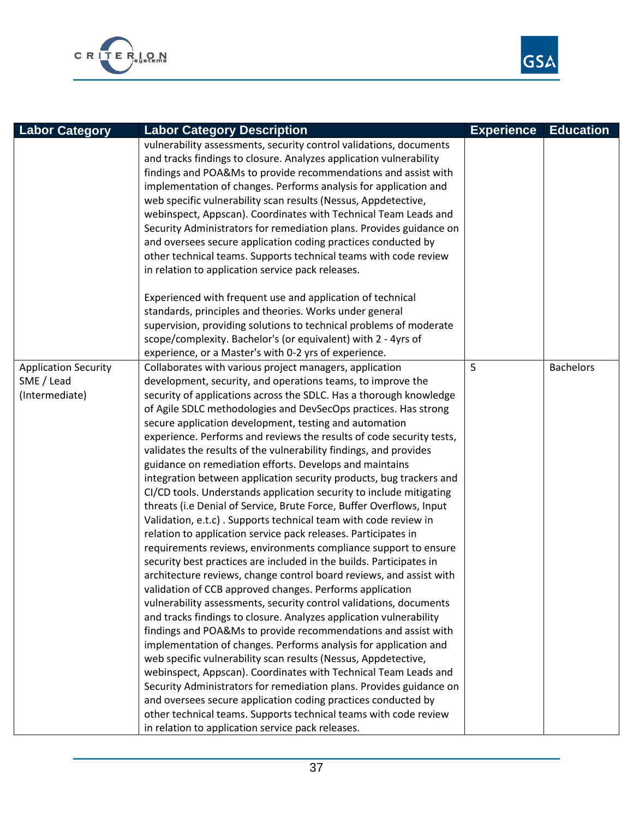



| <b>Labor Category</b>       | <b>Labor Category Description</b>                                                                                                        | <b>Experience</b> | <b>Education</b> |
|-----------------------------|------------------------------------------------------------------------------------------------------------------------------------------|-------------------|------------------|
|                             | vulnerability assessments, security control validations, documents<br>and tracks findings to closure. Analyzes application vulnerability |                   |                  |
|                             | findings and POA&Ms to provide recommendations and assist with                                                                           |                   |                  |
|                             | implementation of changes. Performs analysis for application and                                                                         |                   |                  |
|                             | web specific vulnerability scan results (Nessus, Appdetective,                                                                           |                   |                  |
|                             | webinspect, Appscan). Coordinates with Technical Team Leads and                                                                          |                   |                  |
|                             | Security Administrators for remediation plans. Provides guidance on                                                                      |                   |                  |
|                             | and oversees secure application coding practices conducted by                                                                            |                   |                  |
|                             | other technical teams. Supports technical teams with code review                                                                         |                   |                  |
|                             | in relation to application service pack releases.                                                                                        |                   |                  |
|                             | Experienced with frequent use and application of technical                                                                               |                   |                  |
|                             | standards, principles and theories. Works under general                                                                                  |                   |                  |
|                             | supervision, providing solutions to technical problems of moderate                                                                       |                   |                  |
|                             | scope/complexity. Bachelor's (or equivalent) with 2 - 4yrs of                                                                            |                   |                  |
|                             | experience, or a Master's with 0-2 yrs of experience.                                                                                    |                   |                  |
| <b>Application Security</b> | Collaborates with various project managers, application                                                                                  | 5                 | <b>Bachelors</b> |
| SME / Lead                  | development, security, and operations teams, to improve the                                                                              |                   |                  |
| (Intermediate)              | security of applications across the SDLC. Has a thorough knowledge                                                                       |                   |                  |
|                             | of Agile SDLC methodologies and DevSecOps practices. Has strong                                                                          |                   |                  |
|                             | secure application development, testing and automation                                                                                   |                   |                  |
|                             | experience. Performs and reviews the results of code security tests,                                                                     |                   |                  |
|                             | validates the results of the vulnerability findings, and provides                                                                        |                   |                  |
|                             | guidance on remediation efforts. Develops and maintains                                                                                  |                   |                  |
|                             | integration between application security products, bug trackers and                                                                      |                   |                  |
|                             | CI/CD tools. Understands application security to include mitigating                                                                      |                   |                  |
|                             | threats (i.e Denial of Service, Brute Force, Buffer Overflows, Input                                                                     |                   |                  |
|                             | Validation, e.t.c). Supports technical team with code review in                                                                          |                   |                  |
|                             | relation to application service pack releases. Participates in<br>requirements reviews, environments compliance support to ensure        |                   |                  |
|                             | security best practices are included in the builds. Participates in                                                                      |                   |                  |
|                             | architecture reviews, change control board reviews, and assist with                                                                      |                   |                  |
|                             | validation of CCB approved changes. Performs application                                                                                 |                   |                  |
|                             | vulnerability assessments, security control validations, documents                                                                       |                   |                  |
|                             | and tracks findings to closure. Analyzes application vulnerability                                                                       |                   |                  |
|                             | findings and POA&Ms to provide recommendations and assist with                                                                           |                   |                  |
|                             | implementation of changes. Performs analysis for application and                                                                         |                   |                  |
|                             | web specific vulnerability scan results (Nessus, Appdetective,                                                                           |                   |                  |
|                             | webinspect, Appscan). Coordinates with Technical Team Leads and                                                                          |                   |                  |
|                             | Security Administrators for remediation plans. Provides guidance on                                                                      |                   |                  |
|                             | and oversees secure application coding practices conducted by                                                                            |                   |                  |
|                             | other technical teams. Supports technical teams with code review                                                                         |                   |                  |
|                             | in relation to application service pack releases.                                                                                        |                   |                  |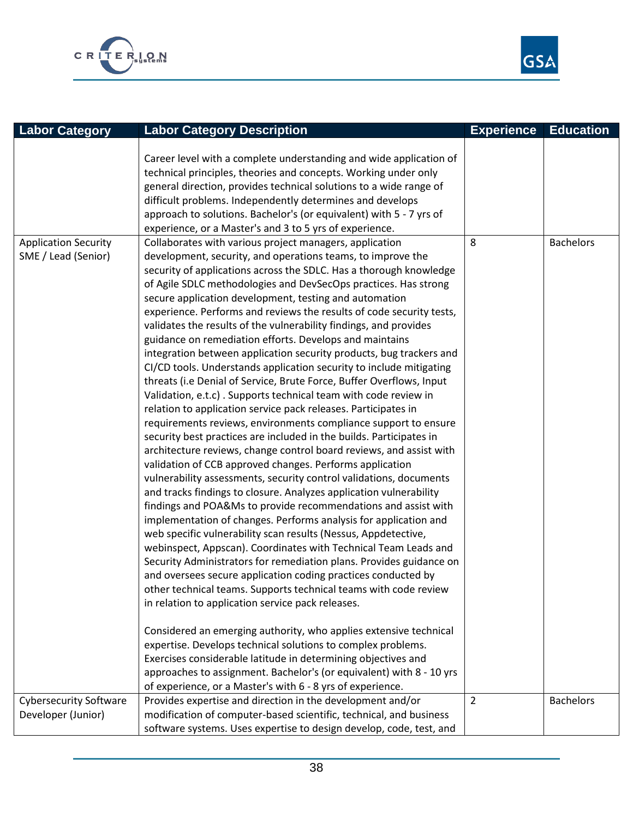



| <b>Labor Category</b>                               | <b>Labor Category Description</b>                                                                                                                                                                                                                                                                                                                                                                                                                                                                                                                                                                                                                                                                                                                                                                                                                                                                                                                                                                                                                                                                                                                                                                                                                                                                                                                                                                                                                                                                                                                                                                                                                                                                                                                                                                                                                                                                                                                                                                                                                                                                                                               | <b>Experience</b> | <b>Education</b> |
|-----------------------------------------------------|-------------------------------------------------------------------------------------------------------------------------------------------------------------------------------------------------------------------------------------------------------------------------------------------------------------------------------------------------------------------------------------------------------------------------------------------------------------------------------------------------------------------------------------------------------------------------------------------------------------------------------------------------------------------------------------------------------------------------------------------------------------------------------------------------------------------------------------------------------------------------------------------------------------------------------------------------------------------------------------------------------------------------------------------------------------------------------------------------------------------------------------------------------------------------------------------------------------------------------------------------------------------------------------------------------------------------------------------------------------------------------------------------------------------------------------------------------------------------------------------------------------------------------------------------------------------------------------------------------------------------------------------------------------------------------------------------------------------------------------------------------------------------------------------------------------------------------------------------------------------------------------------------------------------------------------------------------------------------------------------------------------------------------------------------------------------------------------------------------------------------------------------------|-------------------|------------------|
|                                                     | Career level with a complete understanding and wide application of<br>technical principles, theories and concepts. Working under only<br>general direction, provides technical solutions to a wide range of<br>difficult problems. Independently determines and develops<br>approach to solutions. Bachelor's (or equivalent) with 5 - 7 yrs of<br>experience, or a Master's and 3 to 5 yrs of experience.                                                                                                                                                                                                                                                                                                                                                                                                                                                                                                                                                                                                                                                                                                                                                                                                                                                                                                                                                                                                                                                                                                                                                                                                                                                                                                                                                                                                                                                                                                                                                                                                                                                                                                                                      |                   |                  |
| <b>Application Security</b><br>SME / Lead (Senior)  | Collaborates with various project managers, application<br>development, security, and operations teams, to improve the<br>security of applications across the SDLC. Has a thorough knowledge<br>of Agile SDLC methodologies and DevSecOps practices. Has strong<br>secure application development, testing and automation<br>experience. Performs and reviews the results of code security tests,<br>validates the results of the vulnerability findings, and provides<br>guidance on remediation efforts. Develops and maintains<br>integration between application security products, bug trackers and<br>CI/CD tools. Understands application security to include mitigating<br>threats (i.e Denial of Service, Brute Force, Buffer Overflows, Input<br>Validation, e.t.c). Supports technical team with code review in<br>relation to application service pack releases. Participates in<br>requirements reviews, environments compliance support to ensure<br>security best practices are included in the builds. Participates in<br>architecture reviews, change control board reviews, and assist with<br>validation of CCB approved changes. Performs application<br>vulnerability assessments, security control validations, documents<br>and tracks findings to closure. Analyzes application vulnerability<br>findings and POA&Ms to provide recommendations and assist with<br>implementation of changes. Performs analysis for application and<br>web specific vulnerability scan results (Nessus, Appdetective,<br>webinspect, Appscan). Coordinates with Technical Team Leads and<br>Security Administrators for remediation plans. Provides guidance on<br>and oversees secure application coding practices conducted by<br>other technical teams. Supports technical teams with code review<br>in relation to application service pack releases.<br>Considered an emerging authority, who applies extensive technical<br>expertise. Develops technical solutions to complex problems.<br>Exercises considerable latitude in determining objectives and<br>approaches to assignment. Bachelor's (or equivalent) with 8 - 10 yrs | 8                 | <b>Bachelors</b> |
| <b>Cybersecurity Software</b><br>Developer (Junior) | of experience, or a Master's with 6 - 8 yrs of experience.<br>Provides expertise and direction in the development and/or<br>modification of computer-based scientific, technical, and business<br>software systems. Uses expertise to design develop, code, test, and                                                                                                                                                                                                                                                                                                                                                                                                                                                                                                                                                                                                                                                                                                                                                                                                                                                                                                                                                                                                                                                                                                                                                                                                                                                                                                                                                                                                                                                                                                                                                                                                                                                                                                                                                                                                                                                                           | $\overline{2}$    | <b>Bachelors</b> |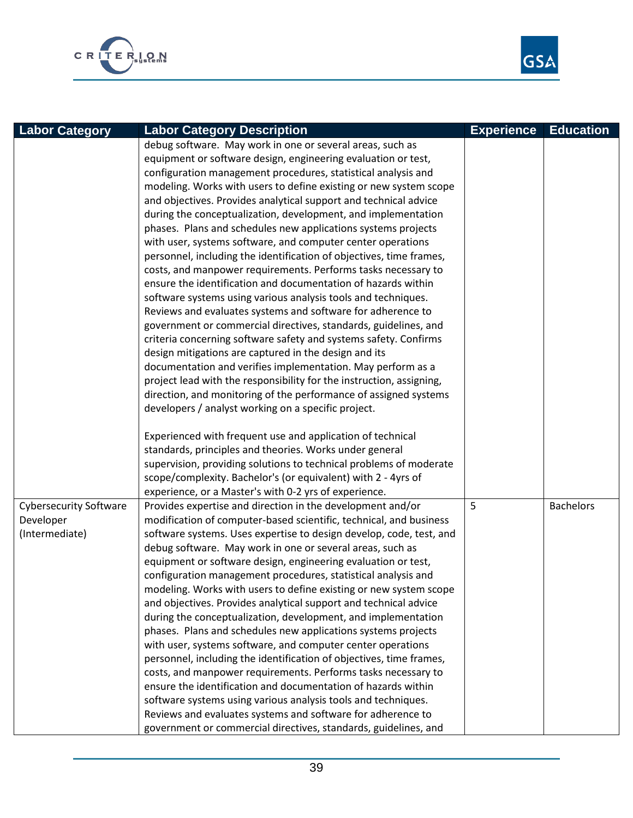



| <b>Labor Category</b>         | <b>Labor Category Description</b>                                    | <b>Experience</b> | <b>Education</b> |
|-------------------------------|----------------------------------------------------------------------|-------------------|------------------|
|                               | debug software. May work in one or several areas, such as            |                   |                  |
|                               | equipment or software design, engineering evaluation or test,        |                   |                  |
|                               | configuration management procedures, statistical analysis and        |                   |                  |
|                               | modeling. Works with users to define existing or new system scope    |                   |                  |
|                               | and objectives. Provides analytical support and technical advice     |                   |                  |
|                               | during the conceptualization, development, and implementation        |                   |                  |
|                               | phases. Plans and schedules new applications systems projects        |                   |                  |
|                               | with user, systems software, and computer center operations          |                   |                  |
|                               | personnel, including the identification of objectives, time frames,  |                   |                  |
|                               | costs, and manpower requirements. Performs tasks necessary to        |                   |                  |
|                               | ensure the identification and documentation of hazards within        |                   |                  |
|                               | software systems using various analysis tools and techniques.        |                   |                  |
|                               | Reviews and evaluates systems and software for adherence to          |                   |                  |
|                               | government or commercial directives, standards, guidelines, and      |                   |                  |
|                               | criteria concerning software safety and systems safety. Confirms     |                   |                  |
|                               | design mitigations are captured in the design and its                |                   |                  |
|                               | documentation and verifies implementation. May perform as a          |                   |                  |
|                               | project lead with the responsibility for the instruction, assigning, |                   |                  |
|                               | direction, and monitoring of the performance of assigned systems     |                   |                  |
|                               | developers / analyst working on a specific project.                  |                   |                  |
|                               |                                                                      |                   |                  |
|                               | Experienced with frequent use and application of technical           |                   |                  |
|                               | standards, principles and theories. Works under general              |                   |                  |
|                               | supervision, providing solutions to technical problems of moderate   |                   |                  |
|                               | scope/complexity. Bachelor's (or equivalent) with 2 - 4yrs of        |                   |                  |
|                               | experience, or a Master's with 0-2 yrs of experience.                |                   |                  |
| <b>Cybersecurity Software</b> | Provides expertise and direction in the development and/or           | 5                 | <b>Bachelors</b> |
| Developer                     | modification of computer-based scientific, technical, and business   |                   |                  |
| (Intermediate)                | software systems. Uses expertise to design develop, code, test, and  |                   |                  |
|                               | debug software. May work in one or several areas, such as            |                   |                  |
|                               | equipment or software design, engineering evaluation or test,        |                   |                  |
|                               | configuration management procedures, statistical analysis and        |                   |                  |
|                               | modeling. Works with users to define existing or new system scope    |                   |                  |
|                               | and objectives. Provides analytical support and technical advice     |                   |                  |
|                               | during the conceptualization, development, and implementation        |                   |                  |
|                               | phases. Plans and schedules new applications systems projects        |                   |                  |
|                               | with user, systems software, and computer center operations          |                   |                  |
|                               | personnel, including the identification of objectives, time frames,  |                   |                  |
|                               | costs, and manpower requirements. Performs tasks necessary to        |                   |                  |
|                               | ensure the identification and documentation of hazards within        |                   |                  |
|                               | software systems using various analysis tools and techniques.        |                   |                  |
|                               | Reviews and evaluates systems and software for adherence to          |                   |                  |
|                               | government or commercial directives, standards, guidelines, and      |                   |                  |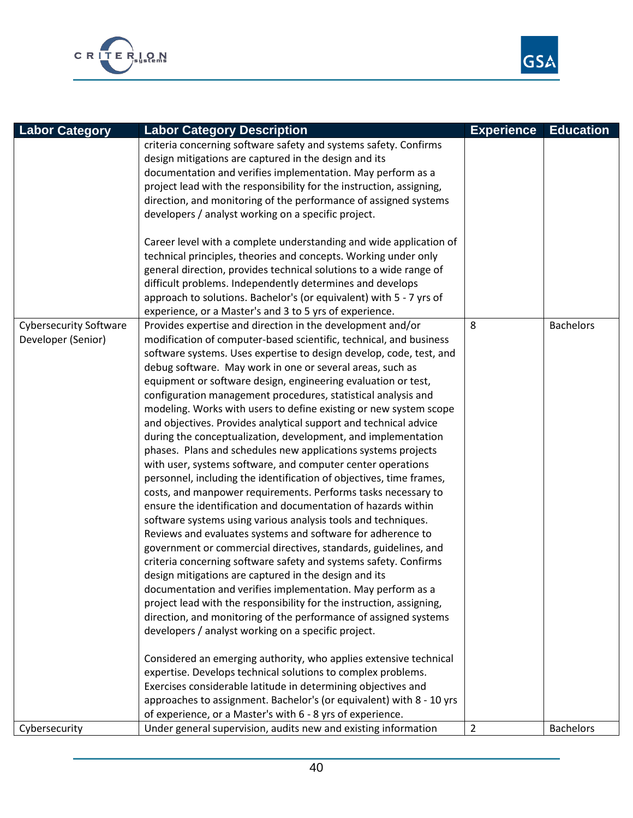



| <b>Labor Category</b>         | <b>Labor Category Description</b>                                    | <b>Experience</b> | <b>Education</b> |
|-------------------------------|----------------------------------------------------------------------|-------------------|------------------|
|                               | criteria concerning software safety and systems safety. Confirms     |                   |                  |
|                               | design mitigations are captured in the design and its                |                   |                  |
|                               | documentation and verifies implementation. May perform as a          |                   |                  |
|                               | project lead with the responsibility for the instruction, assigning, |                   |                  |
|                               | direction, and monitoring of the performance of assigned systems     |                   |                  |
|                               | developers / analyst working on a specific project.                  |                   |                  |
|                               |                                                                      |                   |                  |
|                               | Career level with a complete understanding and wide application of   |                   |                  |
|                               | technical principles, theories and concepts. Working under only      |                   |                  |
|                               | general direction, provides technical solutions to a wide range of   |                   |                  |
|                               | difficult problems. Independently determines and develops            |                   |                  |
|                               | approach to solutions. Bachelor's (or equivalent) with 5 - 7 yrs of  |                   |                  |
|                               | experience, or a Master's and 3 to 5 yrs of experience.              |                   |                  |
| <b>Cybersecurity Software</b> | Provides expertise and direction in the development and/or           | 8                 | <b>Bachelors</b> |
| Developer (Senior)            | modification of computer-based scientific, technical, and business   |                   |                  |
|                               | software systems. Uses expertise to design develop, code, test, and  |                   |                  |
|                               | debug software. May work in one or several areas, such as            |                   |                  |
|                               | equipment or software design, engineering evaluation or test,        |                   |                  |
|                               | configuration management procedures, statistical analysis and        |                   |                  |
|                               | modeling. Works with users to define existing or new system scope    |                   |                  |
|                               | and objectives. Provides analytical support and technical advice     |                   |                  |
|                               | during the conceptualization, development, and implementation        |                   |                  |
|                               | phases. Plans and schedules new applications systems projects        |                   |                  |
|                               | with user, systems software, and computer center operations          |                   |                  |
|                               | personnel, including the identification of objectives, time frames,  |                   |                  |
|                               | costs, and manpower requirements. Performs tasks necessary to        |                   |                  |
|                               | ensure the identification and documentation of hazards within        |                   |                  |
|                               | software systems using various analysis tools and techniques.        |                   |                  |
|                               | Reviews and evaluates systems and software for adherence to          |                   |                  |
|                               | government or commercial directives, standards, guidelines, and      |                   |                  |
|                               | criteria concerning software safety and systems safety. Confirms     |                   |                  |
|                               | design mitigations are captured in the design and its                |                   |                  |
|                               | documentation and verifies implementation. May perform as a          |                   |                  |
|                               | project lead with the responsibility for the instruction, assigning, |                   |                  |
|                               | direction, and monitoring of the performance of assigned systems     |                   |                  |
|                               | developers / analyst working on a specific project.                  |                   |                  |
|                               |                                                                      |                   |                  |
|                               | Considered an emerging authority, who applies extensive technical    |                   |                  |
|                               | expertise. Develops technical solutions to complex problems.         |                   |                  |
|                               | Exercises considerable latitude in determining objectives and        |                   |                  |
|                               | approaches to assignment. Bachelor's (or equivalent) with 8 - 10 yrs |                   |                  |
|                               | of experience, or a Master's with 6 - 8 yrs of experience.           |                   |                  |
| Cybersecurity                 | Under general supervision, audits new and existing information       | $\overline{2}$    | <b>Bachelors</b> |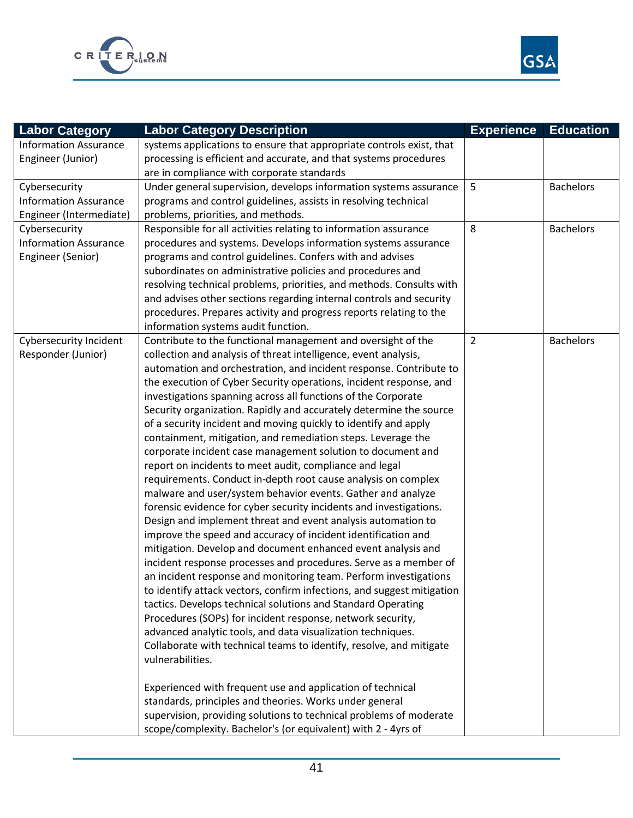



| <b>Labor Category</b>         | <b>Labor Category Description</b>                                      | <b>Experience</b> | <b>Education</b> |
|-------------------------------|------------------------------------------------------------------------|-------------------|------------------|
| <b>Information Assurance</b>  | systems applications to ensure that appropriate controls exist, that   |                   |                  |
| Engineer (Junior)             | processing is efficient and accurate, and that systems procedures      |                   |                  |
|                               | are in compliance with corporate standards                             |                   |                  |
| Cybersecurity                 | Under general supervision, develops information systems assurance      | 5                 | <b>Bachelors</b> |
| <b>Information Assurance</b>  | programs and control guidelines, assists in resolving technical        |                   |                  |
| Engineer (Intermediate)       | problems, priorities, and methods.                                     |                   |                  |
| Cybersecurity                 | Responsible for all activities relating to information assurance       | 8                 | <b>Bachelors</b> |
| <b>Information Assurance</b>  | procedures and systems. Develops information systems assurance         |                   |                  |
| Engineer (Senior)             | programs and control guidelines. Confers with and advises              |                   |                  |
|                               | subordinates on administrative policies and procedures and             |                   |                  |
|                               | resolving technical problems, priorities, and methods. Consults with   |                   |                  |
|                               | and advises other sections regarding internal controls and security    |                   |                  |
|                               | procedures. Prepares activity and progress reports relating to the     |                   |                  |
|                               | information systems audit function.                                    |                   |                  |
| <b>Cybersecurity Incident</b> | Contribute to the functional management and oversight of the           | $\overline{2}$    | <b>Bachelors</b> |
| Responder (Junior)            | collection and analysis of threat intelligence, event analysis,        |                   |                  |
|                               | automation and orchestration, and incident response. Contribute to     |                   |                  |
|                               | the execution of Cyber Security operations, incident response, and     |                   |                  |
|                               | investigations spanning across all functions of the Corporate          |                   |                  |
|                               | Security organization. Rapidly and accurately determine the source     |                   |                  |
|                               | of a security incident and moving quickly to identify and apply        |                   |                  |
|                               | containment, mitigation, and remediation steps. Leverage the           |                   |                  |
|                               | corporate incident case management solution to document and            |                   |                  |
|                               | report on incidents to meet audit, compliance and legal                |                   |                  |
|                               | requirements. Conduct in-depth root cause analysis on complex          |                   |                  |
|                               | malware and user/system behavior events. Gather and analyze            |                   |                  |
|                               | forensic evidence for cyber security incidents and investigations.     |                   |                  |
|                               | Design and implement threat and event analysis automation to           |                   |                  |
|                               | improve the speed and accuracy of incident identification and          |                   |                  |
|                               | mitigation. Develop and document enhanced event analysis and           |                   |                  |
|                               | incident response processes and procedures. Serve as a member of       |                   |                  |
|                               | an incident response and monitoring team. Perform investigations       |                   |                  |
|                               | to identify attack vectors, confirm infections, and suggest mitigation |                   |                  |
|                               | tactics. Develops technical solutions and Standard Operating           |                   |                  |
|                               | Procedures (SOPs) for incident response, network security,             |                   |                  |
|                               | advanced analytic tools, and data visualization techniques.            |                   |                  |
|                               | Collaborate with technical teams to identify, resolve, and mitigate    |                   |                  |
|                               | vulnerabilities.                                                       |                   |                  |
|                               | Experienced with frequent use and application of technical             |                   |                  |
|                               | standards, principles and theories. Works under general                |                   |                  |
|                               | supervision, providing solutions to technical problems of moderate     |                   |                  |
|                               |                                                                        |                   |                  |
|                               | scope/complexity. Bachelor's (or equivalent) with 2 - 4yrs of          |                   |                  |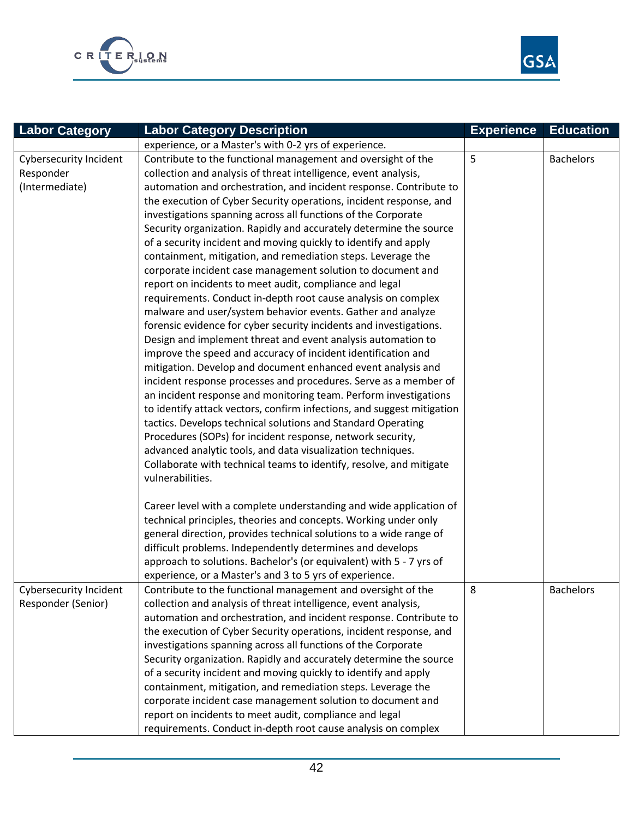



| <b>Labor Category</b>         | <b>Labor Category Description</b>                                      | <b>Experience</b> | <b>Education</b> |
|-------------------------------|------------------------------------------------------------------------|-------------------|------------------|
|                               | experience, or a Master's with 0-2 yrs of experience.                  |                   |                  |
| <b>Cybersecurity Incident</b> | Contribute to the functional management and oversight of the           | 5                 | <b>Bachelors</b> |
| Responder                     | collection and analysis of threat intelligence, event analysis,        |                   |                  |
| (Intermediate)                | automation and orchestration, and incident response. Contribute to     |                   |                  |
|                               | the execution of Cyber Security operations, incident response, and     |                   |                  |
|                               | investigations spanning across all functions of the Corporate          |                   |                  |
|                               | Security organization. Rapidly and accurately determine the source     |                   |                  |
|                               | of a security incident and moving quickly to identify and apply        |                   |                  |
|                               | containment, mitigation, and remediation steps. Leverage the           |                   |                  |
|                               | corporate incident case management solution to document and            |                   |                  |
|                               | report on incidents to meet audit, compliance and legal                |                   |                  |
|                               | requirements. Conduct in-depth root cause analysis on complex          |                   |                  |
|                               | malware and user/system behavior events. Gather and analyze            |                   |                  |
|                               | forensic evidence for cyber security incidents and investigations.     |                   |                  |
|                               | Design and implement threat and event analysis automation to           |                   |                  |
|                               | improve the speed and accuracy of incident identification and          |                   |                  |
|                               | mitigation. Develop and document enhanced event analysis and           |                   |                  |
|                               | incident response processes and procedures. Serve as a member of       |                   |                  |
|                               | an incident response and monitoring team. Perform investigations       |                   |                  |
|                               | to identify attack vectors, confirm infections, and suggest mitigation |                   |                  |
|                               | tactics. Develops technical solutions and Standard Operating           |                   |                  |
|                               | Procedures (SOPs) for incident response, network security,             |                   |                  |
|                               | advanced analytic tools, and data visualization techniques.            |                   |                  |
|                               | Collaborate with technical teams to identify, resolve, and mitigate    |                   |                  |
|                               | vulnerabilities.                                                       |                   |                  |
|                               | Career level with a complete understanding and wide application of     |                   |                  |
|                               | technical principles, theories and concepts. Working under only        |                   |                  |
|                               | general direction, provides technical solutions to a wide range of     |                   |                  |
|                               | difficult problems. Independently determines and develops              |                   |                  |
|                               | approach to solutions. Bachelor's (or equivalent) with 5 - 7 yrs of    |                   |                  |
|                               | experience, or a Master's and 3 to 5 yrs of experience.                |                   |                  |
| <b>Cybersecurity Incident</b> | Contribute to the functional management and oversight of the           | 8                 | <b>Bachelors</b> |
| Responder (Senior)            | collection and analysis of threat intelligence, event analysis,        |                   |                  |
|                               | automation and orchestration, and incident response. Contribute to     |                   |                  |
|                               | the execution of Cyber Security operations, incident response, and     |                   |                  |
|                               | investigations spanning across all functions of the Corporate          |                   |                  |
|                               | Security organization. Rapidly and accurately determine the source     |                   |                  |
|                               | of a security incident and moving quickly to identify and apply        |                   |                  |
|                               | containment, mitigation, and remediation steps. Leverage the           |                   |                  |
|                               | corporate incident case management solution to document and            |                   |                  |
|                               | report on incidents to meet audit, compliance and legal                |                   |                  |
|                               | requirements. Conduct in-depth root cause analysis on complex          |                   |                  |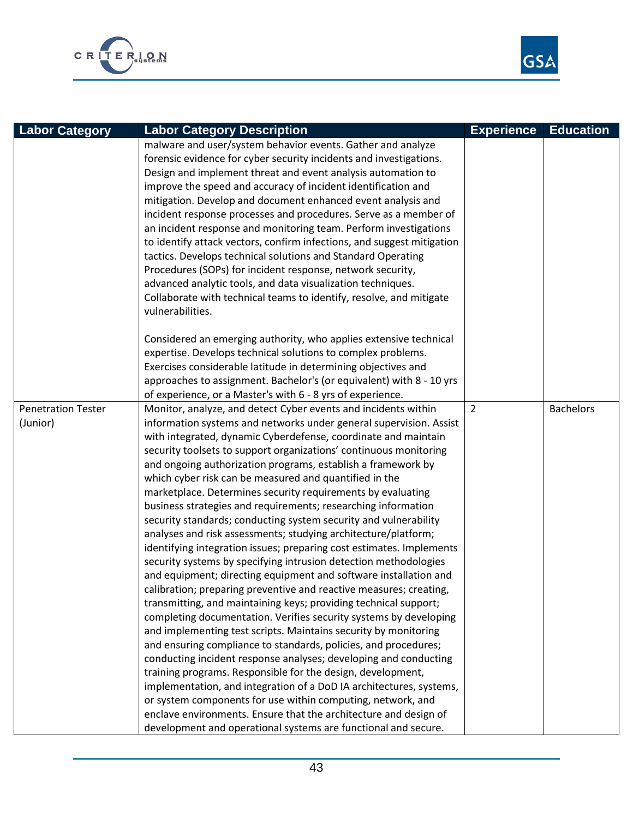



| <b>Labor Category</b>     | <b>Labor Category Description</b>                                      | <b>Experience</b> | <b>Education</b> |
|---------------------------|------------------------------------------------------------------------|-------------------|------------------|
|                           | malware and user/system behavior events. Gather and analyze            |                   |                  |
|                           | forensic evidence for cyber security incidents and investigations.     |                   |                  |
|                           | Design and implement threat and event analysis automation to           |                   |                  |
|                           | improve the speed and accuracy of incident identification and          |                   |                  |
|                           | mitigation. Develop and document enhanced event analysis and           |                   |                  |
|                           | incident response processes and procedures. Serve as a member of       |                   |                  |
|                           | an incident response and monitoring team. Perform investigations       |                   |                  |
|                           | to identify attack vectors, confirm infections, and suggest mitigation |                   |                  |
|                           | tactics. Develops technical solutions and Standard Operating           |                   |                  |
|                           | Procedures (SOPs) for incident response, network security,             |                   |                  |
|                           | advanced analytic tools, and data visualization techniques.            |                   |                  |
|                           | Collaborate with technical teams to identify, resolve, and mitigate    |                   |                  |
|                           | vulnerabilities.                                                       |                   |                  |
|                           |                                                                        |                   |                  |
|                           | Considered an emerging authority, who applies extensive technical      |                   |                  |
|                           | expertise. Develops technical solutions to complex problems.           |                   |                  |
|                           | Exercises considerable latitude in determining objectives and          |                   |                  |
|                           | approaches to assignment. Bachelor's (or equivalent) with 8 - 10 yrs   |                   |                  |
|                           | of experience, or a Master's with 6 - 8 yrs of experience.             |                   |                  |
| <b>Penetration Tester</b> | Monitor, analyze, and detect Cyber events and incidents within         | $\overline{2}$    | <b>Bachelors</b> |
| (Junior)                  | information systems and networks under general supervision. Assist     |                   |                  |
|                           | with integrated, dynamic Cyberdefense, coordinate and maintain         |                   |                  |
|                           | security toolsets to support organizations' continuous monitoring      |                   |                  |
|                           | and ongoing authorization programs, establish a framework by           |                   |                  |
|                           | which cyber risk can be measured and quantified in the                 |                   |                  |
|                           | marketplace. Determines security requirements by evaluating            |                   |                  |
|                           | business strategies and requirements; researching information          |                   |                  |
|                           | security standards; conducting system security and vulnerability       |                   |                  |
|                           | analyses and risk assessments; studying architecture/platform;         |                   |                  |
|                           | identifying integration issues; preparing cost estimates. Implements   |                   |                  |
|                           | security systems by specifying intrusion detection methodologies       |                   |                  |
|                           | and equipment; directing equipment and software installation and       |                   |                  |
|                           | calibration; preparing preventive and reactive measures; creating,     |                   |                  |
|                           | transmitting, and maintaining keys; providing technical support;       |                   |                  |
|                           | completing documentation. Verifies security systems by developing      |                   |                  |
|                           | and implementing test scripts. Maintains security by monitoring        |                   |                  |
|                           | and ensuring compliance to standards, policies, and procedures;        |                   |                  |
|                           | conducting incident response analyses; developing and conducting       |                   |                  |
|                           | training programs. Responsible for the design, development,            |                   |                  |
|                           | implementation, and integration of a DoD IA architectures, systems,    |                   |                  |
|                           | or system components for use within computing, network, and            |                   |                  |
|                           | enclave environments. Ensure that the architecture and design of       |                   |                  |
|                           | development and operational systems are functional and secure.         |                   |                  |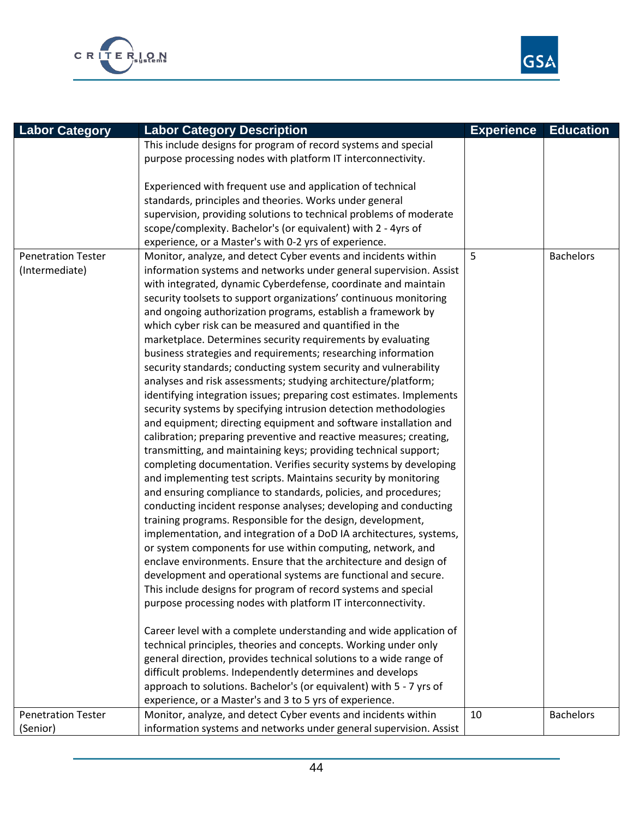



| <b>Labor Category</b>     | <b>Labor Category Description</b>                                    | <b>Experience</b> | <b>Education</b> |
|---------------------------|----------------------------------------------------------------------|-------------------|------------------|
|                           | This include designs for program of record systems and special       |                   |                  |
|                           | purpose processing nodes with platform IT interconnectivity.         |                   |                  |
|                           |                                                                      |                   |                  |
|                           | Experienced with frequent use and application of technical           |                   |                  |
|                           | standards, principles and theories. Works under general              |                   |                  |
|                           | supervision, providing solutions to technical problems of moderate   |                   |                  |
|                           | scope/complexity. Bachelor's (or equivalent) with 2 - 4yrs of        |                   |                  |
|                           | experience, or a Master's with 0-2 yrs of experience.                |                   |                  |
| <b>Penetration Tester</b> | Monitor, analyze, and detect Cyber events and incidents within       | 5                 | <b>Bachelors</b> |
| (Intermediate)            | information systems and networks under general supervision. Assist   |                   |                  |
|                           | with integrated, dynamic Cyberdefense, coordinate and maintain       |                   |                  |
|                           | security toolsets to support organizations' continuous monitoring    |                   |                  |
|                           | and ongoing authorization programs, establish a framework by         |                   |                  |
|                           | which cyber risk can be measured and quantified in the               |                   |                  |
|                           | marketplace. Determines security requirements by evaluating          |                   |                  |
|                           | business strategies and requirements; researching information        |                   |                  |
|                           | security standards; conducting system security and vulnerability     |                   |                  |
|                           | analyses and risk assessments; studying architecture/platform;       |                   |                  |
|                           | identifying integration issues; preparing cost estimates. Implements |                   |                  |
|                           | security systems by specifying intrusion detection methodologies     |                   |                  |
|                           | and equipment; directing equipment and software installation and     |                   |                  |
|                           | calibration; preparing preventive and reactive measures; creating,   |                   |                  |
|                           | transmitting, and maintaining keys; providing technical support;     |                   |                  |
|                           | completing documentation. Verifies security systems by developing    |                   |                  |
|                           | and implementing test scripts. Maintains security by monitoring      |                   |                  |
|                           | and ensuring compliance to standards, policies, and procedures;      |                   |                  |
|                           | conducting incident response analyses; developing and conducting     |                   |                  |
|                           | training programs. Responsible for the design, development,          |                   |                  |
|                           | implementation, and integration of a DoD IA architectures, systems,  |                   |                  |
|                           | or system components for use within computing, network, and          |                   |                  |
|                           | enclave environments. Ensure that the architecture and design of     |                   |                  |
|                           | development and operational systems are functional and secure.       |                   |                  |
|                           | This include designs for program of record systems and special       |                   |                  |
|                           | purpose processing nodes with platform IT interconnectivity.         |                   |                  |
|                           | Career level with a complete understanding and wide application of   |                   |                  |
|                           | technical principles, theories and concepts. Working under only      |                   |                  |
|                           | general direction, provides technical solutions to a wide range of   |                   |                  |
|                           | difficult problems. Independently determines and develops            |                   |                  |
|                           | approach to solutions. Bachelor's (or equivalent) with 5 - 7 yrs of  |                   |                  |
|                           | experience, or a Master's and 3 to 5 yrs of experience.              |                   |                  |
| <b>Penetration Tester</b> | Monitor, analyze, and detect Cyber events and incidents within       | 10                | <b>Bachelors</b> |
| (Senior)                  | information systems and networks under general supervision. Assist   |                   |                  |
|                           |                                                                      |                   |                  |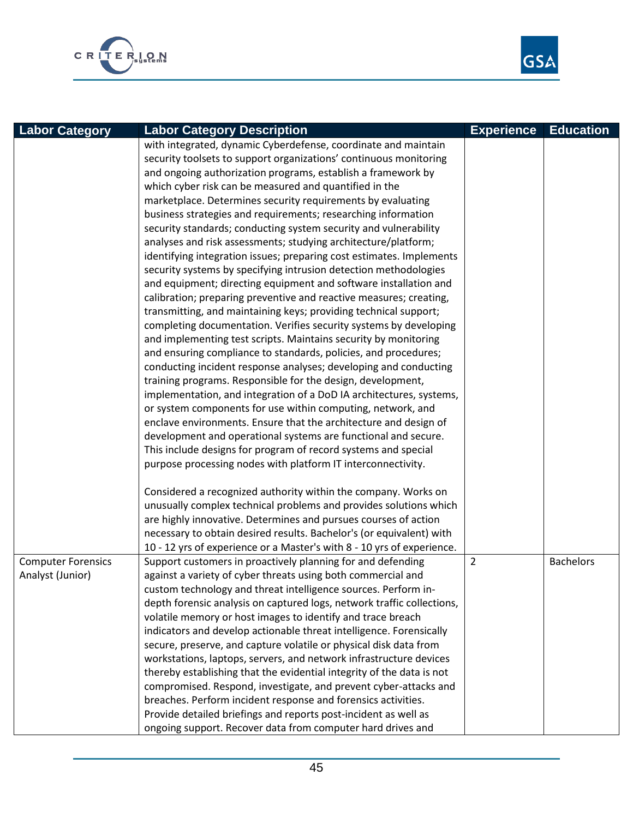



| <b>Labor Category</b>                         | <b>Labor Category Description</b>                                                                                                                                                                                                                                                                                                                                                                                                                                                                                                                                                                                                                                                                                                                                                                                                                                                                                                                                                                                                                                                                                                                                                                                                                                                                                                                                                                                                                                                                                                                                                                                                                                                                                                                                                                                                                                                                                                                                                                                     | <b>Experience</b> | <b>Education</b> |
|-----------------------------------------------|-----------------------------------------------------------------------------------------------------------------------------------------------------------------------------------------------------------------------------------------------------------------------------------------------------------------------------------------------------------------------------------------------------------------------------------------------------------------------------------------------------------------------------------------------------------------------------------------------------------------------------------------------------------------------------------------------------------------------------------------------------------------------------------------------------------------------------------------------------------------------------------------------------------------------------------------------------------------------------------------------------------------------------------------------------------------------------------------------------------------------------------------------------------------------------------------------------------------------------------------------------------------------------------------------------------------------------------------------------------------------------------------------------------------------------------------------------------------------------------------------------------------------------------------------------------------------------------------------------------------------------------------------------------------------------------------------------------------------------------------------------------------------------------------------------------------------------------------------------------------------------------------------------------------------------------------------------------------------------------------------------------------------|-------------------|------------------|
|                                               | with integrated, dynamic Cyberdefense, coordinate and maintain<br>security toolsets to support organizations' continuous monitoring<br>and ongoing authorization programs, establish a framework by<br>which cyber risk can be measured and quantified in the<br>marketplace. Determines security requirements by evaluating<br>business strategies and requirements; researching information<br>security standards; conducting system security and vulnerability<br>analyses and risk assessments; studying architecture/platform;<br>identifying integration issues; preparing cost estimates. Implements<br>security systems by specifying intrusion detection methodologies<br>and equipment; directing equipment and software installation and<br>calibration; preparing preventive and reactive measures; creating,<br>transmitting, and maintaining keys; providing technical support;<br>completing documentation. Verifies security systems by developing<br>and implementing test scripts. Maintains security by monitoring<br>and ensuring compliance to standards, policies, and procedures;<br>conducting incident response analyses; developing and conducting<br>training programs. Responsible for the design, development,<br>implementation, and integration of a DoD IA architectures, systems,<br>or system components for use within computing, network, and<br>enclave environments. Ensure that the architecture and design of<br>development and operational systems are functional and secure.<br>This include designs for program of record systems and special<br>purpose processing nodes with platform IT interconnectivity.<br>Considered a recognized authority within the company. Works on<br>unusually complex technical problems and provides solutions which<br>are highly innovative. Determines and pursues courses of action<br>necessary to obtain desired results. Bachelor's (or equivalent) with<br>10 - 12 yrs of experience or a Master's with 8 - 10 yrs of experience. |                   |                  |
| <b>Computer Forensics</b><br>Analyst (Junior) | Support customers in proactively planning for and defending<br>against a variety of cyber threats using both commercial and<br>custom technology and threat intelligence sources. Perform in-<br>depth forensic analysis on captured logs, network traffic collections,<br>volatile memory or host images to identify and trace breach<br>indicators and develop actionable threat intelligence. Forensically<br>secure, preserve, and capture volatile or physical disk data from<br>workstations, laptops, servers, and network infrastructure devices<br>thereby establishing that the evidential integrity of the data is not<br>compromised. Respond, investigate, and prevent cyber-attacks and<br>breaches. Perform incident response and forensics activities.<br>Provide detailed briefings and reports post-incident as well as<br>ongoing support. Recover data from computer hard drives and                                                                                                                                                                                                                                                                                                                                                                                                                                                                                                                                                                                                                                                                                                                                                                                                                                                                                                                                                                                                                                                                                                              | $\overline{2}$    | <b>Bachelors</b> |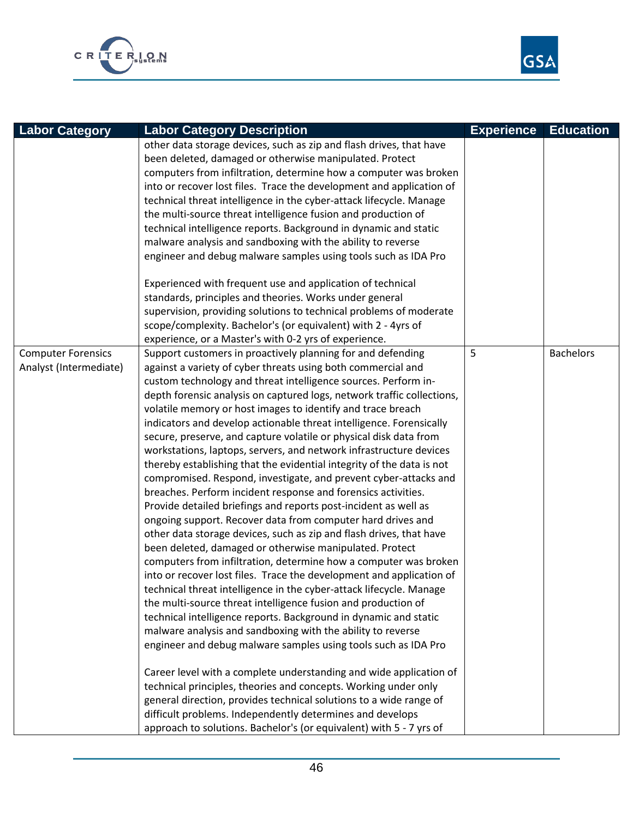



|                                                                                                                                                                                                                                                                                                                                                                                                                                                                                                                                                                                                                                                                                                                                                                                                                                                                                                                                                                                                                                                                                                                                                                                                                                                                                                                                                                                                                                                                                                                                                                                                                                                                                                                                                    |                                                                                                                                                                                                                                                                                                                                                               | <b>Education</b>  |
|----------------------------------------------------------------------------------------------------------------------------------------------------------------------------------------------------------------------------------------------------------------------------------------------------------------------------------------------------------------------------------------------------------------------------------------------------------------------------------------------------------------------------------------------------------------------------------------------------------------------------------------------------------------------------------------------------------------------------------------------------------------------------------------------------------------------------------------------------------------------------------------------------------------------------------------------------------------------------------------------------------------------------------------------------------------------------------------------------------------------------------------------------------------------------------------------------------------------------------------------------------------------------------------------------------------------------------------------------------------------------------------------------------------------------------------------------------------------------------------------------------------------------------------------------------------------------------------------------------------------------------------------------------------------------------------------------------------------------------------------------|---------------------------------------------------------------------------------------------------------------------------------------------------------------------------------------------------------------------------------------------------------------------------------------------------------------------------------------------------------------|-------------------|
| other data storage devices, such as zip and flash drives, that have<br>been deleted, damaged or otherwise manipulated. Protect<br>computers from infiltration, determine how a computer was broken<br>into or recover lost files. Trace the development and application of<br>technical threat intelligence in the cyber-attack lifecycle. Manage<br>the multi-source threat intelligence fusion and production of<br>technical intelligence reports. Background in dynamic and static<br>malware analysis and sandboxing with the ability to reverse<br>engineer and debug malware samples using tools such as IDA Pro                                                                                                                                                                                                                                                                                                                                                                                                                                                                                                                                                                                                                                                                                                                                                                                                                                                                                                                                                                                                                                                                                                                            |                                                                                                                                                                                                                                                                                                                                                               |                   |
| standards, principles and theories. Works under general                                                                                                                                                                                                                                                                                                                                                                                                                                                                                                                                                                                                                                                                                                                                                                                                                                                                                                                                                                                                                                                                                                                                                                                                                                                                                                                                                                                                                                                                                                                                                                                                                                                                                            |                                                                                                                                                                                                                                                                                                                                                               |                   |
| supervision, providing solutions to technical problems of moderate                                                                                                                                                                                                                                                                                                                                                                                                                                                                                                                                                                                                                                                                                                                                                                                                                                                                                                                                                                                                                                                                                                                                                                                                                                                                                                                                                                                                                                                                                                                                                                                                                                                                                 |                                                                                                                                                                                                                                                                                                                                                               |                   |
|                                                                                                                                                                                                                                                                                                                                                                                                                                                                                                                                                                                                                                                                                                                                                                                                                                                                                                                                                                                                                                                                                                                                                                                                                                                                                                                                                                                                                                                                                                                                                                                                                                                                                                                                                    |                                                                                                                                                                                                                                                                                                                                                               |                   |
| Support customers in proactively planning for and defending<br>against a variety of cyber threats using both commercial and<br>custom technology and threat intelligence sources. Perform in-<br>depth forensic analysis on captured logs, network traffic collections,<br>volatile memory or host images to identify and trace breach<br>indicators and develop actionable threat intelligence. Forensically<br>secure, preserve, and capture volatile or physical disk data from<br>workstations, laptops, servers, and network infrastructure devices<br>thereby establishing that the evidential integrity of the data is not<br>compromised. Respond, investigate, and prevent cyber-attacks and<br>breaches. Perform incident response and forensics activities.<br>Provide detailed briefings and reports post-incident as well as<br>ongoing support. Recover data from computer hard drives and<br>other data storage devices, such as zip and flash drives, that have<br>been deleted, damaged or otherwise manipulated. Protect<br>computers from infiltration, determine how a computer was broken<br>into or recover lost files. Trace the development and application of<br>technical threat intelligence in the cyber-attack lifecycle. Manage<br>the multi-source threat intelligence fusion and production of<br>technical intelligence reports. Background in dynamic and static<br>malware analysis and sandboxing with the ability to reverse<br>engineer and debug malware samples using tools such as IDA Pro<br>Career level with a complete understanding and wide application of<br>technical principles, theories and concepts. Working under only<br>general direction, provides technical solutions to a wide range of | 5                                                                                                                                                                                                                                                                                                                                                             | <b>Bachelors</b>  |
|                                                                                                                                                                                                                                                                                                                                                                                                                                                                                                                                                                                                                                                                                                                                                                                                                                                                                                                                                                                                                                                                                                                                                                                                                                                                                                                                                                                                                                                                                                                                                                                                                                                                                                                                                    | <b>Labor Category Description</b><br>Experienced with frequent use and application of technical<br>scope/complexity. Bachelor's (or equivalent) with 2 - 4yrs of<br>experience, or a Master's with 0-2 yrs of experience.<br>difficult problems. Independently determines and develops<br>approach to solutions. Bachelor's (or equivalent) with 5 - 7 yrs of | <b>Experience</b> |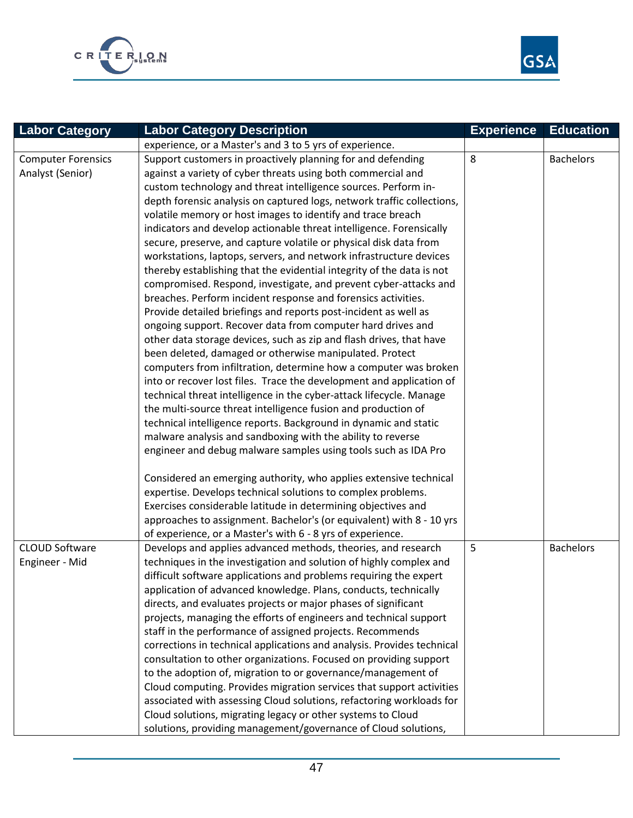



| <b>Labor Category</b>     | <b>Labor Category Description</b>                                      | <b>Experience</b> | <b>Education</b> |
|---------------------------|------------------------------------------------------------------------|-------------------|------------------|
|                           | experience, or a Master's and 3 to 5 yrs of experience.                |                   |                  |
| <b>Computer Forensics</b> | Support customers in proactively planning for and defending            | 8                 | <b>Bachelors</b> |
| Analyst (Senior)          | against a variety of cyber threats using both commercial and           |                   |                  |
|                           | custom technology and threat intelligence sources. Perform in-         |                   |                  |
|                           | depth forensic analysis on captured logs, network traffic collections, |                   |                  |
|                           | volatile memory or host images to identify and trace breach            |                   |                  |
|                           | indicators and develop actionable threat intelligence. Forensically    |                   |                  |
|                           | secure, preserve, and capture volatile or physical disk data from      |                   |                  |
|                           | workstations, laptops, servers, and network infrastructure devices     |                   |                  |
|                           | thereby establishing that the evidential integrity of the data is not  |                   |                  |
|                           | compromised. Respond, investigate, and prevent cyber-attacks and       |                   |                  |
|                           | breaches. Perform incident response and forensics activities.          |                   |                  |
|                           | Provide detailed briefings and reports post-incident as well as        |                   |                  |
|                           | ongoing support. Recover data from computer hard drives and            |                   |                  |
|                           | other data storage devices, such as zip and flash drives, that have    |                   |                  |
|                           | been deleted, damaged or otherwise manipulated. Protect                |                   |                  |
|                           | computers from infiltration, determine how a computer was broken       |                   |                  |
|                           | into or recover lost files. Trace the development and application of   |                   |                  |
|                           | technical threat intelligence in the cyber-attack lifecycle. Manage    |                   |                  |
|                           | the multi-source threat intelligence fusion and production of          |                   |                  |
|                           | technical intelligence reports. Background in dynamic and static       |                   |                  |
|                           | malware analysis and sandboxing with the ability to reverse            |                   |                  |
|                           | engineer and debug malware samples using tools such as IDA Pro         |                   |                  |
|                           |                                                                        |                   |                  |
|                           | Considered an emerging authority, who applies extensive technical      |                   |                  |
|                           | expertise. Develops technical solutions to complex problems.           |                   |                  |
|                           | Exercises considerable latitude in determining objectives and          |                   |                  |
|                           | approaches to assignment. Bachelor's (or equivalent) with 8 - 10 yrs   |                   |                  |
|                           | of experience, or a Master's with 6 - 8 yrs of experience.             |                   |                  |
| <b>CLOUD Software</b>     | Develops and applies advanced methods, theories, and research          | 5                 | <b>Bachelors</b> |
| Engineer - Mid            | techniques in the investigation and solution of highly complex and     |                   |                  |
|                           | difficult software applications and problems requiring the expert      |                   |                  |
|                           | application of advanced knowledge. Plans, conducts, technically        |                   |                  |
|                           | directs, and evaluates projects or major phases of significant         |                   |                  |
|                           | projects, managing the efforts of engineers and technical support      |                   |                  |
|                           | staff in the performance of assigned projects. Recommends              |                   |                  |
|                           | corrections in technical applications and analysis. Provides technical |                   |                  |
|                           | consultation to other organizations. Focused on providing support      |                   |                  |
|                           | to the adoption of, migration to or governance/management of           |                   |                  |
|                           | Cloud computing. Provides migration services that support activities   |                   |                  |
|                           | associated with assessing Cloud solutions, refactoring workloads for   |                   |                  |
|                           | Cloud solutions, migrating legacy or other systems to Cloud            |                   |                  |
|                           | solutions, providing management/governance of Cloud solutions,         |                   |                  |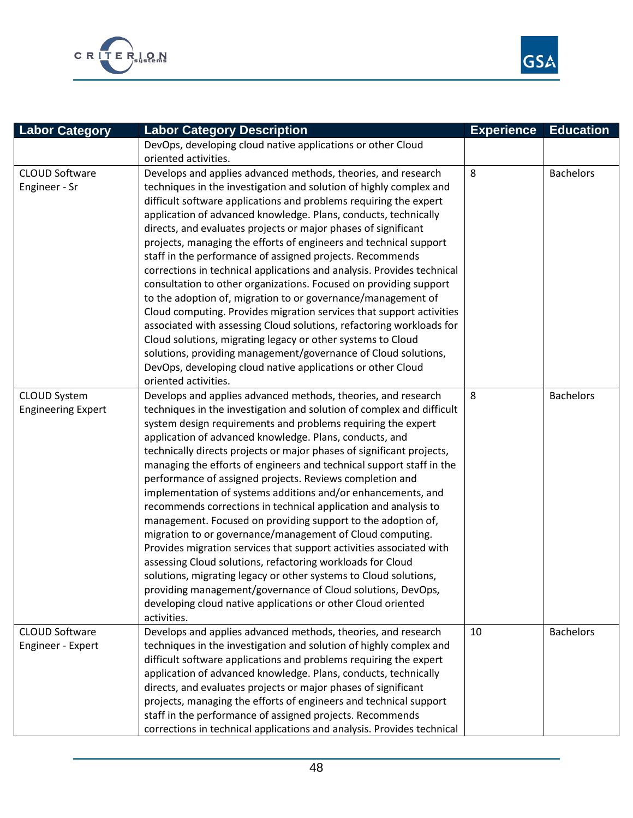



| <b>Labor Category</b>     | <b>Labor Category Description</b>                                      | <b>Experience</b> | <b>Education</b> |
|---------------------------|------------------------------------------------------------------------|-------------------|------------------|
|                           | DevOps, developing cloud native applications or other Cloud            |                   |                  |
|                           | oriented activities.                                                   |                   |                  |
| <b>CLOUD Software</b>     | Develops and applies advanced methods, theories, and research          | 8                 | <b>Bachelors</b> |
| Engineer - Sr             | techniques in the investigation and solution of highly complex and     |                   |                  |
|                           | difficult software applications and problems requiring the expert      |                   |                  |
|                           | application of advanced knowledge. Plans, conducts, technically        |                   |                  |
|                           | directs, and evaluates projects or major phases of significant         |                   |                  |
|                           | projects, managing the efforts of engineers and technical support      |                   |                  |
|                           | staff in the performance of assigned projects. Recommends              |                   |                  |
|                           | corrections in technical applications and analysis. Provides technical |                   |                  |
|                           | consultation to other organizations. Focused on providing support      |                   |                  |
|                           | to the adoption of, migration to or governance/management of           |                   |                  |
|                           | Cloud computing. Provides migration services that support activities   |                   |                  |
|                           | associated with assessing Cloud solutions, refactoring workloads for   |                   |                  |
|                           | Cloud solutions, migrating legacy or other systems to Cloud            |                   |                  |
|                           | solutions, providing management/governance of Cloud solutions,         |                   |                  |
|                           | DevOps, developing cloud native applications or other Cloud            |                   |                  |
|                           | oriented activities.                                                   |                   |                  |
| <b>CLOUD System</b>       | Develops and applies advanced methods, theories, and research          | 8                 | <b>Bachelors</b> |
| <b>Engineering Expert</b> | techniques in the investigation and solution of complex and difficult  |                   |                  |
|                           | system design requirements and problems requiring the expert           |                   |                  |
|                           | application of advanced knowledge. Plans, conducts, and                |                   |                  |
|                           | technically directs projects or major phases of significant projects,  |                   |                  |
|                           | managing the efforts of engineers and technical support staff in the   |                   |                  |
|                           | performance of assigned projects. Reviews completion and               |                   |                  |
|                           | implementation of systems additions and/or enhancements, and           |                   |                  |
|                           | recommends corrections in technical application and analysis to        |                   |                  |
|                           | management. Focused on providing support to the adoption of,           |                   |                  |
|                           | migration to or governance/management of Cloud computing.              |                   |                  |
|                           | Provides migration services that support activities associated with    |                   |                  |
|                           | assessing Cloud solutions, refactoring workloads for Cloud             |                   |                  |
|                           | solutions, migrating legacy or other systems to Cloud solutions,       |                   |                  |
|                           | providing management/governance of Cloud solutions, DevOps,            |                   |                  |
|                           | developing cloud native applications or other Cloud oriented           |                   |                  |
|                           | activities.                                                            |                   |                  |
| <b>CLOUD Software</b>     | Develops and applies advanced methods, theories, and research          | 10                | <b>Bachelors</b> |
| Engineer - Expert         | techniques in the investigation and solution of highly complex and     |                   |                  |
|                           | difficult software applications and problems requiring the expert      |                   |                  |
|                           | application of advanced knowledge. Plans, conducts, technically        |                   |                  |
|                           | directs, and evaluates projects or major phases of significant         |                   |                  |
|                           | projects, managing the efforts of engineers and technical support      |                   |                  |
|                           | staff in the performance of assigned projects. Recommends              |                   |                  |
|                           | corrections in technical applications and analysis. Provides technical |                   |                  |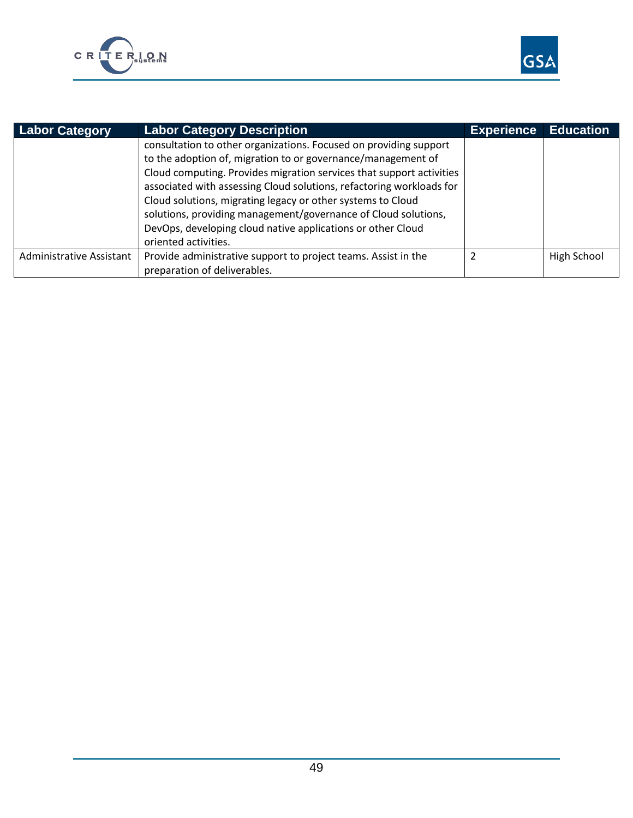



| <b>Labor Category</b>    | <b>Labor Category Description</b>                                    | <b>Experience</b> | <b>Education</b> |
|--------------------------|----------------------------------------------------------------------|-------------------|------------------|
|                          | consultation to other organizations. Focused on providing support    |                   |                  |
|                          | to the adoption of, migration to or governance/management of         |                   |                  |
|                          | Cloud computing. Provides migration services that support activities |                   |                  |
|                          | associated with assessing Cloud solutions, refactoring workloads for |                   |                  |
|                          | Cloud solutions, migrating legacy or other systems to Cloud          |                   |                  |
|                          | solutions, providing management/governance of Cloud solutions,       |                   |                  |
|                          | DevOps, developing cloud native applications or other Cloud          |                   |                  |
|                          | oriented activities.                                                 |                   |                  |
| Administrative Assistant | Provide administrative support to project teams. Assist in the       |                   | High School      |
|                          | preparation of deliverables.                                         |                   |                  |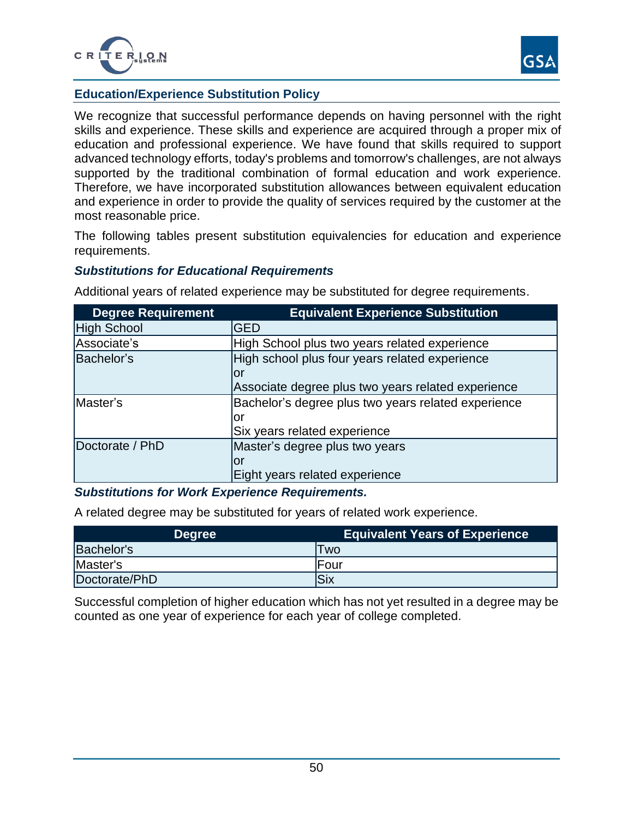



## **Education/Experience Substitution Policy**

We recognize that successful performance depends on having personnel with the right skills and experience. These skills and experience are acquired through a proper mix of education and professional experience. We have found that skills required to support advanced technology efforts, today's problems and tomorrow's challenges, are not always supported by the traditional combination of formal education and work experience. Therefore, we have incorporated substitution allowances between equivalent education and experience in order to provide the quality of services required by the customer at the most reasonable price.

The following tables present substitution equivalencies for education and experience requirements.

#### *Substitutions for Educational Requirements*

Additional years of related experience may be substituted for degree requirements.

| <b>Degree Requirement</b> | <b>Equivalent Experience Substitution</b>           |
|---------------------------|-----------------------------------------------------|
| <b>High School</b>        | <b>GED</b>                                          |
| Associate's               | High School plus two years related experience       |
| Bachelor's                | High school plus four years related experience      |
|                           | lor                                                 |
|                           | Associate degree plus two years related experience  |
| Master's                  | Bachelor's degree plus two years related experience |
|                           | lor                                                 |
|                           | Six years related experience                        |
| Doctorate / PhD           | Master's degree plus two years                      |
|                           | lor                                                 |
|                           | Eight years related experience                      |

#### *Substitutions for Work Experience Requirements.*

A related degree may be substituted for years of related work experience.

| <b>Degree</b>     | <b>Equivalent Years of Experience</b> |  |  |
|-------------------|---------------------------------------|--|--|
| <b>Bachelor's</b> | l wo                                  |  |  |
| Master's          | lFour                                 |  |  |
| Doctorate/PhD     | <b>Six</b>                            |  |  |

Successful completion of higher education which has not yet resulted in a degree may be counted as one year of experience for each year of college completed.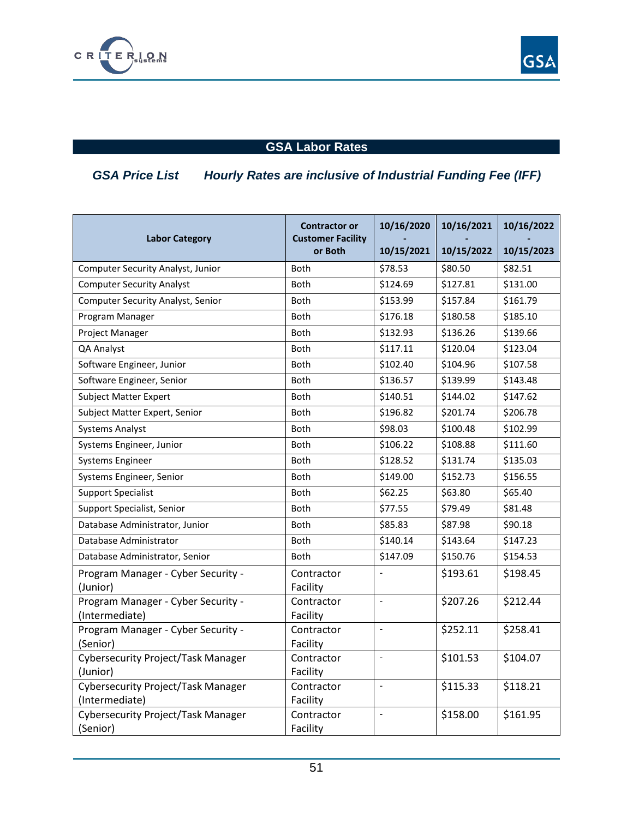



# **GSA Labor Rates**

*GSA Price List Hourly Rates are inclusive of Industrial Funding Fee (IFF)*

| <b>Labor Category</b>                                       | <b>Contractor or</b><br><b>Customer Facility</b><br>or Both | 10/16/2020<br>10/15/2021 | 10/16/2021<br>10/15/2022 | 10/16/2022<br>10/15/2023 |
|-------------------------------------------------------------|-------------------------------------------------------------|--------------------------|--------------------------|--------------------------|
| Computer Security Analyst, Junior                           | Both                                                        | \$78.53                  | \$80.50                  | \$82.51                  |
| <b>Computer Security Analyst</b>                            | Both                                                        | \$124.69                 | \$127.81                 | \$131.00                 |
| <b>Computer Security Analyst, Senior</b>                    | Both                                                        | \$153.99                 | \$157.84                 | \$161.79                 |
| Program Manager                                             | Both                                                        | \$176.18                 | \$180.58                 | \$185.10                 |
| Project Manager                                             | Both                                                        | \$132.93                 | \$136.26                 | \$139.66                 |
| QA Analyst                                                  | Both                                                        | \$117.11                 | \$120.04                 | \$123.04                 |
| Software Engineer, Junior                                   | <b>Both</b>                                                 | \$102.40                 | \$104.96                 | \$107.58                 |
| Software Engineer, Senior                                   | Both                                                        | \$136.57                 | \$139.99                 | \$143.48                 |
| <b>Subject Matter Expert</b>                                | Both                                                        | \$140.51                 | \$144.02                 | \$147.62                 |
| Subject Matter Expert, Senior                               | <b>Both</b>                                                 | \$196.82                 | \$201.74                 | \$206.78                 |
| <b>Systems Analyst</b>                                      | Both                                                        | \$98.03                  | \$100.48                 | \$102.99                 |
| Systems Engineer, Junior                                    | Both                                                        | \$106.22                 | \$108.88                 | \$111.60                 |
| <b>Systems Engineer</b>                                     | <b>Both</b>                                                 | \$128.52                 | \$131.74                 | \$135.03                 |
| Systems Engineer, Senior                                    | <b>Both</b>                                                 | \$149.00                 | \$152.73                 | \$156.55                 |
| <b>Support Specialist</b>                                   | Both                                                        | \$62.25                  | \$63.80                  | \$65.40                  |
| Support Specialist, Senior                                  | <b>Both</b>                                                 | \$77.55                  | \$79.49                  | \$81.48                  |
| Database Administrator, Junior                              | Both                                                        | \$85.83                  | \$87.98                  | \$90.18                  |
| Database Administrator                                      | Both                                                        | \$140.14                 | \$143.64                 | \$147.23                 |
| Database Administrator, Senior                              | Both                                                        | \$147.09                 | \$150.76                 | \$154.53                 |
| Program Manager - Cyber Security -<br>(Junior)              | Contractor<br>Facility                                      | $\overline{a}$           | \$193.61                 | \$198.45                 |
| Program Manager - Cyber Security -<br>(Intermediate)        | Contractor<br>Facility                                      | $\overline{\phantom{a}}$ | \$207.26                 | \$212.44                 |
| Program Manager - Cyber Security -<br>(Senior)              | Contractor<br>Facility                                      | $\overline{\phantom{a}}$ | \$252.11                 | \$258.41                 |
| <b>Cybersecurity Project/Task Manager</b><br>(Junior)       | Contractor<br>Facility                                      | $\overline{a}$           | \$101.53                 | \$104.07                 |
| <b>Cybersecurity Project/Task Manager</b><br>(Intermediate) | Contractor<br>Facility                                      | $\overline{a}$           | \$115.33                 | \$118.21                 |
| <b>Cybersecurity Project/Task Manager</b><br>(Senior)       | Contractor<br>Facility                                      | $\overline{a}$           | \$158.00                 | \$161.95                 |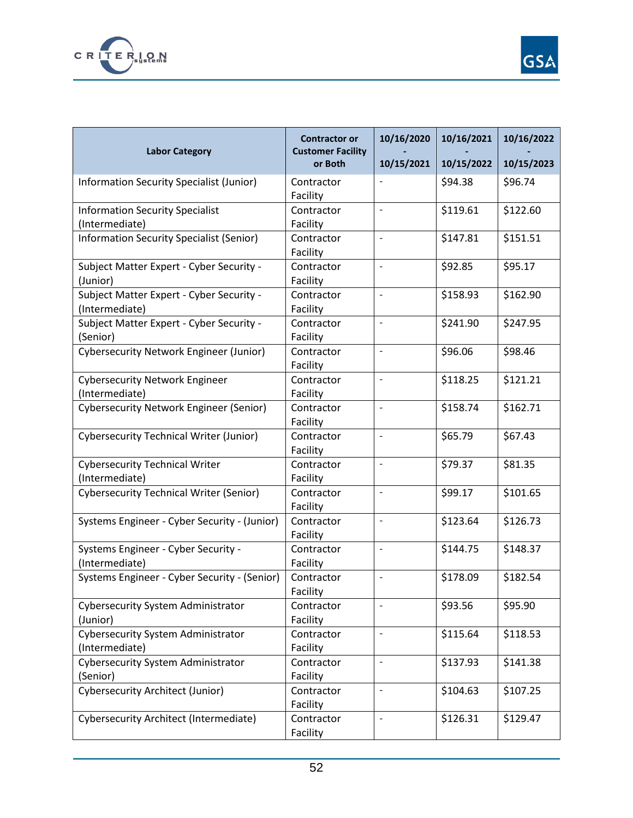



| <b>Labor Category</b>                                       | <b>Contractor or</b><br><b>Customer Facility</b><br>or Both | 10/16/2020<br>10/15/2021     | 10/16/2021<br>10/15/2022 | 10/16/2022<br>10/15/2023 |
|-------------------------------------------------------------|-------------------------------------------------------------|------------------------------|--------------------------|--------------------------|
| <b>Information Security Specialist (Junior)</b>             | Contractor<br>Facility                                      |                              | \$94.38                  | \$96.74                  |
| <b>Information Security Specialist</b><br>(Intermediate)    | Contractor<br>Facility                                      | $\blacksquare$               | \$119.61                 | \$122.60                 |
| <b>Information Security Specialist (Senior)</b>             | Contractor<br>Facility                                      | $\frac{1}{2}$                | \$147.81                 | \$151.51                 |
| Subject Matter Expert - Cyber Security -<br>(Junior)        | Contractor<br>Facility                                      | $\Box$                       | \$92.85                  | \$95.17                  |
| Subject Matter Expert - Cyber Security -<br>(Intermediate)  | Contractor<br>Facility                                      | $\frac{1}{2}$                | \$158.93                 | \$162.90                 |
| Subject Matter Expert - Cyber Security -<br>(Senior)        | Contractor<br>Facility                                      | $\overline{a}$               | \$241.90                 | \$247.95                 |
| <b>Cybersecurity Network Engineer (Junior)</b>              | Contractor<br>Facility                                      | $\overline{\phantom{a}}$     | \$96.06                  | \$98.46                  |
| <b>Cybersecurity Network Engineer</b><br>(Intermediate)     | Contractor<br>Facility                                      | $\overline{a}$               | \$118.25                 | \$121.21                 |
| <b>Cybersecurity Network Engineer (Senior)</b>              | Contractor<br>Facility                                      | $\blacksquare$               | \$158.74                 | \$162.71                 |
| <b>Cybersecurity Technical Writer (Junior)</b>              | Contractor<br>Facility                                      |                              | \$65.79                  | \$67.43                  |
| <b>Cybersecurity Technical Writer</b><br>(Intermediate)     | Contractor<br>Facility                                      | $\blacksquare$               | \$79.37                  | \$81.35                  |
| <b>Cybersecurity Technical Writer (Senior)</b>              | Contractor<br>Facility                                      | $\overline{a}$               | \$99.17                  | \$101.65                 |
| Systems Engineer - Cyber Security - (Junior)                | Contractor<br>Facility                                      | $\overline{a}$               | \$123.64                 | \$126.73                 |
| Systems Engineer - Cyber Security -<br>(Intermediate)       | Contractor<br>Facility                                      | $\overline{\phantom{0}}$     | \$144.75                 | \$148.37                 |
| Systems Engineer - Cyber Security - (Senior)                | Contractor<br>Facility                                      | $\overline{\phantom{a}}$     | \$178.09                 | \$182.54                 |
| <b>Cybersecurity System Administrator</b><br>(Junior)       | Contractor<br>Facility                                      | $\qquad \qquad \blacksquare$ | \$93.56                  | \$95.90                  |
| <b>Cybersecurity System Administrator</b><br>(Intermediate) | Contractor<br>Facility                                      | $\overline{a}$               | \$115.64                 | \$118.53                 |
| <b>Cybersecurity System Administrator</b><br>(Senior)       | Contractor<br>Facility                                      | $\qquad \qquad \blacksquare$ | \$137.93                 | \$141.38                 |
| <b>Cybersecurity Architect (Junior)</b>                     | Contractor<br>Facility                                      |                              | \$104.63                 | \$107.25                 |
| Cybersecurity Architect (Intermediate)                      | Contractor<br>Facility                                      | $\blacksquare$               | \$126.31                 | \$129.47                 |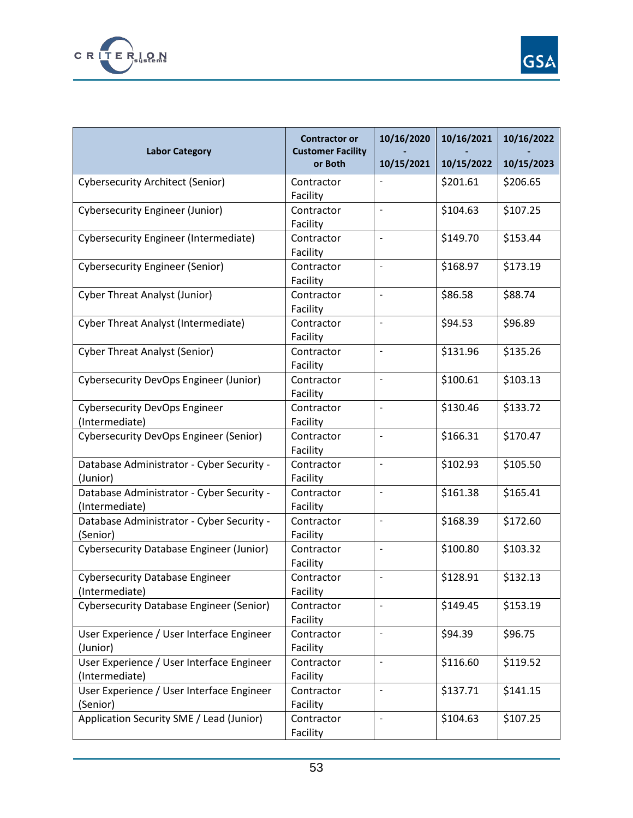



| <b>Labor Category</b>                           | <b>Contractor or</b><br><b>Customer Facility</b><br>or Both | 10/16/2020<br>10/15/2021     | 10/16/2021<br>10/15/2022 | 10/16/2022<br>10/15/2023 |
|-------------------------------------------------|-------------------------------------------------------------|------------------------------|--------------------------|--------------------------|
| <b>Cybersecurity Architect (Senior)</b>         | Contractor                                                  |                              | \$201.61                 | \$206.65                 |
|                                                 | Facility                                                    |                              |                          |                          |
| <b>Cybersecurity Engineer (Junior)</b>          | Contractor                                                  | $\overline{\phantom{a}}$     | \$104.63                 | \$107.25                 |
|                                                 | Facility                                                    |                              |                          |                          |
| <b>Cybersecurity Engineer (Intermediate)</b>    | Contractor                                                  | $\frac{1}{2}$                | \$149.70                 | \$153.44                 |
|                                                 | Facility                                                    |                              |                          |                          |
| <b>Cybersecurity Engineer (Senior)</b>          | Contractor                                                  | $\blacksquare$               | \$168.97                 | \$173.19                 |
|                                                 | Facility                                                    |                              |                          |                          |
| <b>Cyber Threat Analyst (Junior)</b>            | Contractor                                                  | $\blacksquare$               | \$86.58                  | \$88.74                  |
|                                                 | Facility                                                    | $\overline{\phantom{a}}$     |                          |                          |
| Cyber Threat Analyst (Intermediate)             | Contractor<br>Facility                                      |                              | \$94.53                  | \$96.89                  |
| <b>Cyber Threat Analyst (Senior)</b>            | Contractor                                                  | $\overline{\phantom{a}}$     | \$131.96                 | \$135.26                 |
|                                                 | Facility                                                    |                              |                          |                          |
| <b>Cybersecurity DevOps Engineer (Junior)</b>   | Contractor                                                  | $\blacksquare$               | \$100.61                 | \$103.13                 |
|                                                 | Facility                                                    |                              |                          |                          |
| <b>Cybersecurity DevOps Engineer</b>            | Contractor                                                  | $\Box$                       | \$130.46                 | \$133.72                 |
| (Intermediate)                                  | Facility                                                    |                              |                          |                          |
| <b>Cybersecurity DevOps Engineer (Senior)</b>   | Contractor                                                  |                              | \$166.31                 | \$170.47                 |
|                                                 | Facility                                                    |                              |                          |                          |
| Database Administrator - Cyber Security -       | Contractor                                                  | $\overline{\phantom{a}}$     | \$102.93                 | \$105.50                 |
| (Junior)                                        | Facility                                                    |                              |                          |                          |
| Database Administrator - Cyber Security -       | Contractor                                                  | $\qquad \qquad \blacksquare$ | \$161.38                 | \$165.41                 |
| (Intermediate)                                  | Facility                                                    |                              |                          |                          |
| Database Administrator - Cyber Security -       | Contractor                                                  | $\blacksquare$               | \$168.39                 | \$172.60                 |
| (Senior)                                        | Facility                                                    | $\qquad \qquad \blacksquare$ | \$100.80                 |                          |
| <b>Cybersecurity Database Engineer (Junior)</b> | Contractor<br>Facility                                      |                              |                          | \$103.32                 |
| <b>Cybersecurity Database Engineer</b>          | Contractor                                                  | $\blacksquare$               | \$128.91                 | \$132.13                 |
| (Intermediate)                                  | Facility                                                    |                              |                          |                          |
| <b>Cybersecurity Database Engineer (Senior)</b> | Contractor                                                  | $\overline{\phantom{a}}$     | \$149.45                 | \$153.19                 |
|                                                 | Facility                                                    |                              |                          |                          |
| User Experience / User Interface Engineer       | Contractor                                                  |                              | \$94.39                  | \$96.75                  |
| (Junior)                                        | Facility                                                    |                              |                          |                          |
| User Experience / User Interface Engineer       | Contractor                                                  | $\blacksquare$               | \$116.60                 | \$119.52                 |
| (Intermediate)                                  | Facility                                                    |                              |                          |                          |
| User Experience / User Interface Engineer       | Contractor                                                  |                              | \$137.71                 | \$141.15                 |
| (Senior)                                        | Facility                                                    |                              |                          |                          |
| Application Security SME / Lead (Junior)        | Contractor                                                  | $\qquad \qquad -$            | \$104.63                 | \$107.25                 |
|                                                 | Facility                                                    |                              |                          |                          |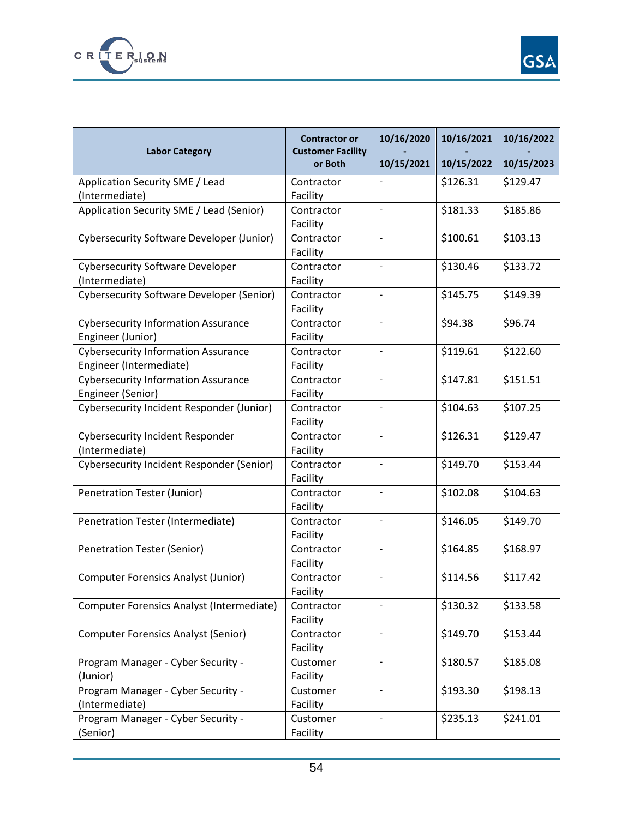



| <b>Labor Category</b>                            | <b>Contractor or</b><br><b>Customer Facility</b> | 10/16/2020                   | 10/16/2021 | 10/16/2022 |
|--------------------------------------------------|--------------------------------------------------|------------------------------|------------|------------|
|                                                  | or Both                                          | 10/15/2021                   | 10/15/2022 | 10/15/2023 |
| Application Security SME / Lead                  | Contractor                                       |                              | \$126.31   | \$129.47   |
| (Intermediate)                                   | Facility                                         |                              |            |            |
| Application Security SME / Lead (Senior)         | Contractor                                       | $\overline{\phantom{a}}$     | \$181.33   | \$185.86   |
|                                                  | Facility                                         |                              |            |            |
| <b>Cybersecurity Software Developer (Junior)</b> | Contractor<br>Facility                           | $\frac{1}{2}$                | \$100.61   | \$103.13   |
| <b>Cybersecurity Software Developer</b>          | Contractor                                       | $\Box$                       | \$130.46   | \$133.72   |
| (Intermediate)                                   | Facility                                         |                              |            |            |
| <b>Cybersecurity Software Developer (Senior)</b> | Contractor                                       | $\blacksquare$               | \$145.75   | \$149.39   |
|                                                  | Facility                                         |                              |            |            |
| <b>Cybersecurity Information Assurance</b>       | Contractor                                       | $\overline{\phantom{0}}$     | \$94.38    | \$96.74    |
| Engineer (Junior)                                | Facility                                         |                              |            |            |
| <b>Cybersecurity Information Assurance</b>       | Contractor                                       | $\blacksquare$               | \$119.61   | \$122.60   |
| Engineer (Intermediate)                          | Facility                                         |                              |            |            |
| <b>Cybersecurity Information Assurance</b>       | Contractor                                       |                              | \$147.81   | \$151.51   |
| Engineer (Senior)                                | Facility                                         |                              |            |            |
| Cybersecurity Incident Responder (Junior)        | Contractor                                       | $\blacksquare$               | \$104.63   | \$107.25   |
|                                                  | Facility                                         |                              |            |            |
| <b>Cybersecurity Incident Responder</b>          | Contractor                                       |                              | \$126.31   | \$129.47   |
| (Intermediate)                                   | Facility                                         |                              |            |            |
| <b>Cybersecurity Incident Responder (Senior)</b> | Contractor                                       | $\Box$                       | \$149.70   | \$153.44   |
|                                                  | Facility                                         |                              |            |            |
| Penetration Tester (Junior)                      | Contractor<br>Facility                           | $\overline{\phantom{0}}$     | \$102.08   | \$104.63   |
| Penetration Tester (Intermediate)                | Contractor                                       | $\blacksquare$               | \$146.05   | \$149.70   |
|                                                  | Facility                                         |                              |            |            |
| <b>Penetration Tester (Senior)</b>               | Contractor                                       | $\overline{\phantom{a}}$     | \$164.85   | \$168.97   |
|                                                  | Facility                                         |                              |            |            |
| <b>Computer Forensics Analyst (Junior)</b>       | Contractor                                       | $\blacksquare$               | \$114.56   | \$117.42   |
|                                                  | Facility                                         |                              |            |            |
| Computer Forensics Analyst (Intermediate)        | Contractor                                       | $\qquad \qquad -$            | \$130.32   | \$133.58   |
|                                                  | Facility                                         |                              |            |            |
| <b>Computer Forensics Analyst (Senior)</b>       | Contractor                                       | $\overline{\phantom{0}}$     | \$149.70   | \$153.44   |
|                                                  | Facility                                         |                              |            |            |
| Program Manager - Cyber Security -               | Customer                                         | $\overline{\phantom{a}}$     | \$180.57   | \$185.08   |
| (Junior)                                         | Facility                                         |                              |            |            |
| Program Manager - Cyber Security -               | Customer                                         | $\qquad \qquad \blacksquare$ | \$193.30   | \$198.13   |
| (Intermediate)                                   | Facility                                         |                              |            |            |
| Program Manager - Cyber Security -               | Customer                                         | $\overline{\phantom{a}}$     | \$235.13   | \$241.01   |
| (Senior)                                         | Facility                                         |                              |            |            |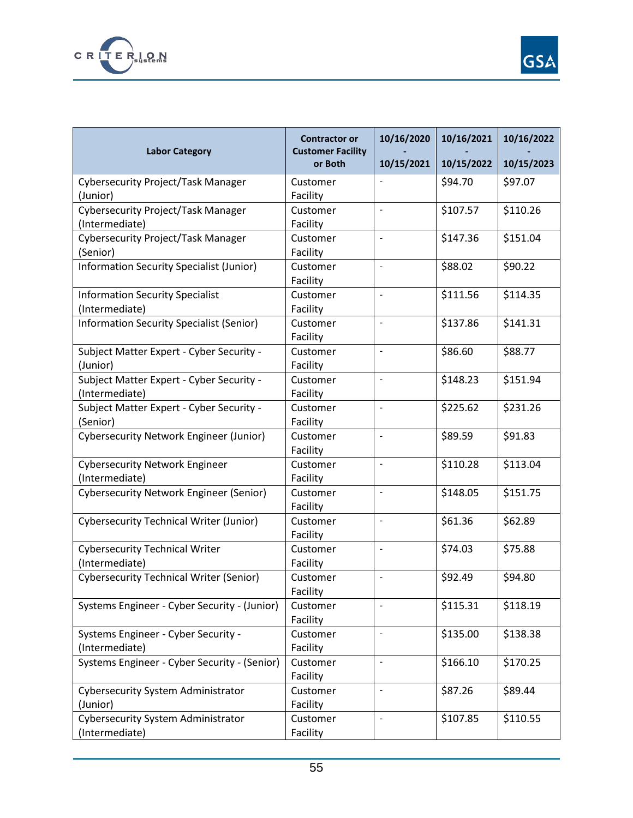



| <b>Labor Category</b>                                 | <b>Contractor or</b><br><b>Customer Facility</b><br>or Both | 10/16/2020<br>10/15/2021 | 10/16/2021<br>10/15/2022 | 10/16/2022<br>10/15/2023 |
|-------------------------------------------------------|-------------------------------------------------------------|--------------------------|--------------------------|--------------------------|
|                                                       |                                                             |                          |                          |                          |
| <b>Cybersecurity Project/Task Manager</b>             | Customer                                                    |                          | \$94.70                  | \$97.07                  |
| (Junior)                                              | Facility                                                    |                          |                          |                          |
| <b>Cybersecurity Project/Task Manager</b>             | Customer                                                    | $\overline{\phantom{a}}$ | \$107.57                 | \$110.26                 |
| (Intermediate)                                        | Facility                                                    | $\blacksquare$           | \$147.36                 |                          |
| <b>Cybersecurity Project/Task Manager</b><br>(Senior) | Customer<br>Facility                                        |                          |                          | \$151.04                 |
| <b>Information Security Specialist (Junior)</b>       | Customer                                                    | $\blacksquare$           | \$88.02                  | \$90.22                  |
|                                                       | Facility                                                    |                          |                          |                          |
| <b>Information Security Specialist</b>                | Customer                                                    | $\frac{1}{2}$            | \$111.56                 | \$114.35                 |
| (Intermediate)                                        | Facility                                                    |                          |                          |                          |
| <b>Information Security Specialist (Senior)</b>       | Customer                                                    | $\overline{a}$           | \$137.86                 | \$141.31                 |
|                                                       | Facility                                                    |                          |                          |                          |
| Subject Matter Expert - Cyber Security -              | Customer                                                    | $\overline{\phantom{a}}$ | \$86.60                  | \$88.77                  |
| (Junior)                                              | Facility                                                    |                          |                          |                          |
| Subject Matter Expert - Cyber Security -              | Customer                                                    | $\overline{a}$           | \$148.23                 | \$151.94                 |
| (Intermediate)                                        | Facility                                                    |                          |                          |                          |
| Subject Matter Expert - Cyber Security -              | Customer                                                    | $\blacksquare$           | \$225.62                 | \$231.26                 |
| (Senior)                                              | Facility                                                    |                          |                          |                          |
| <b>Cybersecurity Network Engineer (Junior)</b>        | Customer                                                    |                          | \$89.59                  | \$91.83                  |
|                                                       | Facility                                                    |                          |                          |                          |
| <b>Cybersecurity Network Engineer</b>                 | Customer                                                    | $\overline{\phantom{a}}$ | \$110.28                 | \$113.04                 |
| (Intermediate)                                        | Facility                                                    | $\frac{1}{2}$            |                          |                          |
| <b>Cybersecurity Network Engineer (Senior)</b>        | Customer                                                    |                          | \$148.05                 | \$151.75                 |
| <b>Cybersecurity Technical Writer (Junior)</b>        | Facility<br>Customer                                        | $\overline{a}$           | \$61.36                  | \$62.89                  |
|                                                       | Facility                                                    |                          |                          |                          |
| <b>Cybersecurity Technical Writer</b>                 | Customer                                                    | $\overline{\phantom{a}}$ | \$74.03                  | \$75.88                  |
| (Intermediate)                                        | Facility                                                    |                          |                          |                          |
| <b>Cybersecurity Technical Writer (Senior)</b>        | Customer                                                    | $\overline{\phantom{a}}$ | \$92.49                  | \$94.80                  |
|                                                       | Facility                                                    |                          |                          |                          |
| Systems Engineer - Cyber Security - (Junior)          | Customer                                                    | $\qquad \qquad -$        | \$115.31                 | \$118.19                 |
|                                                       | Facility                                                    |                          |                          |                          |
| Systems Engineer - Cyber Security -                   | Customer                                                    | $\frac{1}{2}$            | \$135.00                 | \$138.38                 |
| (Intermediate)                                        | Facility                                                    |                          |                          |                          |
| Systems Engineer - Cyber Security - (Senior)          | Customer                                                    | $\overline{\phantom{a}}$ | \$166.10                 | \$170.25                 |
|                                                       | Facility                                                    |                          |                          |                          |
| <b>Cybersecurity System Administrator</b>             | Customer                                                    | $\overline{\phantom{a}}$ | \$87.26                  | \$89.44                  |
| (Junior)                                              | Facility                                                    |                          |                          |                          |
| <b>Cybersecurity System Administrator</b>             | Customer                                                    | $\blacksquare$           | \$107.85                 | \$110.55                 |
| (Intermediate)                                        | Facility                                                    |                          |                          |                          |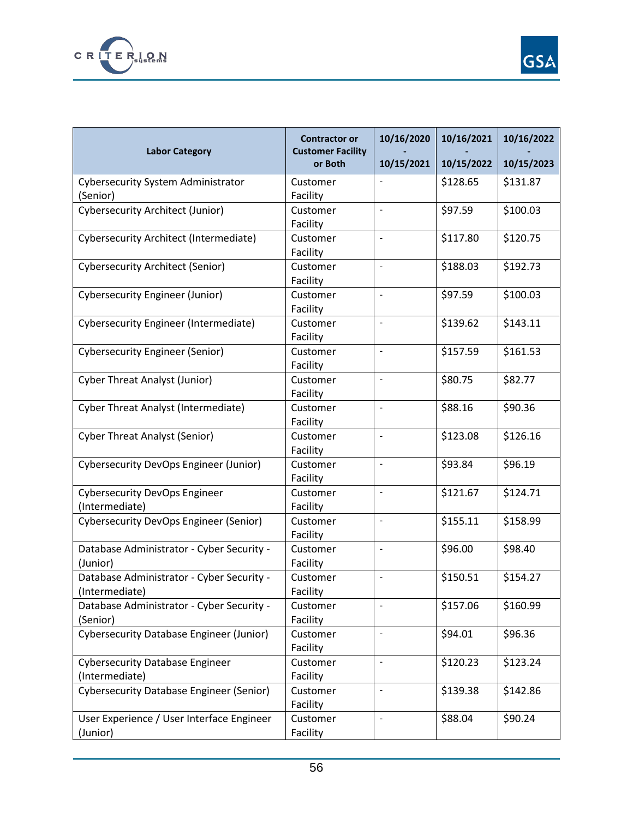



| <b>Labor Category</b>                           | <b>Contractor or</b><br><b>Customer Facility</b> | 10/16/2020                   | 10/16/2021 | 10/16/2022 |
|-------------------------------------------------|--------------------------------------------------|------------------------------|------------|------------|
|                                                 | or Both                                          | 10/15/2021                   | 10/15/2022 | 10/15/2023 |
| Cybersecurity System Administrator              | Customer                                         |                              | \$128.65   | \$131.87   |
| (Senior)                                        | Facility                                         |                              |            |            |
| <b>Cybersecurity Architect (Junior)</b>         | Customer                                         | $\qquad \qquad -$            | \$97.59    | \$100.03   |
|                                                 | Facility                                         |                              |            |            |
| Cybersecurity Architect (Intermediate)          | Customer                                         | $\frac{1}{2}$                | \$117.80   | \$120.75   |
|                                                 | Facility                                         |                              |            |            |
| <b>Cybersecurity Architect (Senior)</b>         | Customer                                         | $\Box$                       | \$188.03   | \$192.73   |
|                                                 | Facility                                         |                              |            |            |
| <b>Cybersecurity Engineer (Junior)</b>          | Customer                                         | $\overline{\phantom{a}}$     | \$97.59    | \$100.03   |
|                                                 | Facility                                         |                              |            |            |
| Cybersecurity Engineer (Intermediate)           | Customer                                         | $\overline{\phantom{a}}$     | \$139.62   | \$143.11   |
|                                                 | Facility                                         |                              |            |            |
| <b>Cybersecurity Engineer (Senior)</b>          | Customer                                         | $\overline{\phantom{a}}$     | \$157.59   | \$161.53   |
|                                                 | Facility                                         |                              |            |            |
| <b>Cyber Threat Analyst (Junior)</b>            | Customer                                         | $\overline{\phantom{0}}$     | \$80.75    | \$82.77    |
|                                                 | Facility                                         | $\overline{\phantom{a}}$     |            |            |
| Cyber Threat Analyst (Intermediate)             | Customer                                         |                              | \$88.16    | \$90.36    |
| <b>Cyber Threat Analyst (Senior)</b>            | Facility<br>Customer                             | $\qquad \qquad \blacksquare$ | \$123.08   | \$126.16   |
|                                                 | Facility                                         |                              |            |            |
| <b>Cybersecurity DevOps Engineer (Junior)</b>   | Customer                                         | $\qquad \qquad -$            | \$93.84    | \$96.19    |
|                                                 | Facility                                         |                              |            |            |
| <b>Cybersecurity DevOps Engineer</b>            | Customer                                         | $\frac{1}{2}$                | \$121.67   | \$124.71   |
| (Intermediate)                                  | Facility                                         |                              |            |            |
| <b>Cybersecurity DevOps Engineer (Senior)</b>   | Customer                                         | $\blacksquare$               | \$155.11   | \$158.99   |
|                                                 | Facility                                         |                              |            |            |
| Database Administrator - Cyber Security -       | Customer                                         | $\blacksquare$               | \$96.00    | \$98.40    |
| (Junior)                                        | Facility                                         |                              |            |            |
| Database Administrator - Cyber Security -       | Customer                                         | $\blacksquare$               | \$150.51   | \$154.27   |
| (Intermediate)                                  | Facility                                         |                              |            |            |
| Database Administrator - Cyber Security -       | Customer                                         | $\qquad \qquad -$            | \$157.06   | \$160.99   |
| (Senior)                                        | Facility                                         |                              |            |            |
| <b>Cybersecurity Database Engineer (Junior)</b> | Customer                                         | $\overline{\phantom{0}}$     | \$94.01    | \$96.36    |
|                                                 | Facility                                         |                              |            |            |
| <b>Cybersecurity Database Engineer</b>          | Customer                                         | $\overline{\phantom{a}}$     | \$120.23   | \$123.24   |
| (Intermediate)                                  | Facility                                         |                              |            |            |
| <b>Cybersecurity Database Engineer (Senior)</b> | Customer                                         |                              | \$139.38   | \$142.86   |
|                                                 | Facility                                         |                              |            |            |
| User Experience / User Interface Engineer       | Customer                                         | $\qquad \qquad -$            | \$88.04    | \$90.24    |
| (Junior)                                        | Facility                                         |                              |            |            |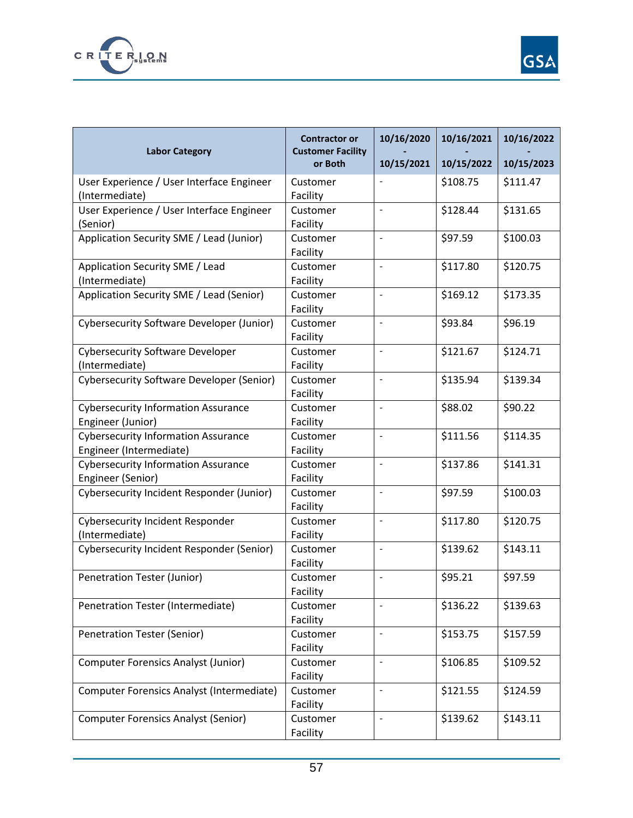



| <b>Labor Category</b>                                                 | <b>Contractor or</b><br><b>Customer Facility</b> | 10/16/2020                   | 10/16/2021 | 10/16/2022 |
|-----------------------------------------------------------------------|--------------------------------------------------|------------------------------|------------|------------|
|                                                                       | or Both                                          | 10/15/2021                   | 10/15/2022 | 10/15/2023 |
| User Experience / User Interface Engineer<br>(Intermediate)           | Customer<br>Facility                             |                              | \$108.75   | \$111.47   |
| User Experience / User Interface Engineer<br>(Senior)                 | Customer<br>Facility                             | $\blacksquare$               | \$128.44   | \$131.65   |
| Application Security SME / Lead (Junior)                              | Customer<br>Facility                             | $\overline{\phantom{a}}$     | \$97.59    | \$100.03   |
| Application Security SME / Lead<br>(Intermediate)                     | Customer<br>Facility                             | $\Box$                       | \$117.80   | \$120.75   |
| Application Security SME / Lead (Senior)                              | Customer<br>Facility                             | $\blacksquare$               | \$169.12   | \$173.35   |
| <b>Cybersecurity Software Developer (Junior)</b>                      | Customer<br>Facility                             | $\frac{1}{2}$                | \$93.84    | \$96.19    |
| <b>Cybersecurity Software Developer</b><br>(Intermediate)             | Customer<br>Facility                             | $\blacksquare$               | \$121.67   | \$124.71   |
| <b>Cybersecurity Software Developer (Senior)</b>                      | Customer<br>Facility                             | $\overline{a}$               | \$135.94   | \$139.34   |
| <b>Cybersecurity Information Assurance</b><br>Engineer (Junior)       | Customer<br>Facility                             | $\blacksquare$               | \$88.02    | \$90.22    |
| <b>Cybersecurity Information Assurance</b><br>Engineer (Intermediate) | Customer<br>Facility                             | $\overline{\phantom{a}}$     | \$111.56   | \$114.35   |
| <b>Cybersecurity Information Assurance</b><br>Engineer (Senior)       | Customer<br>Facility                             | $\Box$                       | \$137.86   | \$141.31   |
| Cybersecurity Incident Responder (Junior)                             | Customer<br>Facility                             | $\overline{\phantom{0}}$     | \$97.59    | \$100.03   |
| <b>Cybersecurity Incident Responder</b><br>(Intermediate)             | Customer<br>Facility                             | $\blacksquare$               | \$117.80   | \$120.75   |
| <b>Cybersecurity Incident Responder (Senior)</b>                      | Customer<br>Facility                             | $\overline{\phantom{a}}$     | \$139.62   | \$143.11   |
| Penetration Tester (Junior)                                           | Customer<br>Facility                             | $\blacksquare$               | \$95.21    | \$97.59    |
| Penetration Tester (Intermediate)                                     | Customer<br>Facility                             | $\qquad \qquad -$            | \$136.22   | \$139.63   |
| <b>Penetration Tester (Senior)</b>                                    | Customer<br>Facility                             | $\frac{1}{2}$                | \$153.75   | \$157.59   |
| <b>Computer Forensics Analyst (Junior)</b>                            | Customer<br>Facility                             | $\overline{\phantom{a}}$     | \$106.85   | \$109.52   |
| Computer Forensics Analyst (Intermediate)                             | Customer<br>Facility                             | $\qquad \qquad \blacksquare$ | \$121.55   | \$124.59   |
| <b>Computer Forensics Analyst (Senior)</b>                            | Customer<br>Facility                             | $\overline{\phantom{a}}$     | \$139.62   | \$143.11   |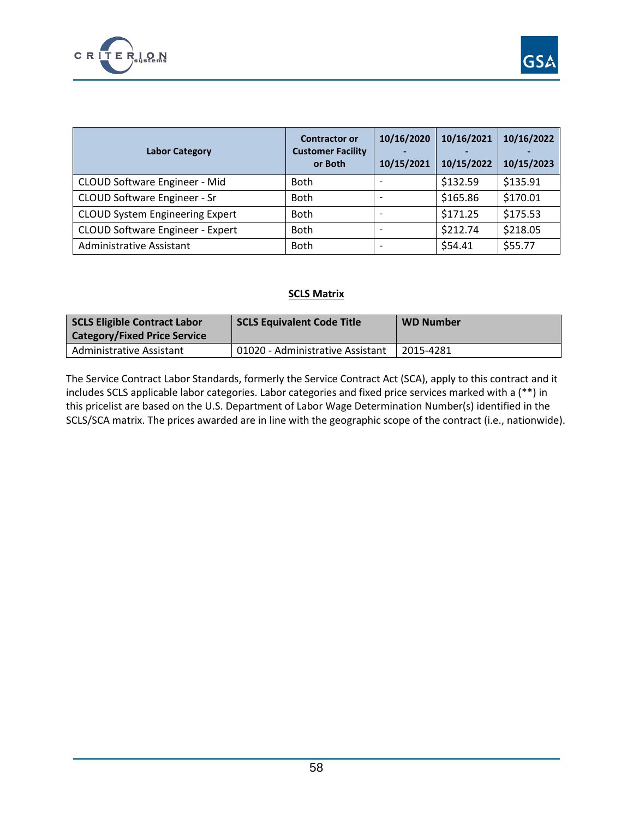



| <b>Labor Category</b>                  | <b>Contractor or</b><br><b>Customer Facility</b><br>or Both | 10/16/2020<br>10/15/2021 | 10/16/2021<br>10/15/2022 | 10/16/2022<br>10/15/2023 |
|----------------------------------------|-------------------------------------------------------------|--------------------------|--------------------------|--------------------------|
| CLOUD Software Engineer - Mid          | <b>Both</b>                                                 |                          | \$132.59                 | \$135.91                 |
| CLOUD Software Engineer - Sr           | <b>Both</b>                                                 |                          | \$165.86                 | \$170.01                 |
| <b>CLOUD System Engineering Expert</b> | <b>Both</b>                                                 |                          | \$171.25                 | \$175.53                 |
| CLOUD Software Engineer - Expert       | <b>Both</b>                                                 |                          | \$212.74                 | \$218.05                 |
| Administrative Assistant               | <b>Both</b>                                                 |                          | \$54.41                  | \$55.77                  |

#### **SCLS Matrix**

| <b>SCLS Eligible Contract Labor</b><br><b>Category/Fixed Price Service</b> | <b>SCLS Equivalent Code Title</b> | <b>WD Number</b> |
|----------------------------------------------------------------------------|-----------------------------------|------------------|
| Administrative Assistant                                                   | 01020 - Administrative Assistant  | 2015-4281        |

The Service Contract Labor Standards, formerly the Service Contract Act (SCA), apply to this contract and it includes SCLS applicable labor categories. Labor categories and fixed price services marked with a (\*\*) in this pricelist are based on the U.S. Department of Labor Wage Determination Number(s) identified in the SCLS/SCA matrix. The prices awarded are in line with the geographic scope of the contract (i.e., nationwide).